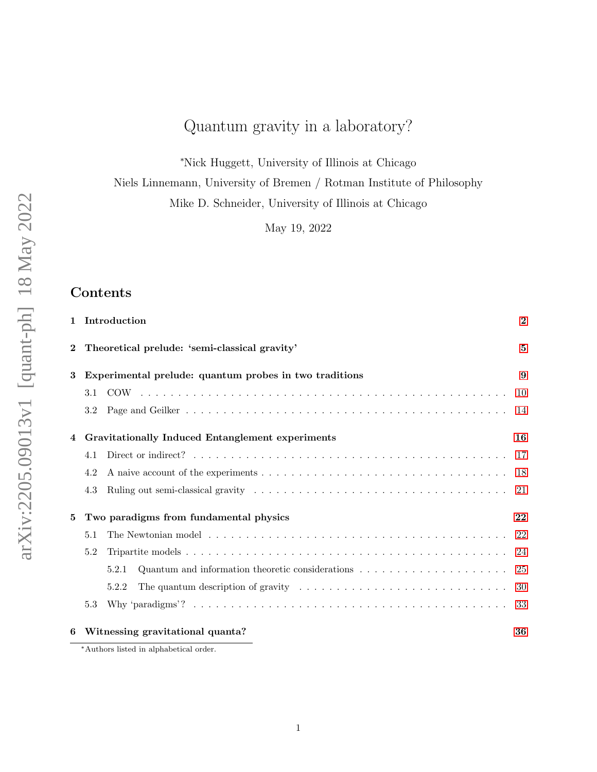# Quantum gravity in a laboratory?

<sup>∗</sup>Nick Huggett, University of Illinois at Chicago

Niels Linnemann, University of Bremen / Rotman Institute of Philosophy

Mike D. Schneider, University of Illinois at Chicago

May 19, 2022

# Contents

| $\mathbf{1}$ | Introduction                                                                                                        | $\mathbf{2}$ |  |
|--------------|---------------------------------------------------------------------------------------------------------------------|--------------|--|
| $\bf{2}$     | Theoretical prelude: 'semi-classical gravity'                                                                       |              |  |
| 3            | Experimental prelude: quantum probes in two traditions                                                              | 9            |  |
|              | 3.1                                                                                                                 | 10           |  |
|              | 3.2                                                                                                                 | 14           |  |
| 4            | <b>Gravitationally Induced Entanglement experiments</b>                                                             | 16           |  |
|              | 4.1                                                                                                                 | 17           |  |
|              | 4.2                                                                                                                 | 18           |  |
|              | 4.3                                                                                                                 | 21           |  |
| 5            | Two paradigms from fundamental physics                                                                              | 22           |  |
|              | 5.1                                                                                                                 | $22\,$       |  |
|              | 5.2                                                                                                                 | 24           |  |
|              | Quantum and information theoretic considerations $\dots \dots \dots \dots \dots \dots \dots$<br>5.2.1               | 25           |  |
|              | The quantum description of gravity $\ldots \ldots \ldots \ldots \ldots \ldots \ldots \ldots \ldots \ldots$<br>5.2.2 | 30           |  |
|              | 5.3                                                                                                                 | 33           |  |
| 6            | Witnessing gravitational quanta?                                                                                    | 36           |  |
|              |                                                                                                                     |              |  |

<sup>∗</sup>Authors listed in alphabetical order.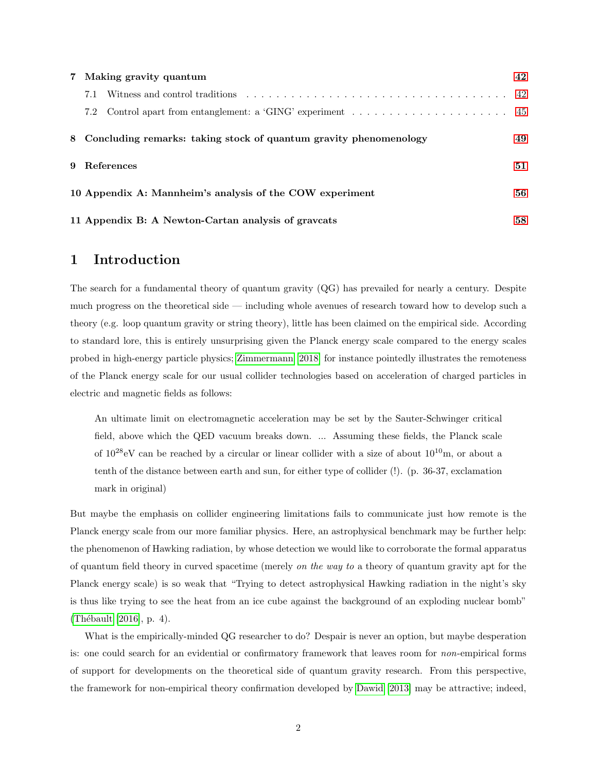| $7\degree$ | Making gravity quantum |                                                                                                                                                                                                                               |      |
|------------|------------------------|-------------------------------------------------------------------------------------------------------------------------------------------------------------------------------------------------------------------------------|------|
|            | 7.1                    | Witness and control traditions experience in the control of the control of the control of the control of the control of the control of the control of the control of the control of the control of the control of the control | - 42 |
|            | 7.2                    |                                                                                                                                                                                                                               |      |
|            |                        | 8 Concluding remarks: taking stock of quantum gravity phenomenology                                                                                                                                                           | 49   |
|            |                        | 9 References                                                                                                                                                                                                                  | 51   |
|            |                        | 10 Appendix A: Mannheim's analysis of the COW experiment                                                                                                                                                                      | 56   |
|            |                        | 11 Appendix B: A Newton-Cartan analysis of graveats                                                                                                                                                                           | 58   |

### <span id="page-1-0"></span>1 Introduction

The search for a fundamental theory of quantum gravity (QG) has prevailed for nearly a century. Despite much progress on the theoretical side — including whole avenues of research toward how to develop such a theory (e.g. loop quantum gravity or string theory), little has been claimed on the empirical side. According to standard lore, this is entirely unsurprising given the Planck energy scale compared to the energy scales probed in high-energy particle physics; [Zimmermann](#page-54-0) [\[2018\]](#page-54-0) for instance pointedly illustrates the remoteness of the Planck energy scale for our usual collider technologies based on acceleration of charged particles in electric and magnetic fields as follows:

An ultimate limit on electromagnetic acceleration may be set by the Sauter-Schwinger critical field, above which the QED vacuum breaks down. ... Assuming these fields, the Planck scale of  $10^{28}$ eV can be reached by a circular or linear collider with a size of about  $10^{10}$ m, or about a tenth of the distance between earth and sun, for either type of collider (!). (p. 36-37, exclamation mark in original)

But maybe the emphasis on collider engineering limitations fails to communicate just how remote is the Planck energy scale from our more familiar physics. Here, an astrophysical benchmark may be further help: the phenomenon of Hawking radiation, by whose detection we would like to corroborate the formal apparatus of quantum field theory in curved spacetime (merely on the way to a theory of quantum gravity apt for the Planck energy scale) is so weak that "Trying to detect astrophysical Hawking radiation in the night's sky is thus like trying to see the heat from an ice cube against the background of an exploding nuclear bomb"  $(Thébault [2016], p. 4).$  $(Thébault [2016], p. 4).$  $(Thébault [2016], p. 4).$ 

What is the empirically-minded QG researcher to do? Despair is never an option, but maybe desperation is: one could search for an evidential or confirmatory framework that leaves room for non-empirical forms of support for developments on the theoretical side of quantum gravity research. From this perspective, the framework for non-empirical theory confirmation developed by [Dawid](#page-51-0) [\[2013\]](#page-51-0) may be attractive; indeed,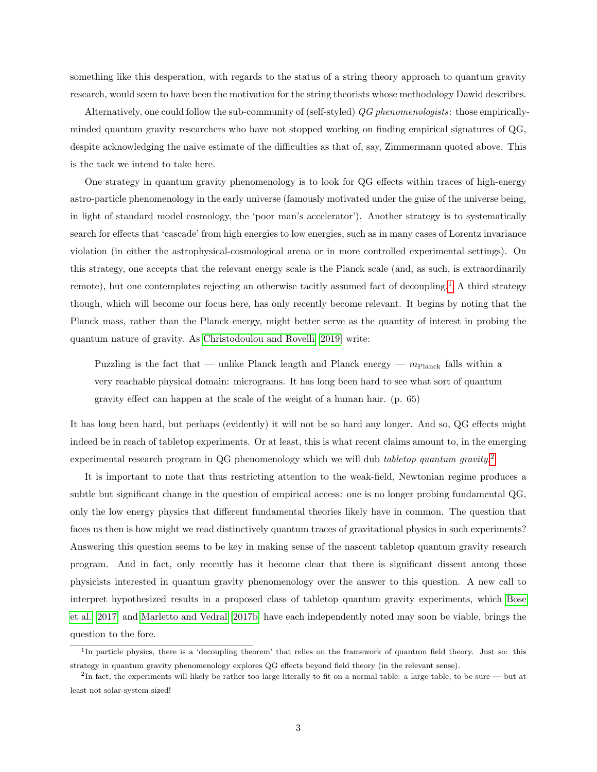something like this desperation, with regards to the status of a string theory approach to quantum gravity research, would seem to have been the motivation for the string theorists whose methodology Dawid describes.

Alternatively, one could follow the sub-community of (self-styled) QG phenomenologists: those empiricallyminded quantum gravity researchers who have not stopped working on finding empirical signatures of QG, despite acknowledging the naive estimate of the difficulties as that of, say, Zimmermann quoted above. This is the tack we intend to take here.

One strategy in quantum gravity phenomenology is to look for QG effects within traces of high-energy astro-particle phenomenology in the early universe (famously motivated under the guise of the universe being, in light of standard model cosmology, the 'poor man's accelerator'). Another strategy is to systematically search for effects that 'cascade' from high energies to low energies, such as in many cases of Lorentz invariance violation (in either the astrophysical-cosmological arena or in more controlled experimental settings). On this strategy, one accepts that the relevant energy scale is the Planck scale (and, as such, is extraordinarily remote), but one contemplates rejecting an otherwise tacitly assumed fact of decoupling.<sup>[1](#page-2-0)</sup> A third strategy though, which will become our focus here, has only recently become relevant. It begins by noting that the Planck mass, rather than the Planck energy, might better serve as the quantity of interest in probing the quantum nature of gravity. As [Christodoulou and Rovelli](#page-51-1) [\[2019\]](#page-51-1) write:

Puzzling is the fact that — unlike Planck length and Planck energy —  $m_{\text{Planck}}$  falls within a very reachable physical domain: micrograms. It has long been hard to see what sort of quantum gravity effect can happen at the scale of the weight of a human hair. (p. 65)

It has long been hard, but perhaps (evidently) it will not be so hard any longer. And so, QG effects might indeed be in reach of tabletop experiments. Or at least, this is what recent claims amount to, in the emerging experimental research program in QG phenomenology which we will dub tabletop quantum gravity.<sup>[2](#page-2-1)</sup>

It is important to note that thus restricting attention to the weak-field, Newtonian regime produces a subtle but significant change in the question of empirical access: one is no longer probing fundamental QG, only the low energy physics that different fundamental theories likely have in common. The question that faces us then is how might we read distinctively quantum traces of gravitational physics in such experiments? Answering this question seems to be key in making sense of the nascent tabletop quantum gravity research program. And in fact, only recently has it become clear that there is significant dissent among those physicists interested in quantum gravity phenomenology over the answer to this question. A new call to interpret hypothesized results in a proposed class of tabletop quantum gravity experiments, which [Bose](#page-51-2) [et al.](#page-51-2) [\[2017\]](#page-51-2) and [Marletto and Vedral](#page-53-0) [\[2017b\]](#page-53-0) have each independently noted may soon be viable, brings the question to the fore.

<span id="page-2-0"></span><sup>&</sup>lt;sup>1</sup>In particle physics, there is a 'decoupling theorem' that relies on the framework of quantum field theory. Just so: this strategy in quantum gravity phenomenology explores QG effects beyond field theory (in the relevant sense).

<span id="page-2-1"></span> ${}^{2}$ In fact, the experiments will likely be rather too large literally to fit on a normal table: a large table, to be sure — but at least not solar-system sized!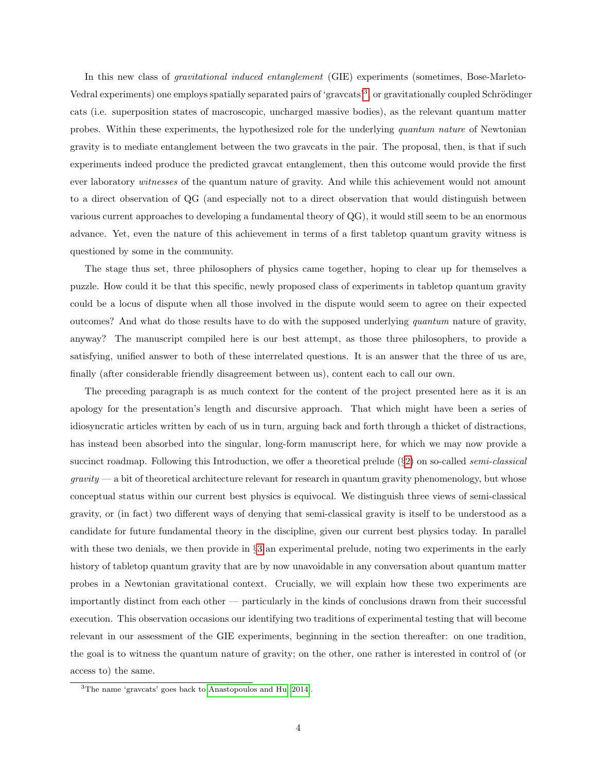In this new class of *gravitational induced entanglement* (GIE) experiments (sometimes, Bose-Marleto-Vedral experiments) one employs spatially separated pairs of 'gravcats'<sup>[3](#page-3-0)</sup>, or gravitationally coupled Schrödinger cats (i.e. superposition states of macroscopic, uncharged massive bodies), as the relevant quantum matter probes. Within these experiments, the hypothesized role for the underlying quantum nature of Newtonian gravity is to mediate entanglement between the two gravcats in the pair. The proposal, then, is that if such experiments indeed produce the predicted gravcat entanglement, then this outcome would provide the first ever laboratory witnesses of the quantum nature of gravity. And while this achievement would not amount to a direct observation of QG (and especially not to a direct observation that would distinguish between various current approaches to developing a fundamental theory of QG), it would still seem to be an enormous advance. Yet, even the nature of this achievement in terms of a first tabletop quantum gravity witness is questioned by some in the community.

The stage thus set, three philosophers of physics came together, hoping to clear up for themselves a puzzle. How could it be that this specific, newly proposed class of experiments in tabletop quantum gravity could be a locus of dispute when all those involved in the dispute would seem to agree on their expected outcomes? And what do those results have to do with the supposed underlying quantum nature of gravity, anyway? The manuscript compiled here is our best attempt, as those three philosophers, to provide a satisfying, unified answer to both of these interrelated questions. It is an answer that the three of us are, finally (after considerable friendly disagreement between us), content each to call our own.

The preceding paragraph is as much context for the content of the project presented here as it is an apology for the presentation's length and discursive approach. That which might have been a series of idiosyncratic articles written by each of us in turn, arguing back and forth through a thicket of distractions, has instead been absorbed into the singular, long-form manuscript here, for which we may now provide a succinct roadmap. Following this Introduction, we offer a theoretical prelude  $(\S2)$  $(\S2)$  on so-called semi-classical  $gravity - a$  bit of theoretical architecture relevant for research in quantum gravity phenomenology, but whose conceptual status within our current best physics is equivocal. We distinguish three views of semi-classical gravity, or (in fact) two different ways of denying that semi-classical gravity is itself to be understood as a candidate for future fundamental theory in the discipline, given our current best physics today. In parallel with these two denials, we then provide in  $\S 3$  $\S 3$  an experimental prelude, noting two experiments in the early history of tabletop quantum gravity that are by now unavoidable in any conversation about quantum matter probes in a Newtonian gravitational context. Crucially, we will explain how these two experiments are importantly distinct from each other — particularly in the kinds of conclusions drawn from their successful execution. This observation occasions our identifying two traditions of experimental testing that will become relevant in our assessment of the GIE experiments, beginning in the section thereafter: on one tradition, the goal is to witness the quantum nature of gravity; on the other, one rather is interested in control of (or access to) the same.

<span id="page-3-0"></span><sup>3</sup>The name 'gravcats' goes back to [Anastopoulos and Hu](#page-50-1) [\[2014\]](#page-50-1).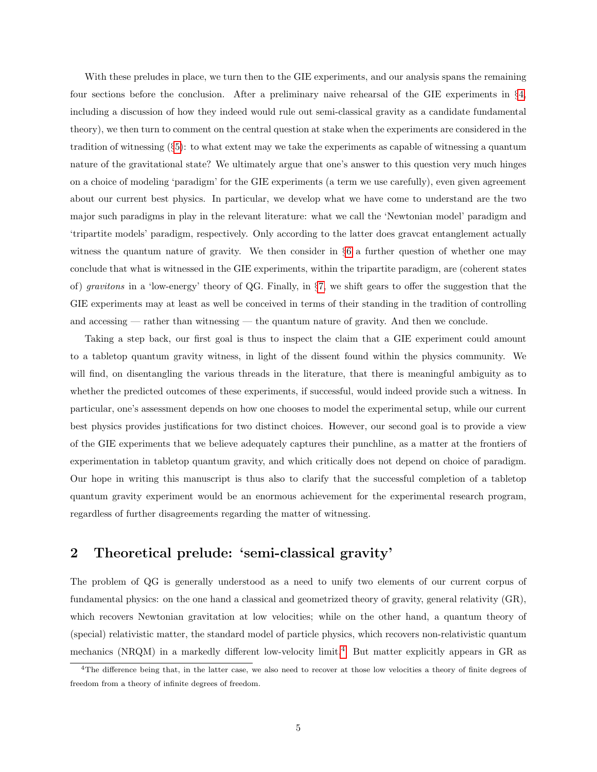With these preludes in place, we turn then to the GIE experiments, and our analysis spans the remaining four sections before the conclusion. After a preliminary naive rehearsal of the GIE experiments in §[4,](#page-15-0) including a discussion of how they indeed would rule out semi-classical gravity as a candidate fundamental theory), we then turn to comment on the central question at stake when the experiments are considered in the tradition of witnessing (§[5\)](#page-21-0): to what extent may we take the experiments as capable of witnessing a quantum nature of the gravitational state? We ultimately argue that one's answer to this question very much hinges on a choice of modeling 'paradigm' for the GIE experiments (a term we use carefully), even given agreement about our current best physics. In particular, we develop what we have come to understand are the two major such paradigms in play in the relevant literature: what we call the 'Newtonian model' paradigm and 'tripartite models' paradigm, respectively. Only according to the latter does gravcat entanglement actually witness the quantum nature of gravity. We then consider in §[6](#page-35-0) a further question of whether one may conclude that what is witnessed in the GIE experiments, within the tripartite paradigm, are (coherent states of) gravitons in a 'low-energy' theory of QG. Finally, in §[7,](#page-41-0) we shift gears to offer the suggestion that the GIE experiments may at least as well be conceived in terms of their standing in the tradition of controlling and accessing — rather than witnessing — the quantum nature of gravity. And then we conclude.

Taking a step back, our first goal is thus to inspect the claim that a GIE experiment could amount to a tabletop quantum gravity witness, in light of the dissent found within the physics community. We will find, on disentangling the various threads in the literature, that there is meaningful ambiguity as to whether the predicted outcomes of these experiments, if successful, would indeed provide such a witness. In particular, one's assessment depends on how one chooses to model the experimental setup, while our current best physics provides justifications for two distinct choices. However, our second goal is to provide a view of the GIE experiments that we believe adequately captures their punchline, as a matter at the frontiers of experimentation in tabletop quantum gravity, and which critically does not depend on choice of paradigm. Our hope in writing this manuscript is thus also to clarify that the successful completion of a tabletop quantum gravity experiment would be an enormous achievement for the experimental research program, regardless of further disagreements regarding the matter of witnessing.

## <span id="page-4-0"></span>2 Theoretical prelude: 'semi-classical gravity'

The problem of QG is generally understood as a need to unify two elements of our current corpus of fundamental physics: on the one hand a classical and geometrized theory of gravity, general relativity (GR), which recovers Newtonian gravitation at low velocities; while on the other hand, a quantum theory of (special) relativistic matter, the standard model of particle physics, which recovers non-relativistic quantum mechanics (NRQM) in a markedly different low-velocity limit.[4](#page-4-1) But matter explicitly appears in GR as

<span id="page-4-1"></span><sup>&</sup>lt;sup>4</sup>The difference being that, in the latter case, we also need to recover at those low velocities a theory of finite degrees of freedom from a theory of infinite degrees of freedom.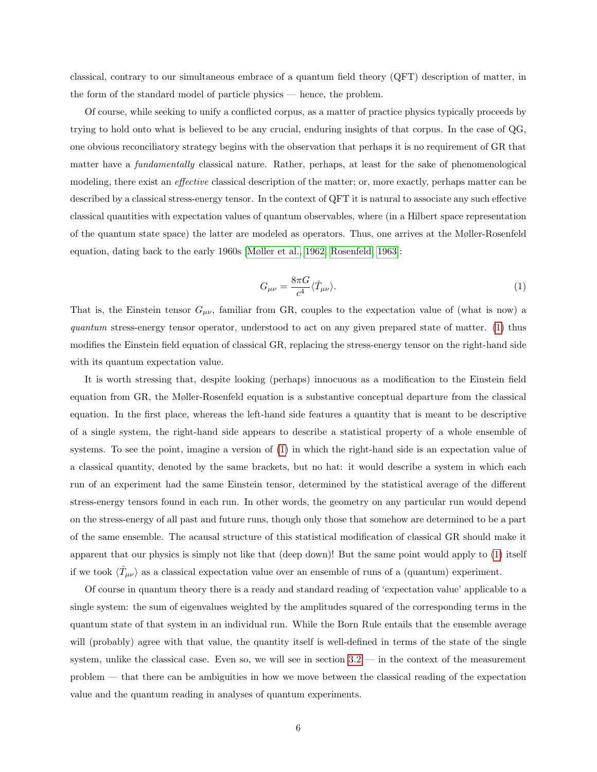classical, contrary to our simultaneous embrace of a quantum field theory (QFT) description of matter, in the form of the standard model of particle physics — hence, the problem.

Of course, while seeking to unify a conflicted corpus, as a matter of practice physics typically proceeds by trying to hold onto what is believed to be any crucial, enduring insights of that corpus. In the case of QG, one obvious reconciliatory strategy begins with the observation that perhaps it is no requirement of GR that matter have a fundamentally classical nature. Rather, perhaps, at least for the sake of phenomenological modeling, there exist an *effective* classical description of the matter; or, more exactly, perhaps matter can be described by a classical stress-energy tensor. In the context of QFT it is natural to associate any such effective classical quantities with expectation values of quantum observables, where (in a Hilbert space representation of the quantum state space) the latter are modeled as operators. Thus, one arrives at the Møller-Rosenfeld equation, dating back to the early 1960s [\[Møller et al., 1962,](#page-53-1) [Rosenfeld, 1963\]](#page-54-2):

<span id="page-5-0"></span>
$$
G_{\mu\nu} = \frac{8\pi G}{c^4} \langle \hat{T}_{\mu\nu} \rangle.
$$
 (1)

That is, the Einstein tensor  $G_{\mu\nu}$ , familiar from GR, couples to the expectation value of (what is now) a quantum stress-energy tensor operator, understood to act on any given prepared state of matter. [\(1\)](#page-5-0) thus modifies the Einstein field equation of classical GR, replacing the stress-energy tensor on the right-hand side with its quantum expectation value.

It is worth stressing that, despite looking (perhaps) innocuous as a modification to the Einstein field equation from GR, the Møller-Rosenfeld equation is a substantive conceptual departure from the classical equation. In the first place, whereas the left-hand side features a quantity that is meant to be descriptive of a single system, the right-hand side appears to describe a statistical property of a whole ensemble of systems. To see the point, imagine a version of [\(1\)](#page-5-0) in which the right-hand side is an expectation value of a classical quantity, denoted by the same brackets, but no hat: it would describe a system in which each run of an experiment had the same Einstein tensor, determined by the statistical average of the different stress-energy tensors found in each run. In other words, the geometry on any particular run would depend on the stress-energy of all past and future runs, though only those that somehow are determined to be a part of the same ensemble. The acausal structure of this statistical modification of classical GR should make it apparent that our physics is simply not like that (deep down)! But the same point would apply to [\(1\)](#page-5-0) itself if we took  $\langle \hat{T}_{\mu\nu} \rangle$  as a classical expectation value over an ensemble of runs of a (quantum) experiment.

Of course in quantum theory there is a ready and standard reading of 'expectation value' applicable to a single system: the sum of eigenvalues weighted by the amplitudes squared of the corresponding terms in the quantum state of that system in an individual run. While the Born Rule entails that the ensemble average will (probably) agree with that value, the quantity itself is well-defined in terms of the state of the single system, unlike the classical case. Even so, we will see in section [3.2](#page-13-0) — in the context of the measurement problem — that there can be ambiguities in how we move between the classical reading of the expectation value and the quantum reading in analyses of quantum experiments.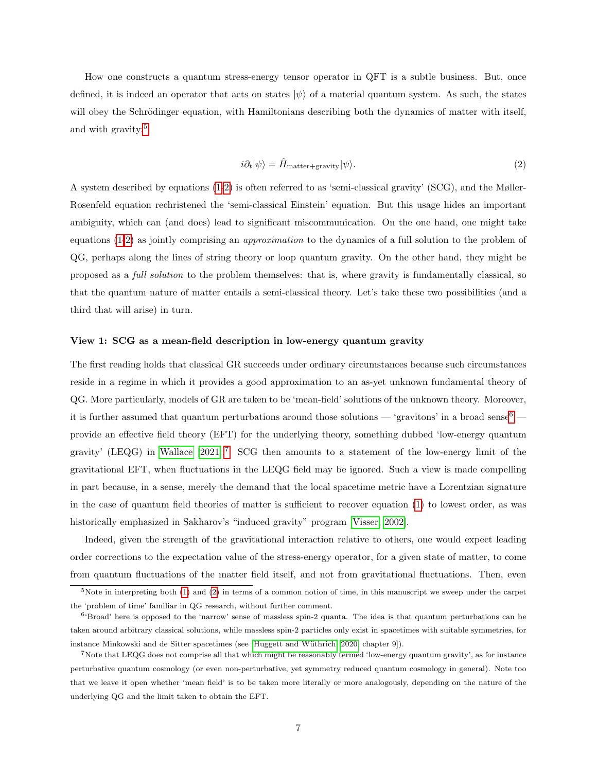How one constructs a quantum stress-energy tensor operator in QFT is a subtle business. But, once defined, it is indeed an operator that acts on states  $|\psi\rangle$  of a material quantum system. As such, the states will obey the Schrödinger equation, with Hamiltonians describing both the dynamics of matter with itself, and with gravity:<sup>[5](#page-6-0)</sup>

<span id="page-6-1"></span>
$$
i\partial_t|\psi\rangle = \hat{H}_{\text{matter}+gravity}|\psi\rangle.
$$
 (2)

A system described by equations [\(1-](#page-5-0)[2\)](#page-6-1) is often referred to as 'semi-classical gravity' (SCG), and the Møller-Rosenfeld equation rechristened the 'semi-classical Einstein' equation. But this usage hides an important ambiguity, which can (and does) lead to significant miscommunication. On the one hand, one might take equations [\(1-](#page-5-0)[2\)](#page-6-1) as jointly comprising an approximation to the dynamics of a full solution to the problem of QG, perhaps along the lines of string theory or loop quantum gravity. On the other hand, they might be proposed as a full solution to the problem themselves: that is, where gravity is fundamentally classical, so that the quantum nature of matter entails a semi-classical theory. Let's take these two possibilities (and a third that will arise) in turn.

#### View 1: SCG as a mean-field description in low-energy quantum gravity

The first reading holds that classical GR succeeds under ordinary circumstances because such circumstances reside in a regime in which it provides a good approximation to an as-yet unknown fundamental theory of QG. More particularly, models of GR are taken to be 'mean-field' solutions of the unknown theory. Moreover, it is further assumed that quantum perturbations around those solutions — 'gravitons' in a broad sense<sup>[6](#page-6-2)</sup> provide an effective field theory (EFT) for the underlying theory, something dubbed 'low-energy quantum gravity' (LEQG) in [Wallace](#page-54-3) [\[2021\]](#page-54-3).[7](#page-6-3) SCG then amounts to a statement of the low-energy limit of the gravitational EFT, when fluctuations in the LEQG field may be ignored. Such a view is made compelling in part because, in a sense, merely the demand that the local spacetime metric have a Lorentzian signature in the case of quantum field theories of matter is sufficient to recover equation [\(1\)](#page-5-0) to lowest order, as was historically emphasized in Sakharov's "induced gravity" program [\[Visser, 2002\]](#page-54-4).

Indeed, given the strength of the gravitational interaction relative to others, one would expect leading order corrections to the expectation value of the stress-energy operator, for a given state of matter, to come from quantum fluctuations of the matter field itself, and not from gravitational fluctuations. Then, even

<span id="page-6-0"></span> $5$ Note in interpreting both [\(1\)](#page-5-0) and [\(2\)](#page-6-1) in terms of a common notion of time, in this manuscript we sweep under the carpet the 'problem of time' familiar in QG research, without further comment.

<span id="page-6-2"></span><sup>&</sup>lt;sup>6</sup> Broad' here is opposed to the 'narrow' sense of massless spin-2 quanta. The idea is that quantum perturbations can be taken around arbitrary classical solutions, while massless spin-2 particles only exist in spacetimes with suitable symmetries, for instance Minkowski and de Sitter spacetimes (see [Huggett and Wüthrich, 2020, chapter 9]).

<span id="page-6-3"></span> $7$ Note that LEQG does not comprise all that which might be reasonably termed 'low-energy quantum gravity', as for instance perturbative quantum cosmology (or even non-perturbative, yet symmetry reduced quantum cosmology in general). Note too that we leave it open whether 'mean field' is to be taken more literally or more analogously, depending on the nature of the underlying QG and the limit taken to obtain the EFT.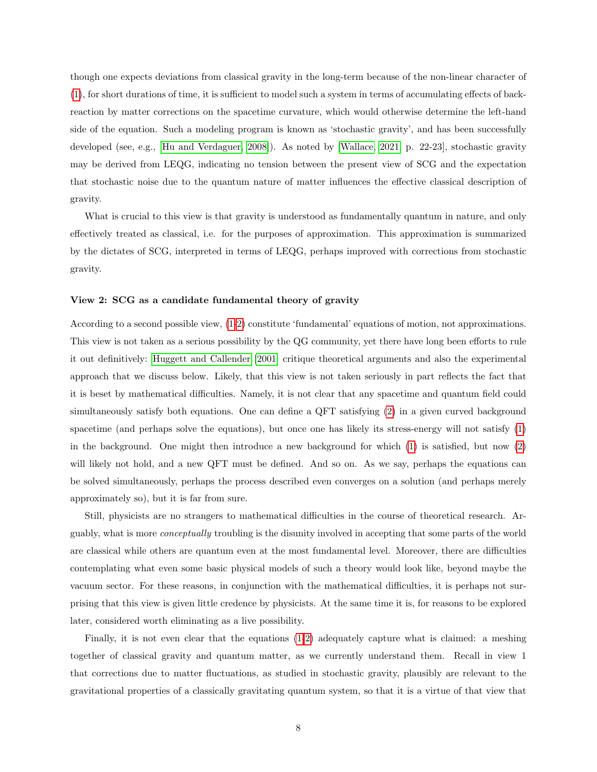though one expects deviations from classical gravity in the long-term because of the non-linear character of [\(1\)](#page-5-0), for short durations of time, it is sufficient to model such a system in terms of accumulating effects of backreaction by matter corrections on the spacetime curvature, which would otherwise determine the left-hand side of the equation. Such a modeling program is known as 'stochastic gravity', and has been successfully developed (see, e.g., [\[Hu and Verdaguer, 2008\]](#page-52-1)). As noted by [\[Wallace, 2021,](#page-54-3) p. 22-23], stochastic gravity may be derived from LEQG, indicating no tension between the present view of SCG and the expectation that stochastic noise due to the quantum nature of matter influences the effective classical description of gravity.

What is crucial to this view is that gravity is understood as fundamentally quantum in nature, and only effectively treated as classical, i.e. for the purposes of approximation. This approximation is summarized by the dictates of SCG, interpreted in terms of LEQG, perhaps improved with corrections from stochastic gravity.

#### View 2: SCG as a candidate fundamental theory of gravity

According to a second possible view, [\(1-](#page-5-0)[2\)](#page-6-1) constitute 'fundamental' equations of motion, not approximations. This view is not taken as a serious possibility by the QG community, yet there have long been efforts to rule it out definitively: [Huggett and Callender](#page-52-2) [\[2001\]](#page-52-2) critique theoretical arguments and also the experimental approach that we discuss below. Likely, that this view is not taken seriously in part reflects the fact that it is beset by mathematical difficulties. Namely, it is not clear that any spacetime and quantum field could simultaneously satisfy both equations. One can define a QFT satisfying [\(2\)](#page-6-1) in a given curved background spacetime (and perhaps solve the equations), but once one has likely its stress-energy will not satisfy [\(1\)](#page-5-0) in the background. One might then introduce a new background for which [\(1\)](#page-5-0) is satisfied, but now [\(2\)](#page-6-1) will likely not hold, and a new QFT must be defined. And so on. As we say, perhaps the equations can be solved simultaneously, perhaps the process described even converges on a solution (and perhaps merely approximately so), but it is far from sure.

Still, physicists are no strangers to mathematical difficulties in the course of theoretical research. Arguably, what is more conceptually troubling is the disunity involved in accepting that some parts of the world are classical while others are quantum even at the most fundamental level. Moreover, there are difficulties contemplating what even some basic physical models of such a theory would look like, beyond maybe the vacuum sector. For these reasons, in conjunction with the mathematical difficulties, it is perhaps not surprising that this view is given little credence by physicists. At the same time it is, for reasons to be explored later, considered worth eliminating as a live possibility.

Finally, it is not even clear that the equations [\(1-](#page-5-0)[2\)](#page-6-1) adequately capture what is claimed: a meshing together of classical gravity and quantum matter, as we currently understand them. Recall in view 1 that corrections due to matter fluctuations, as studied in stochastic gravity, plausibly are relevant to the gravitational properties of a classically gravitating quantum system, so that it is a virtue of that view that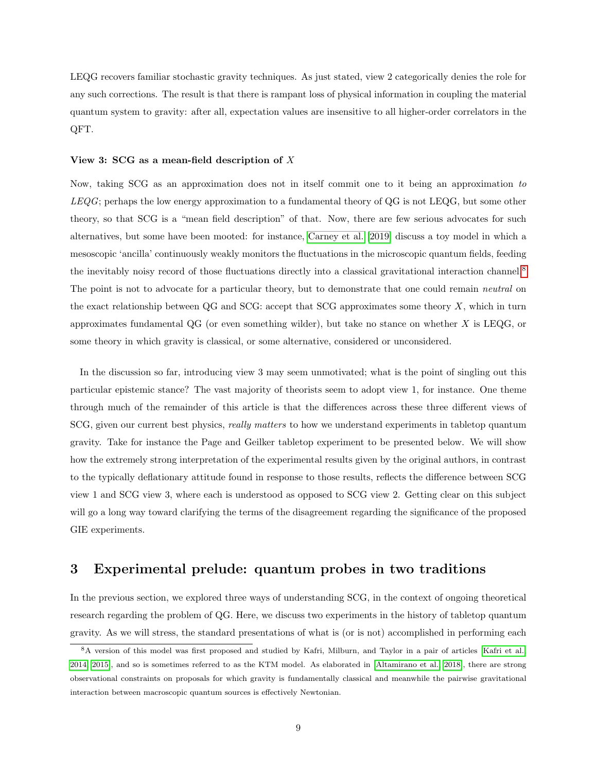LEQG recovers familiar stochastic gravity techniques. As just stated, view 2 categorically denies the role for any such corrections. The result is that there is rampant loss of physical information in coupling the material quantum system to gravity: after all, expectation values are insensitive to all higher-order correlators in the QFT.

#### View 3: SCG as a mean-field description of  $X$

Now, taking SCG as an approximation does not in itself commit one to it being an approximation to  $LEQG$ ; perhaps the low energy approximation to a fundamental theory of  $QG$  is not LEQG, but some other theory, so that SCG is a "mean field description" of that. Now, there are few serious advocates for such alternatives, but some have been mooted: for instance, [Carney et al.](#page-51-3) [\[2019\]](#page-51-3) discuss a toy model in which a mesoscopic 'ancilla' continuously weakly monitors the fluctuations in the microscopic quantum fields, feeding the inevitably noisy record of those fluctuations directly into a classical gravitational interaction channel.[8](#page-8-1) The point is not to advocate for a particular theory, but to demonstrate that one could remain *neutral* on the exact relationship between QG and SCG: accept that SCG approximates some theory  $X$ , which in turn approximates fundamental QG (or even something wilder), but take no stance on whether  $X$  is LEQG, or some theory in which gravity is classical, or some alternative, considered or unconsidered.

In the discussion so far, introducing view 3 may seem unmotivated; what is the point of singling out this particular epistemic stance? The vast majority of theorists seem to adopt view 1, for instance. One theme through much of the remainder of this article is that the differences across these three different views of SCG, given our current best physics, *really matters* to how we understand experiments in tabletop quantum gravity. Take for instance the Page and Geilker tabletop experiment to be presented below. We will show how the extremely strong interpretation of the experimental results given by the original authors, in contrast to the typically deflationary attitude found in response to those results, reflects the difference between SCG view 1 and SCG view 3, where each is understood as opposed to SCG view 2. Getting clear on this subject will go a long way toward clarifying the terms of the disagreement regarding the significance of the proposed GIE experiments.

## <span id="page-8-0"></span>3 Experimental prelude: quantum probes in two traditions

In the previous section, we explored three ways of understanding SCG, in the context of ongoing theoretical research regarding the problem of QG. Here, we discuss two experiments in the history of tabletop quantum gravity. As we will stress, the standard presentations of what is (or is not) accomplished in performing each

<span id="page-8-1"></span><sup>8</sup>A version of this model was first proposed and studied by Kafri, Milburn, and Taylor in a pair of articles [\[Kafri et al.,](#page-52-3) [2014,](#page-52-3) [2015\]](#page-52-4), and so is sometimes referred to as the KTM model. As elaborated in [\[Altamirano et al., 2018\]](#page-50-2), there are strong observational constraints on proposals for which gravity is fundamentally classical and meanwhile the pairwise gravitational interaction between macroscopic quantum sources is effectively Newtonian.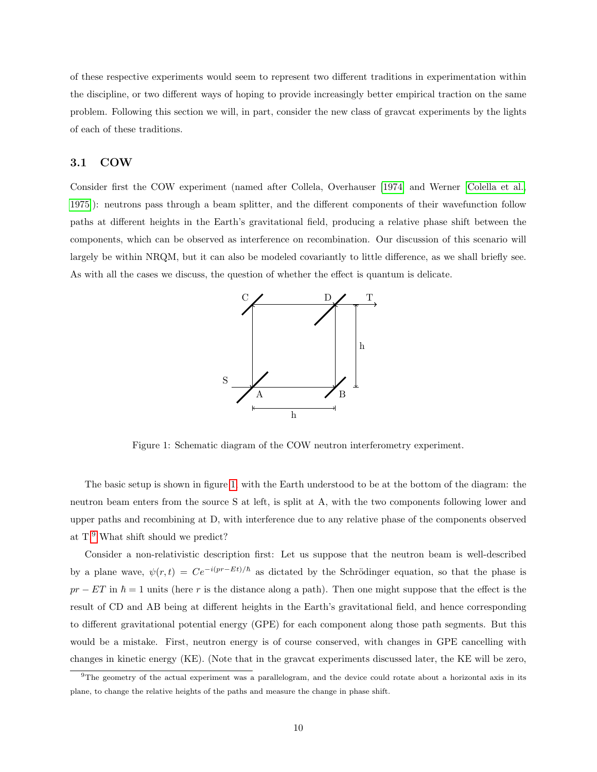of these respective experiments would seem to represent two different traditions in experimentation within the discipline, or two different ways of hoping to provide increasingly better empirical traction on the same problem. Following this section we will, in part, consider the new class of gravcat experiments by the lights of each of these traditions.

#### <span id="page-9-0"></span>3.1 COW

Consider first the COW experiment (named after Collela, Overhauser [\[1974\]](#page-53-2) and Werner [\[Colella et al.,](#page-51-4) [1975\]](#page-51-4)): neutrons pass through a beam splitter, and the different components of their wavefunction follow paths at different heights in the Earth's gravitational field, producing a relative phase shift between the components, which can be observed as interference on recombination. Our discussion of this scenario will largely be within NRQM, but it can also be modeled covariantly to little difference, as we shall briefly see. As with all the cases we discuss, the question of whether the effect is quantum is delicate.



<span id="page-9-1"></span>Figure 1: Schematic diagram of the COW neutron interferometry experiment.

The basic setup is shown in figure [1,](#page-9-1) with the Earth understood to be at the bottom of the diagram: the neutron beam enters from the source S at left, is split at A, with the two components following lower and upper paths and recombining at D, with interference due to any relative phase of the components observed at T.[9](#page-9-2) What shift should we predict?

Consider a non-relativistic description first: Let us suppose that the neutron beam is well-described by a plane wave,  $\psi(r, t) = Ce^{-i(pr-Et)/\hbar}$  as dictated by the Schrödinger equation, so that the phase is  $pr - ET$  in  $\hbar = 1$  units (here r is the distance along a path). Then one might suppose that the effect is the result of CD and AB being at different heights in the Earth's gravitational field, and hence corresponding to different gravitational potential energy (GPE) for each component along those path segments. But this would be a mistake. First, neutron energy is of course conserved, with changes in GPE cancelling with changes in kinetic energy (KE). (Note that in the gravcat experiments discussed later, the KE will be zero,

<span id="page-9-2"></span><sup>9</sup>The geometry of the actual experiment was a parallelogram, and the device could rotate about a horizontal axis in its plane, to change the relative heights of the paths and measure the change in phase shift.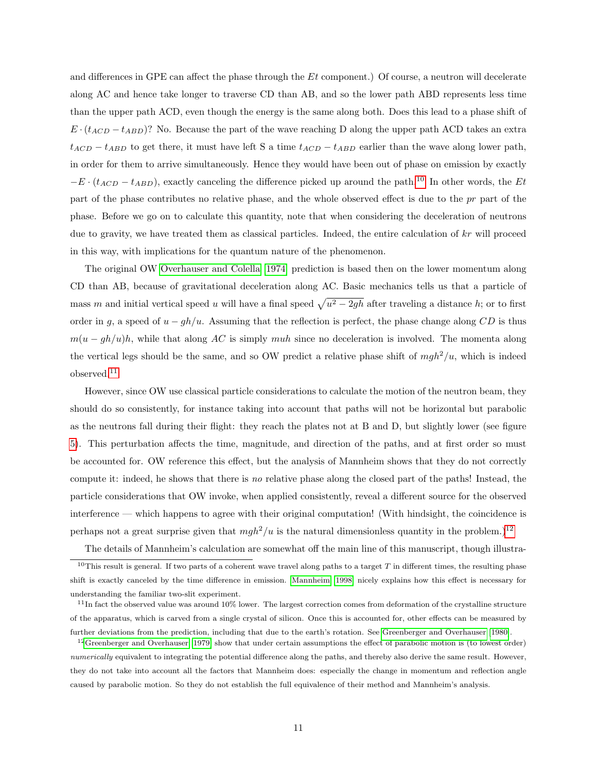and differences in GPE can affect the phase through the Et component.) Of course, a neutron will decelerate along AC and hence take longer to traverse CD than AB, and so the lower path ABD represents less time than the upper path ACD, even though the energy is the same along both. Does this lead to a phase shift of  $E \cdot (t_{ACD} - t_{ABD})$ ? No. Because the part of the wave reaching D along the upper path ACD takes an extra  $t_{ACD} - t_{ABD}$  to get there, it must have left S a time  $t_{ACD} - t_{ABD}$  earlier than the wave along lower path, in order for them to arrive simultaneously. Hence they would have been out of phase on emission by exactly  $-E \cdot (t_{ACD} - t_{ABD})$ , exactly canceling the difference picked up around the path.<sup>[10](#page-10-0)</sup> In other words, the Et part of the phase contributes no relative phase, and the whole observed effect is due to the pr part of the phase. Before we go on to calculate this quantity, note that when considering the deceleration of neutrons due to gravity, we have treated them as classical particles. Indeed, the entire calculation of kr will proceed in this way, with implications for the quantum nature of the phenomenon.

The original OW [Overhauser and Colella](#page-53-2) [\[1974\]](#page-53-2) prediction is based then on the lower momentum along CD than AB, because of gravitational deceleration along AC. Basic mechanics tells us that a particle of mass m and initial vertical speed u will have a final speed  $\sqrt{u^2 - 2gh}$  after traveling a distance h; or to first order in g, a speed of  $u - gh/u$ . Assuming that the reflection is perfect, the phase change along CD is thus  $m(u - gh/u)h$ , while that along AC is simply muh since no deceleration is involved. The momenta along the vertical legs should be the same, and so OW predict a relative phase shift of  $mgh^2/u$ , which is indeed observed.[11](#page-10-1)

However, since OW use classical particle considerations to calculate the motion of the neutron beam, they should do so consistently, for instance taking into account that paths will not be horizontal but parabolic as the neutrons fall during their flight: they reach the plates not at B and D, but slightly lower (see figure [5\)](#page-55-1). This perturbation affects the time, magnitude, and direction of the paths, and at first order so must be accounted for. OW reference this effect, but the analysis of Mannheim shows that they do not correctly compute it: indeed, he shows that there is no relative phase along the closed part of the paths! Instead, the particle considerations that OW invoke, when applied consistently, reveal a different source for the observed interference — which happens to agree with their original computation! (With hindsight, the coincidence is perhaps not a great surprise given that  $mgh^2/u$  is the natural dimensionless quantity in the problem.)<sup>[12](#page-10-2)</sup>

<span id="page-10-0"></span>The details of Mannheim's calculation are somewhat off the main line of this manuscript, though illustra-

<sup>&</sup>lt;sup>10</sup>This result is general. If two parts of a coherent wave travel along paths to a target T in different times, the resulting phase shift is exactly canceled by the time difference in emission. [Mannheim](#page-53-3) [\[1998\]](#page-53-3) nicely explains how this effect is necessary for understanding the familiar two-slit experiment.

<span id="page-10-1"></span><sup>11</sup>In fact the observed value was around 10% lower. The largest correction comes from deformation of the crystalline structure of the apparatus, which is carved from a single crystal of silicon. Once this is accounted for, other effects can be measured by further deviations from the prediction, including that due to the earth's rotation. See [Greenberger and Overhauser](#page-52-5) [\[1980\]](#page-52-5).

<span id="page-10-2"></span><sup>&</sup>lt;sup>12</sup>[Greenberger and Overhauser](#page-52-6) [\[1979\]](#page-52-6) show that under certain assumptions the effect of parabolic motion is (to lowest order) numerically equivalent to integrating the potential difference along the paths, and thereby also derive the same result. However, they do not take into account all the factors that Mannheim does: especially the change in momentum and reflection angle caused by parabolic motion. So they do not establish the full equivalence of their method and Mannheim's analysis.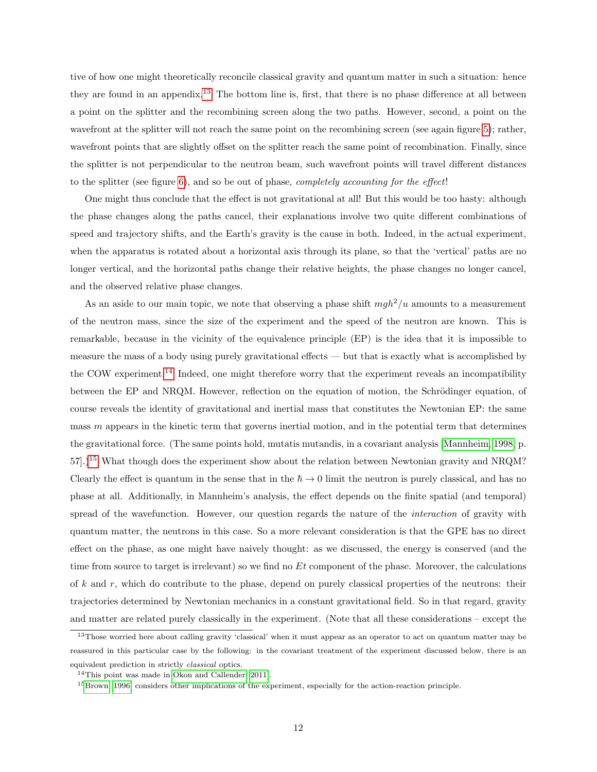tive of how one might theoretically reconcile classical gravity and quantum matter in such a situation: hence they are found in an appendix.<sup>[13](#page-11-0)</sup> The bottom line is, first, that there is no phase difference at all between a point on the splitter and the recombining screen along the two paths. However, second, a point on the wavefront at the splitter will not reach the same point on the recombining screen (see again figure [5\)](#page-55-1); rather, wavefront points that are slightly offset on the splitter reach the same point of recombination. Finally, since the splitter is not perpendicular to the neutron beam, such wavefront points will travel different distances to the splitter (see figure [6\)](#page-56-0), and so be out of phase, completely accounting for the effect!

One might thus conclude that the effect is not gravitational at all! But this would be too hasty: although the phase changes along the paths cancel, their explanations involve two quite different combinations of speed and trajectory shifts, and the Earth's gravity is the cause in both. Indeed, in the actual experiment, when the apparatus is rotated about a horizontal axis through its plane, so that the 'vertical' paths are no longer vertical, and the horizontal paths change their relative heights, the phase changes no longer cancel, and the observed relative phase changes.

As an aside to our main topic, we note that observing a phase shift  $mgh^2/u$  amounts to a measurement of the neutron mass, since the size of the experiment and the speed of the neutron are known. This is remarkable, because in the vicinity of the equivalence principle (EP) is the idea that it is impossible to measure the mass of a body using purely gravitational effects — but that is exactly what is accomplished by the COW experiment.<sup>[14](#page-11-1)</sup> Indeed, one might therefore worry that the experiment reveals an incompatibility between the EP and NRQM. However, reflection on the equation of motion, the Schrödinger equation, of course reveals the identity of gravitational and inertial mass that constitutes the Newtonian EP: the same mass m appears in the kinetic term that governs inertial motion, and in the potential term that determines the gravitational force. (The same points hold, mutatis mutandis, in a covariant analysis [\[Mannheim, 1998,](#page-53-3) p.  $57$ .)<sup>[15](#page-11-2)</sup> What though does the experiment show about the relation between Newtonian gravity and NRQM? Clearly the effect is quantum in the sense that in the  $\hbar \to 0$  limit the neutron is purely classical, and has no phase at all. Additionally, in Mannheim's analysis, the effect depends on the finite spatial (and temporal) spread of the wavefunction. However, our question regards the nature of the *interaction* of gravity with quantum matter, the neutrons in this case. So a more relevant consideration is that the GPE has no direct effect on the phase, as one might have naively thought: as we discussed, the energy is conserved (and the time from source to target is irrelevant) so we find no Et component of the phase. Moreover, the calculations of  $k$  and  $r$ , which do contribute to the phase, depend on purely classical properties of the neutrons: their trajectories determined by Newtonian mechanics in a constant gravitational field. So in that regard, gravity and matter are related purely classically in the experiment. (Note that all these considerations – except the

<span id="page-11-0"></span><sup>&</sup>lt;sup>13</sup>Those worried here about calling gravity 'classical' when it must appear as an operator to act on quantum matter may be reassured in this particular case by the following: in the covariant treatment of the experiment discussed below, there is an equivalent prediction in strictly classical optics.

<span id="page-11-2"></span><span id="page-11-1"></span><sup>14</sup>This point was made in [Okon and Callender](#page-53-4) [\[2011\]](#page-53-4).

<sup>15</sup>[Brown](#page-51-5) [\[1996\]](#page-51-5) considers other implications of the experiment, especially for the action-reaction principle.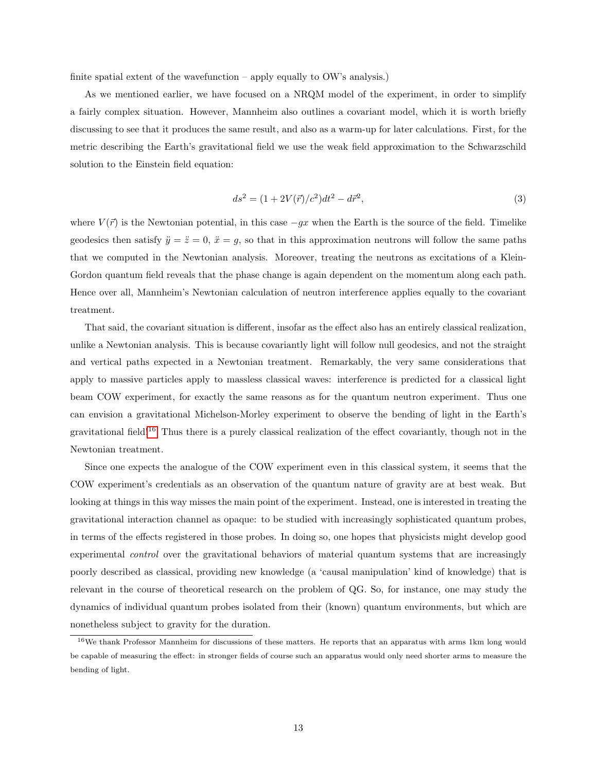finite spatial extent of the wavefunction – apply equally to OW's analysis.)

As we mentioned earlier, we have focused on a NRQM model of the experiment, in order to simplify a fairly complex situation. However, Mannheim also outlines a covariant model, which it is worth briefly discussing to see that it produces the same result, and also as a warm-up for later calculations. First, for the metric describing the Earth's gravitational field we use the weak field approximation to the Schwarzschild solution to the Einstein field equation:

<span id="page-12-1"></span>
$$
ds^2 = (1 + 2V(\vec{r})/c^2)dt^2 - d\vec{r}^2,
$$
\n(3)

where  $V(\vec{r})$  is the Newtonian potential, in this case  $-gx$  when the Earth is the source of the field. Timelike geodesics then satisfy  $\ddot{y} = \ddot{z} = 0$ ,  $\ddot{x} = g$ , so that in this approximation neutrons will follow the same paths that we computed in the Newtonian analysis. Moreover, treating the neutrons as excitations of a Klein-Gordon quantum field reveals that the phase change is again dependent on the momentum along each path. Hence over all, Mannheim's Newtonian calculation of neutron interference applies equally to the covariant treatment.

That said, the covariant situation is different, insofar as the effect also has an entirely classical realization, unlike a Newtonian analysis. This is because covariantly light will follow null geodesics, and not the straight and vertical paths expected in a Newtonian treatment. Remarkably, the very same considerations that apply to massive particles apply to massless classical waves: interference is predicted for a classical light beam COW experiment, for exactly the same reasons as for the quantum neutron experiment. Thus one can envision a gravitational Michelson-Morley experiment to observe the bending of light in the Earth's gravitational field![16](#page-12-0) Thus there is a purely classical realization of the effect covariantly, though not in the Newtonian treatment.

Since one expects the analogue of the COW experiment even in this classical system, it seems that the COW experiment's credentials as an observation of the quantum nature of gravity are at best weak. But looking at things in this way misses the main point of the experiment. Instead, one is interested in treating the gravitational interaction channel as opaque: to be studied with increasingly sophisticated quantum probes, in terms of the effects registered in those probes. In doing so, one hopes that physicists might develop good experimental *control* over the gravitational behaviors of material quantum systems that are increasingly poorly described as classical, providing new knowledge (a 'causal manipulation' kind of knowledge) that is relevant in the course of theoretical research on the problem of QG. So, for instance, one may study the dynamics of individual quantum probes isolated from their (known) quantum environments, but which are nonetheless subject to gravity for the duration.

<span id="page-12-0"></span><sup>16</sup>We thank Professor Mannheim for discussions of these matters. He reports that an apparatus with arms 1km long would be capable of measuring the effect: in stronger fields of course such an apparatus would only need shorter arms to measure the bending of light.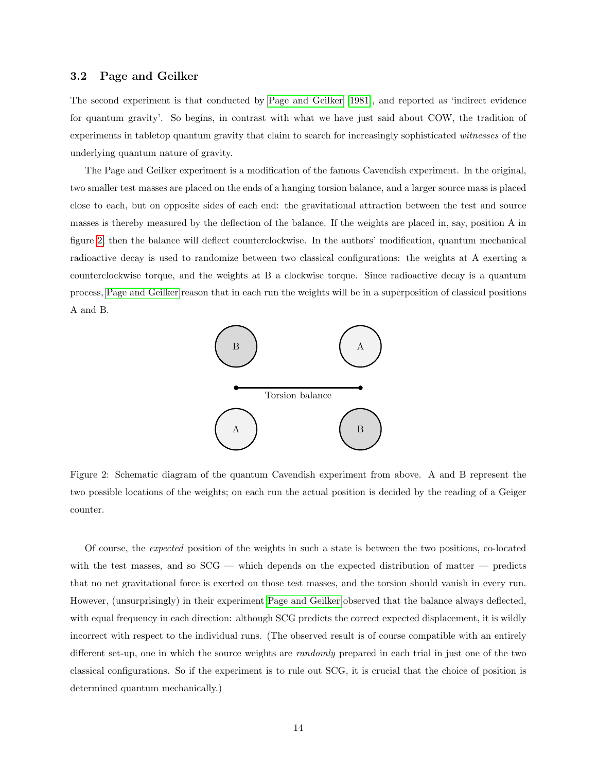#### <span id="page-13-0"></span>3.2 Page and Geilker

The second experiment is that conducted by [Page and Geilker](#page-53-5) [\[1981\]](#page-53-5), and reported as 'indirect evidence for quantum gravity'. So begins, in contrast with what we have just said about COW, the tradition of experiments in tabletop quantum gravity that claim to search for increasingly sophisticated witnesses of the underlying quantum nature of gravity.

The Page and Geilker experiment is a modification of the famous Cavendish experiment. In the original, two smaller test masses are placed on the ends of a hanging torsion balance, and a larger source mass is placed close to each, but on opposite sides of each end: the gravitational attraction between the test and source masses is thereby measured by the deflection of the balance. If the weights are placed in, say, position A in figure [2,](#page-13-1) then the balance will deflect counterclockwise. In the authors' modification, quantum mechanical radioactive decay is used to randomize between two classical configurations: the weights at A exerting a counterclockwise torque, and the weights at B a clockwise torque. Since radioactive decay is a quantum process, [Page and Geilker](#page-53-5) reason that in each run the weights will be in a superposition of classical positions A and B.



<span id="page-13-1"></span>Figure 2: Schematic diagram of the quantum Cavendish experiment from above. A and B represent the two possible locations of the weights; on each run the actual position is decided by the reading of a Geiger counter.

Of course, the expected position of the weights in such a state is between the two positions, co-located with the test masses, and so  $SCG$  — which depends on the expected distribution of matter — predicts that no net gravitational force is exerted on those test masses, and the torsion should vanish in every run. However, (unsurprisingly) in their experiment [Page and Geilker](#page-53-5) observed that the balance always deflected, with equal frequency in each direction: although SCG predicts the correct expected displacement, it is wildly incorrect with respect to the individual runs. (The observed result is of course compatible with an entirely different set-up, one in which the source weights are *randomly* prepared in each trial in just one of the two classical configurations. So if the experiment is to rule out SCG, it is crucial that the choice of position is determined quantum mechanically.)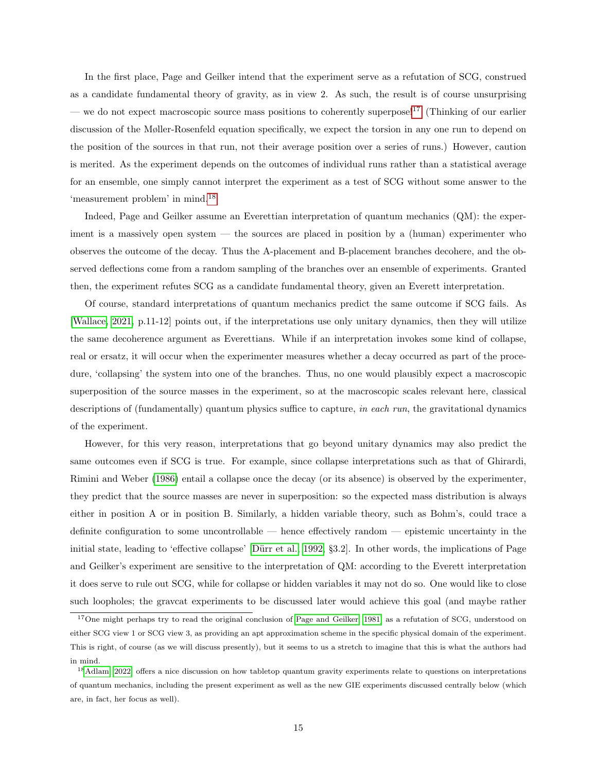In the first place, Page and Geilker intend that the experiment serve as a refutation of SCG, construed as a candidate fundamental theory of gravity, as in view 2. As such, the result is of course unsurprising — we do not expect macroscopic source mass positions to coherently superpose!<sup>[17](#page-14-0)</sup> (Thinking of our earlier discussion of the Møller-Rosenfeld equation specifically, we expect the torsion in any one run to depend on the position of the sources in that run, not their average position over a series of runs.) However, caution is merited. As the experiment depends on the outcomes of individual runs rather than a statistical average for an ensemble, one simply cannot interpret the experiment as a test of SCG without some answer to the 'measurement problem' in mind.[18](#page-14-1)

Indeed, Page and Geilker assume an Everettian interpretation of quantum mechanics (QM): the experiment is a massively open system — the sources are placed in position by a (human) experimenter who observes the outcome of the decay. Thus the A-placement and B-placement branches decohere, and the observed deflections come from a random sampling of the branches over an ensemble of experiments. Granted then, the experiment refutes SCG as a candidate fundamental theory, given an Everett interpretation.

Of course, standard interpretations of quantum mechanics predict the same outcome if SCG fails. As [\[Wallace, 2021,](#page-54-3) p.11-12] points out, if the interpretations use only unitary dynamics, then they will utilize the same decoherence argument as Everettians. While if an interpretation invokes some kind of collapse, real or ersatz, it will occur when the experimenter measures whether a decay occurred as part of the procedure, 'collapsing' the system into one of the branches. Thus, no one would plausibly expect a macroscopic superposition of the source masses in the experiment, so at the macroscopic scales relevant here, classical descriptions of (fundamentally) quantum physics suffice to capture, in each run, the gravitational dynamics of the experiment.

However, for this very reason, interpretations that go beyond unitary dynamics may also predict the same outcomes even if SCG is true. For example, since collapse interpretations such as that of Ghirardi, Rimini and Weber [\(1986\)](#page-51-6) entail a collapse once the decay (or its absence) is observed by the experimenter, they predict that the source masses are never in superposition: so the expected mass distribution is always either in position A or in position B. Similarly, a hidden variable theory, such as Bohm's, could trace a definite configuration to some uncontrollable — hence effectively random — epistemic uncertainty in the initial state, leading to 'effective collapse' [Dürr et al., 1992, §3.2]. In other words, the implications of Page and Geilker's experiment are sensitive to the interpretation of QM: according to the Everett interpretation it does serve to rule out SCG, while for collapse or hidden variables it may not do so. One would like to close such loopholes; the gravcat experiments to be discussed later would achieve this goal (and maybe rather

<span id="page-14-0"></span><sup>&</sup>lt;sup>17</sup>One might perhaps try to read the original conclusion of [Page and Geilker](#page-53-5) [\[1981\]](#page-53-5) as a refutation of SCG, understood on either SCG view 1 or SCG view 3, as providing an apt approximation scheme in the specific physical domain of the experiment. This is right, of course (as we will discuss presently), but it seems to us a stretch to imagine that this is what the authors had in mind.

<span id="page-14-1"></span><sup>18</sup>[Adlam](#page-50-3) [\[2022\]](#page-50-3) offers a nice discussion on how tabletop quantum gravity experiments relate to questions on interpretations of quantum mechanics, including the present experiment as well as the new GIE experiments discussed centrally below (which are, in fact, her focus as well).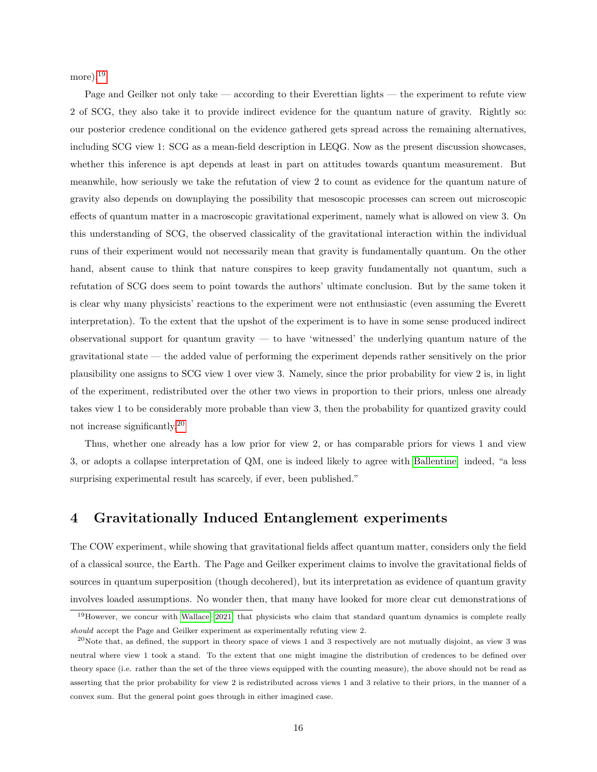more).[19](#page-15-1)

Page and Geilker not only take — according to their Everettian lights — the experiment to refute view 2 of SCG, they also take it to provide indirect evidence for the quantum nature of gravity. Rightly so: our posterior credence conditional on the evidence gathered gets spread across the remaining alternatives, including SCG view 1: SCG as a mean-field description in LEQG. Now as the present discussion showcases, whether this inference is apt depends at least in part on attitudes towards quantum measurement. But meanwhile, how seriously we take the refutation of view 2 to count as evidence for the quantum nature of gravity also depends on downplaying the possibility that mesoscopic processes can screen out microscopic effects of quantum matter in a macroscopic gravitational experiment, namely what is allowed on view 3. On this understanding of SCG, the observed classicality of the gravitational interaction within the individual runs of their experiment would not necessarily mean that gravity is fundamentally quantum. On the other hand, absent cause to think that nature conspires to keep gravity fundamentally not quantum, such a refutation of SCG does seem to point towards the authors' ultimate conclusion. But by the same token it is clear why many physicists' reactions to the experiment were not enthusiastic (even assuming the Everett interpretation). To the extent that the upshot of the experiment is to have in some sense produced indirect observational support for quantum gravity — to have 'witnessed' the underlying quantum nature of the gravitational state — the added value of performing the experiment depends rather sensitively on the prior plausibility one assigns to SCG view 1 over view 3. Namely, since the prior probability for view 2 is, in light of the experiment, redistributed over the other two views in proportion to their priors, unless one already takes view 1 to be considerably more probable than view 3, then the probability for quantized gravity could not increase significantly.[20](#page-15-2)

Thus, whether one already has a low prior for view 2, or has comparable priors for views 1 and view 3, or adopts a collapse interpretation of QM, one is indeed likely to agree with [Ballentine:](#page-50-4) indeed, "a less surprising experimental result has scarcely, if ever, been published."

## <span id="page-15-0"></span>4 Gravitationally Induced Entanglement experiments

The COW experiment, while showing that gravitational fields affect quantum matter, considers only the field of a classical source, the Earth. The Page and Geilker experiment claims to involve the gravitational fields of sources in quantum superposition (though decohered), but its interpretation as evidence of quantum gravity involves loaded assumptions. No wonder then, that many have looked for more clear cut demonstrations of

<span id="page-15-1"></span><sup>&</sup>lt;sup>19</sup>However, we concur with [Wallace](#page-54-3) [\[2021\]](#page-54-3) that physicists who claim that standard quantum dynamics is complete really should accept the Page and Geilker experiment as experimentally refuting view 2.

<span id="page-15-2"></span> $^{20}$ Note that, as defined, the support in theory space of views 1 and 3 respectively are not mutually disjoint, as view 3 was neutral where view 1 took a stand. To the extent that one might imagine the distribution of credences to be defined over theory space (i.e. rather than the set of the three views equipped with the counting measure), the above should not be read as asserting that the prior probability for view 2 is redistributed across views 1 and 3 relative to their priors, in the manner of a convex sum. But the general point goes through in either imagined case.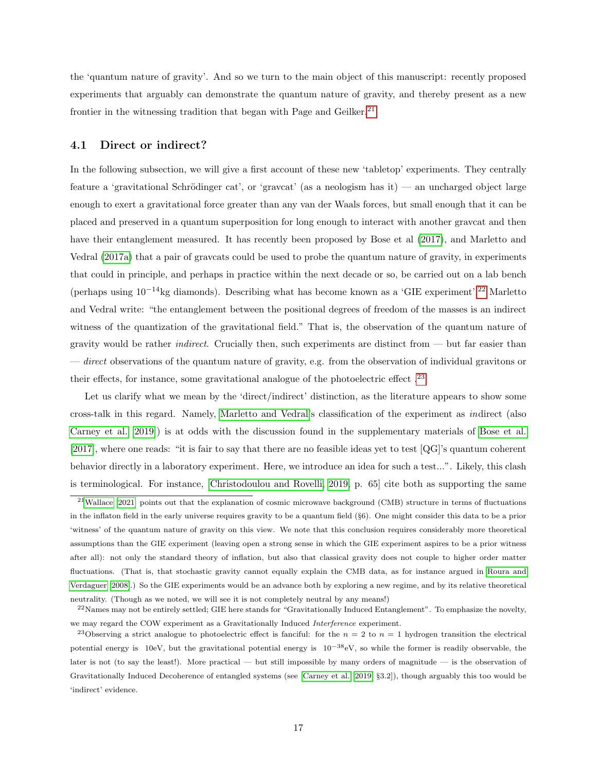the 'quantum nature of gravity'. And so we turn to the main object of this manuscript: recently proposed experiments that arguably can demonstrate the quantum nature of gravity, and thereby present as a new frontier in the witnessing tradition that began with Page and Geilker. $21$ 

#### <span id="page-16-0"></span>4.1 Direct or indirect?

In the following subsection, we will give a first account of these new 'tabletop' experiments. They centrally feature a 'gravitational Schrödinger cat', or 'gravcat' (as a neologism has it) — an uncharged object large enough to exert a gravitational force greater than any van der Waals forces, but small enough that it can be placed and preserved in a quantum superposition for long enough to interact with another gravcat and then have their entanglement measured. It has recently been proposed by Bose et al [\(2017\)](#page-51-2), and Marletto and Vedral [\(2017a\)](#page-53-6) that a pair of gravcats could be used to probe the quantum nature of gravity, in experiments that could in principle, and perhaps in practice within the next decade or so, be carried out on a lab bench (perhaps using  $10^{-14}$ kg diamonds). Describing what has become known as a 'GIE experiment',<sup>[22](#page-16-2)</sup> Marletto and Vedral write: "the entanglement between the positional degrees of freedom of the masses is an indirect witness of the quantization of the gravitational field." That is, the observation of the quantum nature of gravity would be rather *indirect*. Crucially then, such experiments are distinct from  $-$  but far easier than — direct observations of the quantum nature of gravity, e.g. from the observation of individual gravitons or their effects, for instance, some gravitational analogue of the photoelectric effect .[23](#page-16-3)

Let us clarify what we mean by the 'direct/indirect' distinction, as the literature appears to show some cross-talk in this regard. Namely, [Marletto and Vedral'](#page-53-6)s classification of the experiment as indirect (also [Carney et al.](#page-51-3) [\[2019\]](#page-51-3)) is at odds with the discussion found in the supplementary materials of [Bose et al.](#page-51-2) [\[2017\]](#page-51-2), where one reads: "it is fair to say that there are no feasible ideas yet to test [QG]'s quantum coherent behavior directly in a laboratory experiment. Here, we introduce an idea for such a test...". Likely, this clash is terminological. For instance, [\[Christodoulou and Rovelli, 2019,](#page-51-1) p. 65] cite both as supporting the same

<span id="page-16-1"></span><sup>&</sup>lt;sup>21</sup>[Wallace](#page-54-3) [\[2021\]](#page-54-3) points out that the explanation of cosmic microwave background (CMB) structure in terms of fluctuations in the inflaton field in the early universe requires gravity to be a quantum field (§6). One might consider this data to be a prior 'witness' of the quantum nature of gravity on this view. We note that this conclusion requires considerably more theoretical assumptions than the GIE experiment (leaving open a strong sense in which the GIE experiment aspires to be a prior witness after all): not only the standard theory of inflation, but also that classical gravity does not couple to higher order matter fluctuations. (That is, that stochastic gravity cannot equally explain the CMB data, as for instance argued in [Roura and](#page-54-5) [Verdaguer \[2008\]](#page-54-5).) So the GIE experiments would be an advance both by exploring a new regime, and by its relative theoretical neutrality. (Though as we noted, we will see it is not completely neutral by any means!)

<span id="page-16-2"></span> $22$ Names may not be entirely settled; GIE here stands for "Gravitationally Induced Entanglement". To emphasize the novelty, we may regard the COW experiment as a Gravitationally Induced Interference experiment.

<span id="page-16-3"></span><sup>&</sup>lt;sup>23</sup>Observing a strict analogue to photoelectric effect is fanciful: for the  $n = 2$  to  $n = 1$  hydrogen transition the electrical potential energy is 10eV, but the gravitational potential energy is 10−38eV, so while the former is readily observable, the later is not (to say the least!). More practical — but still impossible by many orders of magnitude — is the observation of Gravitationally Induced Decoherence of entangled systems (see [\[Carney et al., 2019,](#page-51-3) §3.2]), though arguably this too would be 'indirect' evidence.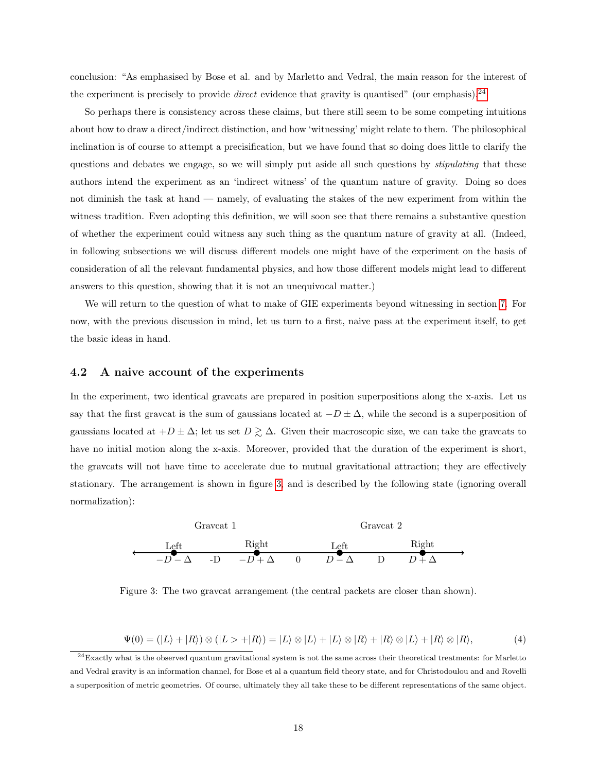conclusion: "As emphasised by Bose et al. and by Marletto and Vedral, the main reason for the interest of the experiment is precisely to provide *direct* evidence that gravity is quantised" (our emphasis).<sup>[24](#page-17-1)</sup>

So perhaps there is consistency across these claims, but there still seem to be some competing intuitions about how to draw a direct/indirect distinction, and how 'witnessing' might relate to them. The philosophical inclination is of course to attempt a precisification, but we have found that so doing does little to clarify the questions and debates we engage, so we will simply put aside all such questions by *stipulating* that these authors intend the experiment as an 'indirect witness' of the quantum nature of gravity. Doing so does not diminish the task at hand — namely, of evaluating the stakes of the new experiment from within the witness tradition. Even adopting this definition, we will soon see that there remains a substantive question of whether the experiment could witness any such thing as the quantum nature of gravity at all. (Indeed, in following subsections we will discuss different models one might have of the experiment on the basis of consideration of all the relevant fundamental physics, and how those different models might lead to different answers to this question, showing that it is not an unequivocal matter.)

We will return to the question of what to make of GIE experiments beyond witnessing in section [7.](#page-41-0) For now, with the previous discussion in mind, let us turn to a first, naive pass at the experiment itself, to get the basic ideas in hand.

#### <span id="page-17-0"></span>4.2 A naive account of the experiments

In the experiment, two identical gravcats are prepared in position superpositions along the x-axis. Let us say that the first graveat is the sum of gaussians located at  $-D \pm \Delta$ , while the second is a superposition of gaussians located at  $+D \pm \Delta$ ; let us set  $D \gtrsim \Delta$ . Given their macroscopic size, we can take the graveats to have no initial motion along the x-axis. Moreover, provided that the duration of the experiment is short, the gravcats will not have time to accelerate due to mutual gravitational attraction; they are effectively stationary. The arrangement is shown in figure [3,](#page-17-2) and is described by the following state (ignoring overall normalization):



<span id="page-17-2"></span>Figure 3: The two gravcat arrangement (the central packets are closer than shown).

<span id="page-17-3"></span>
$$
\Psi(0) = (|L\rangle + |R\rangle) \otimes (|L\rangle + |R\rangle) = |L\rangle \otimes |L\rangle + |L\rangle \otimes |R\rangle + |R\rangle \otimes |L\rangle + |R\rangle \otimes |R\rangle, \tag{4}
$$

<span id="page-17-1"></span> $^{24}$ Exactly what is the observed quantum gravitational system is not the same across their theoretical treatments: for Marletto and Vedral gravity is an information channel, for Bose et al a quantum field theory state, and for Christodoulou and and Rovelli a superposition of metric geometries. Of course, ultimately they all take these to be different representations of the same object.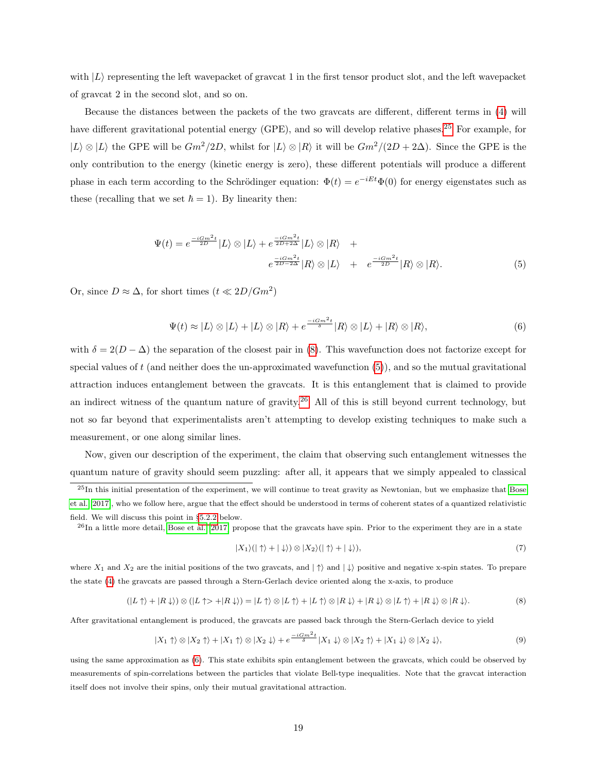with  $|L\rangle$  representing the left wavepacket of gravcat 1 in the first tensor product slot, and the left wavepacket of gravcat 2 in the second slot, and so on.

Because the distances between the packets of the two gravcats are different, different terms in [\(4\)](#page-17-3) will have different gravitational potential energy (GPE), and so will develop relative phases.<sup>[25](#page-18-0)</sup> For example, for  $|L\rangle \otimes |L\rangle$  the GPE will be  $Gm^2/2D$ , whilst for  $|L\rangle \otimes |R\rangle$  it will be  $Gm^2/(2D + 2\Delta)$ . Since the GPE is the only contribution to the energy (kinetic energy is zero), these different potentials will produce a different phase in each term according to the Schrödinger equation:  $\Phi(t) = e^{-iEt}\Phi(0)$  for energy eigenstates such as these (recalling that we set  $\hbar = 1$ ). By linearity then:

<span id="page-18-2"></span>
$$
\Psi(t) = e^{\frac{-iGm^2t}{2D}} |L\rangle \otimes |L\rangle + e^{\frac{-iGm^2t}{2D+2\Delta}} |L\rangle \otimes |R\rangle +
$$
  
\n
$$
e^{\frac{-iGm^2t}{2D-2\Delta}} |R\rangle \otimes |L\rangle + e^{\frac{-iGm^2t}{2D}} |R\rangle \otimes |R\rangle.
$$
\n(5)

Or, since  $D \approx \Delta$ , for short times  $(t \ll 2D/Gm^2)$ 

<span id="page-18-4"></span>
$$
\Psi(t) \approx |L\rangle \otimes |L\rangle + |L\rangle \otimes |R\rangle + e^{\frac{-iGm^2t}{\delta}}|R\rangle \otimes |L\rangle + |R\rangle \otimes |R\rangle, \tag{6}
$$

with  $\delta = 2(D - \Delta)$  the separation of the closest pair in [\(8\)](#page-18-1). This wavefunction does not factorize except for special values of  $t$  (and neither does the un-approximated wavefunction  $(5)$ ), and so the mutual gravitational attraction induces entanglement between the gravcats. It is this entanglement that is claimed to provide an indirect witness of the quantum nature of gravity.<sup>[26](#page-18-3)</sup> All of this is still beyond current technology, but not so far beyond that experimentalists aren't attempting to develop existing techniques to make such a measurement, or one along similar lines.

Now, given our description of the experiment, the claim that observing such entanglement witnesses the quantum nature of gravity should seem puzzling: after all, it appears that we simply appealed to classical

<span id="page-18-3"></span> $^{26}$ In a little more detail, [Bose et al.](#page-51-2) [\[2017\]](#page-51-2) propose that the gravcats have spin. Prior to the experiment they are in a state

$$
|X_1\rangle(|\uparrow\rangle + |\downarrow\rangle) \otimes |X_2\rangle(|\uparrow\rangle + |\downarrow\rangle),\tag{7}
$$

where  $X_1$  and  $X_2$  are the initial positions of the two graveats, and  $|\uparrow\rangle$  and  $|\downarrow\rangle$  positive and negative x-spin states. To prepare the state [\(4\)](#page-17-3) the gravcats are passed through a Stern-Gerlach device oriented along the x-axis, to produce

<span id="page-18-1"></span>
$$
(|L \uparrow\rangle + |R \downarrow\rangle) \otimes (|L \uparrow\rangle + |R \downarrow\rangle) = |L \uparrow\rangle \otimes |L \uparrow\rangle + |L \uparrow\rangle \otimes |R \downarrow\rangle + |R \downarrow\rangle \otimes |L \uparrow\rangle + |R \downarrow\rangle \otimes |R \downarrow\rangle. \tag{8}
$$

After gravitational entanglement is produced, the gravcats are passed back through the Stern-Gerlach device to yield

$$
|X_1 \uparrow\rangle \otimes |X_2 \uparrow\rangle + |X_1 \uparrow\rangle \otimes |X_2 \downarrow\rangle + e^{\frac{-iGm^2t}{\delta}} |X_1 \downarrow\rangle \otimes |X_2 \uparrow\rangle + |X_1 \downarrow\rangle \otimes |X_2 \downarrow\rangle, \tag{9}
$$

using the same approximation as [\(6\)](#page-18-4). This state exhibits spin entanglement between the gravcats, which could be observed by measurements of spin-correlations between the particles that violate Bell-type inequalities. Note that the gravcat interaction itself does not involve their spins, only their mutual gravitational attraction.

<span id="page-18-0"></span> $^{25}$ In this initial presentation of the experiment, we will continue to treat gravity as Newtonian, but we emphasize that [Bose](#page-51-2) [et al.](#page-51-2) [\[2017\]](#page-51-2), who we follow here, argue that the effect should be understood in terms of coherent states of a quantized relativistic field. We will discuss this point in §[5.2.2](#page-29-0) below.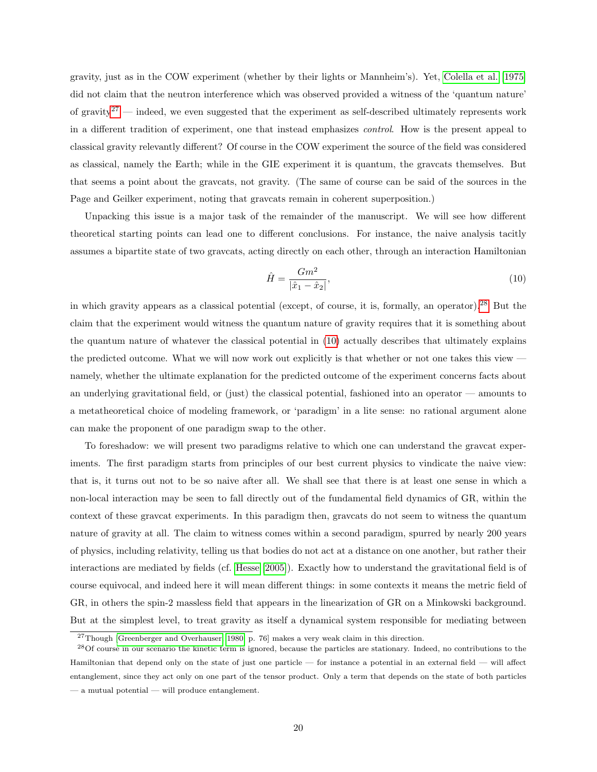gravity, just as in the COW experiment (whether by their lights or Mannheim's). Yet, [Colella et al.](#page-51-4) [\[1975\]](#page-51-4) did not claim that the neutron interference which was observed provided a witness of the 'quantum nature' of gravity<sup>[27](#page-19-0)</sup> — indeed, we even suggested that the experiment as self-described ultimately represents work in a different tradition of experiment, one that instead emphasizes control. How is the present appeal to classical gravity relevantly different? Of course in the COW experiment the source of the field was considered as classical, namely the Earth; while in the GIE experiment it is quantum, the gravcats themselves. But that seems a point about the gravcats, not gravity. (The same of course can be said of the sources in the Page and Geilker experiment, noting that gravcats remain in coherent superposition.)

Unpacking this issue is a major task of the remainder of the manuscript. We will see how different theoretical starting points can lead one to different conclusions. For instance, the naive analysis tacitly assumes a bipartite state of two gravcats, acting directly on each other, through an interaction Hamiltonian

<span id="page-19-2"></span>
$$
\hat{H} = \frac{Gm^2}{|\hat{x}_1 - \hat{x}_2|},\tag{10}
$$

in which gravity appears as a classical potential (except, of course, it is, formally, an operator).[28](#page-19-1) But the claim that the experiment would witness the quantum nature of gravity requires that it is something about the quantum nature of whatever the classical potential in [\(10\)](#page-19-2) actually describes that ultimately explains the predicted outcome. What we will now work out explicitly is that whether or not one takes this view namely, whether the ultimate explanation for the predicted outcome of the experiment concerns facts about an underlying gravitational field, or (just) the classical potential, fashioned into an operator — amounts to a metatheoretical choice of modeling framework, or 'paradigm' in a lite sense: no rational argument alone can make the proponent of one paradigm swap to the other.

To foreshadow: we will present two paradigms relative to which one can understand the gravcat experiments. The first paradigm starts from principles of our best current physics to vindicate the naive view: that is, it turns out not to be so naive after all. We shall see that there is at least one sense in which a non-local interaction may be seen to fall directly out of the fundamental field dynamics of GR, within the context of these gravcat experiments. In this paradigm then, gravcats do not seem to witness the quantum nature of gravity at all. The claim to witness comes within a second paradigm, spurred by nearly 200 years of physics, including relativity, telling us that bodies do not act at a distance on one another, but rather their interactions are mediated by fields (cf. [Hesse](#page-52-7) [\[2005\]](#page-52-7)). Exactly how to understand the gravitational field is of course equivocal, and indeed here it will mean different things: in some contexts it means the metric field of GR, in others the spin-2 massless field that appears in the linearization of GR on a Minkowski background. But at the simplest level, to treat gravity as itself a dynamical system responsible for mediating between

<span id="page-19-1"></span><span id="page-19-0"></span><sup>27</sup>Though [\[Greenberger and Overhauser, 1980,](#page-52-5) p. 76] makes a very weak claim in this direction.

<sup>28</sup>Of course in our scenario the kinetic term is ignored, because the particles are stationary. Indeed, no contributions to the Hamiltonian that depend only on the state of just one particle — for instance a potential in an external field — will affect entanglement, since they act only on one part of the tensor product. Only a term that depends on the state of both particles — a mutual potential — will produce entanglement.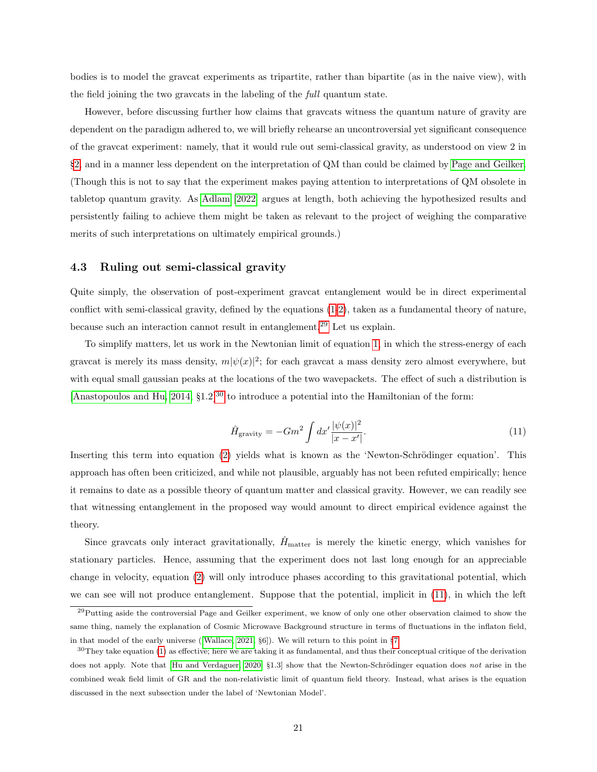bodies is to model the gravcat experiments as tripartite, rather than bipartite (as in the naive view), with the field joining the two gravcats in the labeling of the full quantum state.

However, before discussing further how claims that gravcats witness the quantum nature of gravity are dependent on the paradigm adhered to, we will briefly rehearse an uncontroversial yet significant consequence of the gravcat experiment: namely, that it would rule out semi-classical gravity, as understood on view 2 in §[2,](#page-4-0) and in a manner less dependent on the interpretation of QM than could be claimed by [Page and Geilker.](#page-53-5) (Though this is not to say that the experiment makes paying attention to interpretations of QM obsolete in tabletop quantum gravity. As [Adlam](#page-50-3) [\[2022\]](#page-50-3) argues at length, both achieving the hypothesized results and persistently failing to achieve them might be taken as relevant to the project of weighing the comparative merits of such interpretations on ultimately empirical grounds.)

#### <span id="page-20-0"></span>4.3 Ruling out semi-classical gravity

Quite simply, the observation of post-experiment gravcat entanglement would be in direct experimental conflict with semi-classical gravity, defined by the equations [\(1-](#page-5-0)[2\)](#page-6-1), taken as a fundamental theory of nature, because such an interaction cannot result in entanglement.[29](#page-20-1) Let us explain.

To simplify matters, let us work in the Newtonian limit of equation [1,](#page-5-0) in which the stress-energy of each gravcat is merely its mass density,  $m|\psi(x)|^2$ ; for each gravcat a mass density zero almost everywhere, but with equal small gaussian peaks at the locations of the two wavepackets. The effect of such a distribution is [Anastopoulos and Hu,  $2014$ ,  $\S1.2$ ]<sup>[30](#page-20-2)</sup> to introduce a potential into the Hamiltonian of the form:

<span id="page-20-3"></span>
$$
\hat{H}_{\text{gravity}} = -Gm^2 \int dx' \frac{|\psi(x)|^2}{|x - x'|}.\tag{11}
$$

Inserting this term into equation [\(2\)](#page-6-1) yields what is known as the 'Newton-Schrödinger equation'. This approach has often been criticized, and while not plausible, arguably has not been refuted empirically; hence it remains to date as a possible theory of quantum matter and classical gravity. However, we can readily see that witnessing entanglement in the proposed way would amount to direct empirical evidence against the theory.

Since graveats only interact gravitationally,  $\hat{H}_{\text{matter}}$  is merely the kinetic energy, which vanishes for stationary particles. Hence, assuming that the experiment does not last long enough for an appreciable change in velocity, equation [\(2\)](#page-6-1) will only introduce phases according to this gravitational potential, which we can see will not produce entanglement. Suppose that the potential, implicit in [\(11\)](#page-20-3), in which the left

<span id="page-20-1"></span> $^{29}$ Putting aside the controversial Page and Geilker experiment, we know of only one other observation claimed to show the same thing, namely the explanation of Cosmic Microwave Background structure in terms of fluctuations in the inflaton field, in that model of the early universe ([\[Wallace, 2021,](#page-54-3) §6]). We will return to this point in §[7.](#page-41-0)

<span id="page-20-2"></span> $30$ They take equation [\(1\)](#page-5-0) as effective; here we are taking it as fundamental, and thus their conceptual critique of the derivation does not apply. Note that [\[Hu and Verdaguer, 2020,](#page-52-8) §1.3] show that the Newton-Schrödinger equation does not arise in the combined weak field limit of GR and the non-relativistic limit of quantum field theory. Instead, what arises is the equation discussed in the next subsection under the label of 'Newtonian Model'.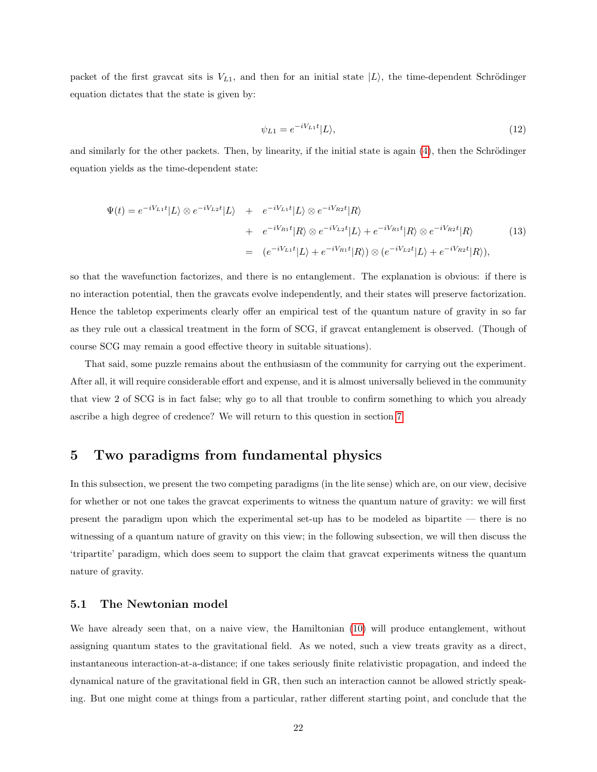packet of the first gravcat sits is  $V_{L1}$ , and then for an initial state  $|L\rangle$ , the time-dependent Schrödinger equation dictates that the state is given by:

$$
\psi_{L1} = e^{-iV_{L1}t} |L\rangle,\tag{12}
$$

and similarly for the other packets. Then, by linearity, if the initial state is again  $(4)$ , then the Schrödinger equation yields as the time-dependent state:

$$
\Psi(t) = e^{-iV_{L1}t}|L\rangle \otimes e^{-iV_{L2}t}|L\rangle + e^{-iV_{L1}t}|L\rangle \otimes e^{-iV_{R2}t}|R\rangle
$$
  
+ 
$$
e^{-iV_{R1}t}|R\rangle \otimes e^{-iV_{L2}t}|L\rangle + e^{-iV_{R1}t}|R\rangle \otimes e^{-iV_{R2}t}|R\rangle
$$
(13)  
= 
$$
(e^{-iV_{L1}t}|L\rangle + e^{-iV_{R1}t}|R\rangle) \otimes (e^{-iV_{L2}t}|L\rangle + e^{-iV_{R2}t}|R\rangle),
$$

so that the wavefunction factorizes, and there is no entanglement. The explanation is obvious: if there is no interaction potential, then the gravcats evolve independently, and their states will preserve factorization. Hence the tabletop experiments clearly offer an empirical test of the quantum nature of gravity in so far as they rule out a classical treatment in the form of SCG, if gravcat entanglement is observed. (Though of course SCG may remain a good effective theory in suitable situations).

That said, some puzzle remains about the enthusiasm of the community for carrying out the experiment. After all, it will require considerable effort and expense, and it is almost universally believed in the community that view 2 of SCG is in fact false; why go to all that trouble to confirm something to which you already ascribe a high degree of credence? We will return to this question in section [7.](#page-41-0)

## <span id="page-21-0"></span>5 Two paradigms from fundamental physics

In this subsection, we present the two competing paradigms (in the lite sense) which are, on our view, decisive for whether or not one takes the gravcat experiments to witness the quantum nature of gravity: we will first present the paradigm upon which the experimental set-up has to be modeled as bipartite — there is no witnessing of a quantum nature of gravity on this view; in the following subsection, we will then discuss the 'tripartite' paradigm, which does seem to support the claim that gravcat experiments witness the quantum nature of gravity.

#### <span id="page-21-1"></span>5.1 The Newtonian model

We have already seen that, on a naive view, the Hamiltonian  $(10)$  will produce entanglement, without assigning quantum states to the gravitational field. As we noted, such a view treats gravity as a direct, instantaneous interaction-at-a-distance; if one takes seriously finite relativistic propagation, and indeed the dynamical nature of the gravitational field in GR, then such an interaction cannot be allowed strictly speaking. But one might come at things from a particular, rather different starting point, and conclude that the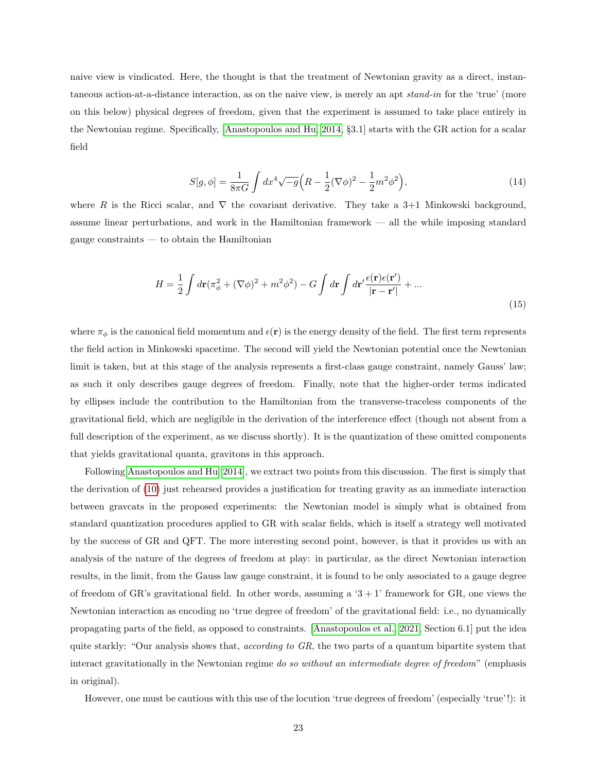naive view is vindicated. Here, the thought is that the treatment of Newtonian gravity as a direct, instantaneous action-at-a-distance interaction, as on the naive view, is merely an apt stand-in for the 'true' (more on this below) physical degrees of freedom, given that the experiment is assumed to take place entirely in the Newtonian regime. Specifically, [\[Anastopoulos and Hu, 2014,](#page-50-1) §3.1] starts with the GR action for a scalar field

$$
S[g,\phi] = \frac{1}{8\pi G} \int dx^4 \sqrt{-g} \Big( R - \frac{1}{2} (\nabla \phi)^2 - \frac{1}{2} m^2 \phi^2 \Big), \tag{14}
$$

where R is the Ricci scalar, and  $\nabla$  the covariant derivative. They take a 3+1 Minkowski background, assume linear perturbations, and work in the Hamiltonian framework — all the while imposing standard gauge constraints — to obtain the Hamiltonian

$$
H = \frac{1}{2} \int d\mathbf{r} (\pi_{\phi}^{2} + (\nabla \phi)^{2} + m^{2} \phi^{2}) - G \int d\mathbf{r} \int d\mathbf{r}' \frac{\epsilon(\mathbf{r}) \epsilon(\mathbf{r}')}{|\mathbf{r} - \mathbf{r}'|} + \dots
$$
\n(15)

where  $\pi_{\phi}$  is the canonical field momentum and  $\epsilon(\mathbf{r})$  is the energy density of the field. The first term represents the field action in Minkowski spacetime. The second will yield the Newtonian potential once the Newtonian limit is taken, but at this stage of the analysis represents a first-class gauge constraint, namely Gauss' law; as such it only describes gauge degrees of freedom. Finally, note that the higher-order terms indicated by ellipses include the contribution to the Hamiltonian from the transverse-traceless components of the gravitational field, which are negligible in the derivation of the interference effect (though not absent from a full description of the experiment, as we discuss shortly). It is the quantization of these omitted components that yields gravitational quanta, gravitons in this approach.

Following [Anastopoulos and Hu](#page-50-1) [\[2014\]](#page-50-1), we extract two points from this discussion. The first is simply that the derivation of [\(10\)](#page-19-2) just rehearsed provides a justification for treating gravity as an immediate interaction between gravcats in the proposed experiments: the Newtonian model is simply what is obtained from standard quantization procedures applied to GR with scalar fields, which is itself a strategy well motivated by the success of GR and QFT. The more interesting second point, however, is that it provides us with an analysis of the nature of the degrees of freedom at play: in particular, as the direct Newtonian interaction results, in the limit, from the Gauss law gauge constraint, it is found to be only associated to a gauge degree of freedom of GR's gravitational field. In other words, assuming a  $3 + 1$ ' framework for GR, one views the Newtonian interaction as encoding no 'true degree of freedom' of the gravitational field: i.e., no dynamically propagating parts of the field, as opposed to constraints. [\[Anastopoulos et al., 2021,](#page-50-5) Section 6.1] put the idea quite starkly: "Our analysis shows that, *according to GR*, the two parts of a quantum bipartite system that interact gravitationally in the Newtonian regime do so without an intermediate degree of freedom" (emphasis in original).

However, one must be cautious with this use of the locution 'true degrees of freedom' (especially 'true'!): it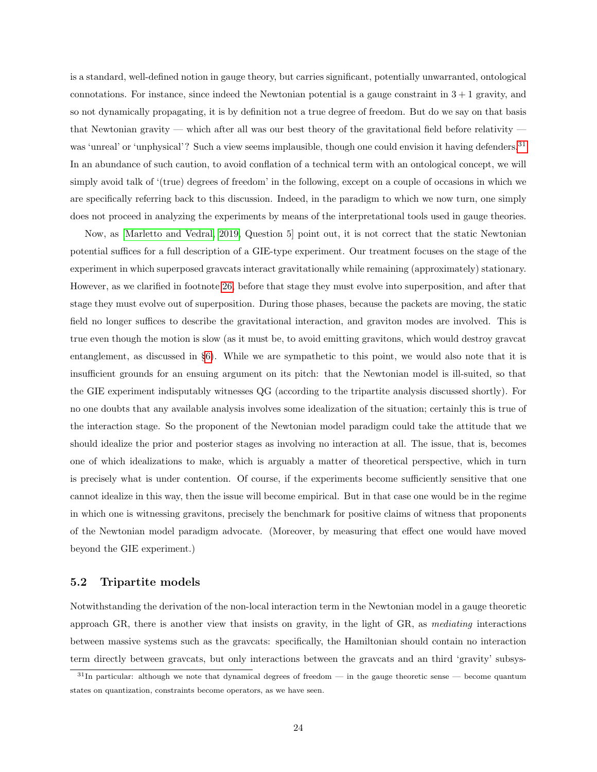is a standard, well-defined notion in gauge theory, but carries significant, potentially unwarranted, ontological connotations. For instance, since indeed the Newtonian potential is a gauge constraint in  $3 + 1$  gravity, and so not dynamically propagating, it is by definition not a true degree of freedom. But do we say on that basis that Newtonian gravity — which after all was our best theory of the gravitational field before relativity — was 'unreal' or 'unphysical'? Such a view seems implausible, though one could envision it having defenders.<sup>[31](#page-23-1)</sup> In an abundance of such caution, to avoid conflation of a technical term with an ontological concept, we will simply avoid talk of '(true) degrees of freedom' in the following, except on a couple of occasions in which we are specifically referring back to this discussion. Indeed, in the paradigm to which we now turn, one simply does not proceed in analyzing the experiments by means of the interpretational tools used in gauge theories.

Now, as [\[Marletto and Vedral, 2019,](#page-53-7) Question 5] point out, it is not correct that the static Newtonian potential suffices for a full description of a GIE-type experiment. Our treatment focuses on the stage of the experiment in which superposed gravcats interact gravitationally while remaining (approximately) stationary. However, as we clarified in footnote [26,](#page-18-3) before that stage they must evolve into superposition, and after that stage they must evolve out of superposition. During those phases, because the packets are moving, the static field no longer suffices to describe the gravitational interaction, and graviton modes are involved. This is true even though the motion is slow (as it must be, to avoid emitting gravitons, which would destroy gravcat entanglement, as discussed in §[6\)](#page-35-0). While we are sympathetic to this point, we would also note that it is insufficient grounds for an ensuing argument on its pitch: that the Newtonian model is ill-suited, so that the GIE experiment indisputably witnesses QG (according to the tripartite analysis discussed shortly). For no one doubts that any available analysis involves some idealization of the situation; certainly this is true of the interaction stage. So the proponent of the Newtonian model paradigm could take the attitude that we should idealize the prior and posterior stages as involving no interaction at all. The issue, that is, becomes one of which idealizations to make, which is arguably a matter of theoretical perspective, which in turn is precisely what is under contention. Of course, if the experiments become sufficiently sensitive that one cannot idealize in this way, then the issue will become empirical. But in that case one would be in the regime in which one is witnessing gravitons, precisely the benchmark for positive claims of witness that proponents of the Newtonian model paradigm advocate. (Moreover, by measuring that effect one would have moved beyond the GIE experiment.)

#### <span id="page-23-0"></span>5.2 Tripartite models

Notwithstanding the derivation of the non-local interaction term in the Newtonian model in a gauge theoretic approach GR, there is another view that insists on gravity, in the light of GR, as mediating interactions between massive systems such as the gravcats: specifically, the Hamiltonian should contain no interaction term directly between gravcats, but only interactions between the gravcats and an third 'gravity' subsys-

<span id="page-23-1"></span> $31$ In particular: although we note that dynamical degrees of freedom — in the gauge theoretic sense — become quantum states on quantization, constraints become operators, as we have seen.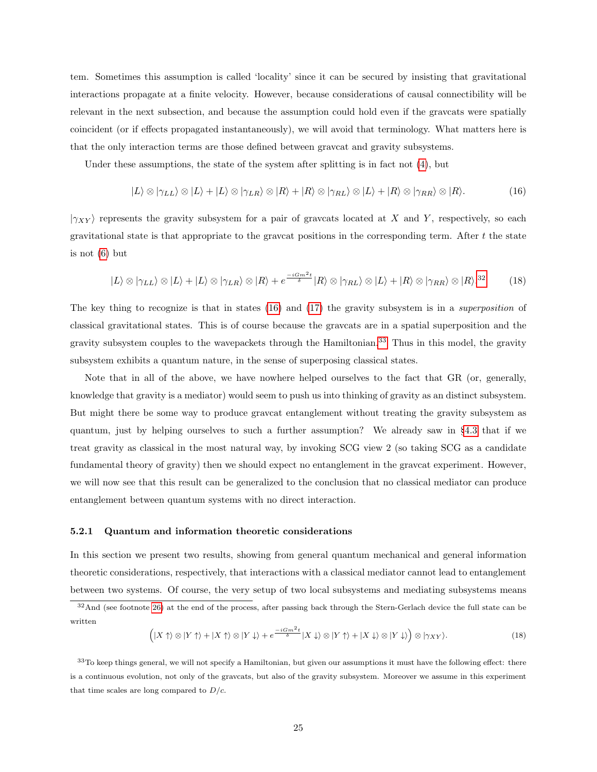tem. Sometimes this assumption is called 'locality' since it can be secured by insisting that gravitational interactions propagate at a finite velocity. However, because considerations of causal connectibility will be relevant in the next subsection, and because the assumption could hold even if the gravcats were spatially coincident (or if effects propagated instantaneously), we will avoid that terminology. What matters here is that the only interaction terms are those defined between gravcat and gravity subsystems.

Under these assumptions, the state of the system after splitting is in fact not [\(4\)](#page-17-3), but

<span id="page-24-2"></span>
$$
|L\rangle \otimes |\gamma_{LL}\rangle \otimes |L\rangle + |L\rangle \otimes |\gamma_{LR}\rangle \otimes |R\rangle + |R\rangle \otimes |\gamma_{RL}\rangle \otimes |L\rangle + |R\rangle \otimes |\gamma_{RR}\rangle \otimes |R\rangle. \tag{16}
$$

 $|\gamma_{XY}\rangle$  represents the gravity subsystem for a pair of graveats located at X and Y, respectively, so each gravitational state is that appropriate to the graveat positions in the corresponding term. After  $t$  the state is not [\(6\)](#page-18-4) but

$$
|L\rangle \otimes |\gamma_{LL}\rangle \otimes |L\rangle + |L\rangle \otimes |\gamma_{LR}\rangle \otimes |R\rangle + e^{\frac{-iGm^2t}{\delta}}|R\rangle \otimes |\gamma_{RL}\rangle \otimes |L\rangle + |R\rangle \otimes |\gamma_{RR}\rangle \otimes |R\rangle^{.32} \tag{18}
$$

The key thing to recognize is that in states [\(16\)](#page-24-2) and [\(17\)](#page-24-3) the gravity subsystem is in a superposition of classical gravitational states. This is of course because the gravcats are in a spatial superposition and the gravity subsystem couples to the wavepackets through the Hamiltonian.[33](#page-24-4) Thus in this model, the gravity subsystem exhibits a quantum nature, in the sense of superposing classical states.

Note that in all of the above, we have nowhere helped ourselves to the fact that GR (or, generally, knowledge that gravity is a mediator) would seem to push us into thinking of gravity as an distinct subsystem. But might there be some way to produce gravcat entanglement without treating the gravity subsystem as quantum, just by helping ourselves to such a further assumption? We already saw in §[4.3](#page-20-0) that if we treat gravity as classical in the most natural way, by invoking SCG view 2 (so taking SCG as a candidate fundamental theory of gravity) then we should expect no entanglement in the gravcat experiment. However, we will now see that this result can be generalized to the conclusion that no classical mediator can produce entanglement between quantum systems with no direct interaction.

#### <span id="page-24-0"></span>5.2.1 Quantum and information theoretic considerations

In this section we present two results, showing from general quantum mechanical and general information theoretic considerations, respectively, that interactions with a classical mediator cannot lead to entanglement between two systems. Of course, the very setup of two local subsystems and mediating subsystems means

<span id="page-24-3"></span>
$$
\left( |X \uparrow\rangle \otimes |Y \uparrow\rangle + |X \uparrow\rangle \otimes |Y \downarrow\rangle + e^{\frac{-iGm^2t}{\delta}} |X \downarrow\rangle \otimes |Y \uparrow\rangle + |X \downarrow\rangle \otimes |Y \downarrow\rangle \right) \otimes |\gamma_{XY}\rangle. \tag{18}
$$

<span id="page-24-1"></span><sup>&</sup>lt;sup>32</sup>And (see footnote [26\)](#page-18-3) at the end of the process, after passing back through the Stern-Gerlach device the full state can be written

<span id="page-24-4"></span> $33T$ o keep things general, we will not specify a Hamiltonian, but given our assumptions it must have the following effect: there is a continuous evolution, not only of the gravcats, but also of the gravity subsystem. Moreover we assume in this experiment that time scales are long compared to  $D/c$ .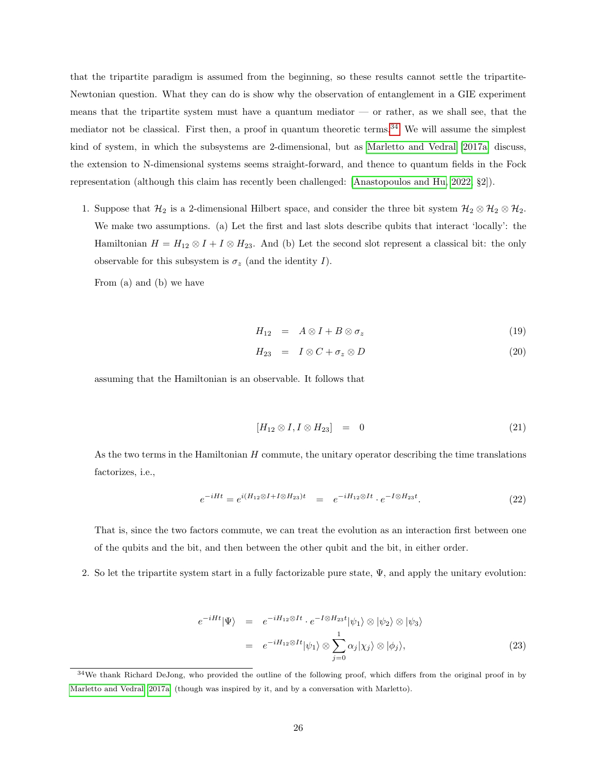that the tripartite paradigm is assumed from the beginning, so these results cannot settle the tripartite-Newtonian question. What they can do is show why the observation of entanglement in a GIE experiment means that the tripartite system must have a quantum mediator  $\sim$  or rather, as we shall see, that the mediator not be classical. First then, a proof in quantum theoretic terms.<sup>[34](#page-25-0)</sup> We will assume the simplest kind of system, in which the subsystems are 2-dimensional, but as [Marletto and Vedral](#page-53-6) [\[2017a\]](#page-53-6) discuss, the extension to N-dimensional systems seems straight-forward, and thence to quantum fields in the Fock representation (although this claim has recently been challenged: [\[Anastopoulos and Hu, 2022,](#page-50-6) §2]).

1. Suppose that  $\mathcal{H}_2$  is a 2-dimensional Hilbert space, and consider the three bit system  $\mathcal{H}_2 \otimes \mathcal{H}_2 \otimes \mathcal{H}_2$ . We make two assumptions. (a) Let the first and last slots describe qubits that interact 'locally': the Hamiltonian  $H = H_{12} \otimes I + I \otimes H_{23}$ . And (b) Let the second slot represent a classical bit: the only observable for this subsystem is  $\sigma_z$  (and the identity I).

From (a) and (b) we have

$$
H_{12} = A \otimes I + B \otimes \sigma_z \tag{19}
$$

$$
H_{23} = I \otimes C + \sigma_z \otimes D \tag{20}
$$

assuming that the Hamiltonian is an observable. It follows that

$$
[H_{12} \otimes I, I \otimes H_{23}] = 0 \tag{21}
$$

As the two terms in the Hamiltonian H commute, the unitary operator describing the time translations factorizes, i.e.,

$$
e^{-iHt} = e^{i(H_{12} \otimes I + I \otimes H_{23})t} = e^{-iH_{12} \otimes It} \cdot e^{-I \otimes H_{23}t}.
$$
\n(22)

That is, since the two factors commute, we can treat the evolution as an interaction first between one of the qubits and the bit, and then between the other qubit and the bit, in either order.

2. So let the tripartite system start in a fully factorizable pure state, Ψ, and apply the unitary evolution:

$$
e^{-iHt}|\Psi\rangle = e^{-iH_{12}\otimes It} \cdot e^{-I\otimes H_{23}t}|\psi_1\rangle \otimes |\psi_2\rangle \otimes |\psi_3\rangle
$$
  
= 
$$
e^{-iH_{12}\otimes It}|\psi_1\rangle \otimes \sum_{j=0}^1 \alpha_j|\chi_j\rangle \otimes |\phi_j\rangle,
$$
 (23)

<span id="page-25-0"></span><sup>34</sup>We thank Richard DeJong, who provided the outline of the following proof, which differs from the original proof in by [Marletto and Vedral](#page-53-6) [\[2017a\]](#page-53-6) (though was inspired by it, and by a conversation with Marletto).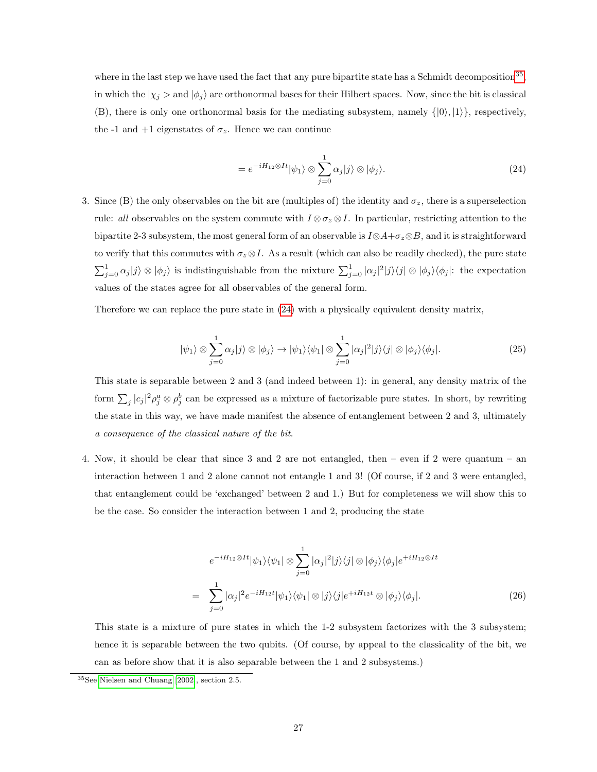where in the last step we have used the fact that any pure bipartite state has a Schmidt decomposition<sup>[35](#page-26-0)</sup>, in which the  $|\chi_j\rangle$  and  $|\phi_j\rangle$  are orthonormal bases for their Hilbert spaces. Now, since the bit is classical (B), there is only one orthonormal basis for the mediating subsystem, namely  $\{|0\rangle, |1\rangle\}$ , respectively, the -1 and +1 eigenstates of  $\sigma_z$ . Hence we can continue

<span id="page-26-1"></span>
$$
=e^{-iH_{12}\otimes It}|\psi_1\rangle\otimes\sum_{j=0}^1\alpha_j|j\rangle\otimes|\phi_j\rangle.
$$
\n(24)

3. Since (B) the only observables on the bit are (multiples of) the identity and  $\sigma_z$ , there is a superselection rule: all observables on the system commute with  $I \otimes \sigma_z \otimes I$ . In particular, restricting attention to the bipartite 2-3 subsystem, the most general form of an observable is  $I \otimes A + \sigma_z \otimes B$ , and it is straightforward to verify that this commutes with  $\sigma_z \otimes I$ . As a result (which can also be readily checked), the pure state  $\sum_{j=0}^1 \alpha_j |j\rangle \otimes |\phi_j\rangle$  is indistinguishable from the mixture  $\sum_{j=0}^1 |\alpha_j|^2 |j\rangle\langle j| \otimes |\phi_j\rangle\langle\phi_j|$ : the expectation values of the states agree for all observables of the general form.

Therefore we can replace the pure state in [\(24\)](#page-26-1) with a physically equivalent density matrix,

$$
|\psi_1\rangle \otimes \sum_{j=0}^1 \alpha_j |j\rangle \otimes |\phi_j\rangle \to |\psi_1\rangle \langle \psi_1| \otimes \sum_{j=0}^1 |\alpha_j|^2 |j\rangle \langle j| \otimes |\phi_j\rangle \langle \phi_j|.
$$
 (25)

This state is separable between 2 and 3 (and indeed between 1): in general, any density matrix of the form  $\sum_j |c_j|^2 \rho_j^a \otimes \rho_j^b$  can be expressed as a mixture of factorizable pure states. In short, by rewriting the state in this way, we have made manifest the absence of entanglement between 2 and 3, ultimately a consequence of the classical nature of the bit.

4. Now, it should be clear that since 3 and 2 are not entangled, then – even if 2 were quantum – an interaction between 1 and 2 alone cannot not entangle 1 and 3! (Of course, if 2 and 3 were entangled, that entanglement could be 'exchanged' between 2 and 1.) But for completeness we will show this to be the case. So consider the interaction between 1 and 2, producing the state

$$
e^{-iH_{12}\otimes It}|\psi_1\rangle\langle\psi_1|\otimes\sum_{j=0}^1|\alpha_j|^2|j\rangle\langle j|\otimes|\phi_j\rangle\langle\phi_j|e^{+iH_{12}\otimes It}
$$

$$
=\sum_{j=0}^1|\alpha_j|^2e^{-iH_{12}t}|\psi_1\rangle\langle\psi_1|\otimes|j\rangle\langle j|e^{+iH_{12}t}\otimes|\phi_j\rangle\langle\phi_j|.
$$
(26)

This state is a mixture of pure states in which the 1-2 subsystem factorizes with the 3 subsystem; hence it is separable between the two qubits. (Of course, by appeal to the classicality of the bit, we can as before show that it is also separable between the 1 and 2 subsystems.)

<span id="page-26-0"></span><sup>35</sup>See [Nielsen and Chuang](#page-53-8) [\[2002\]](#page-53-8), section 2.5.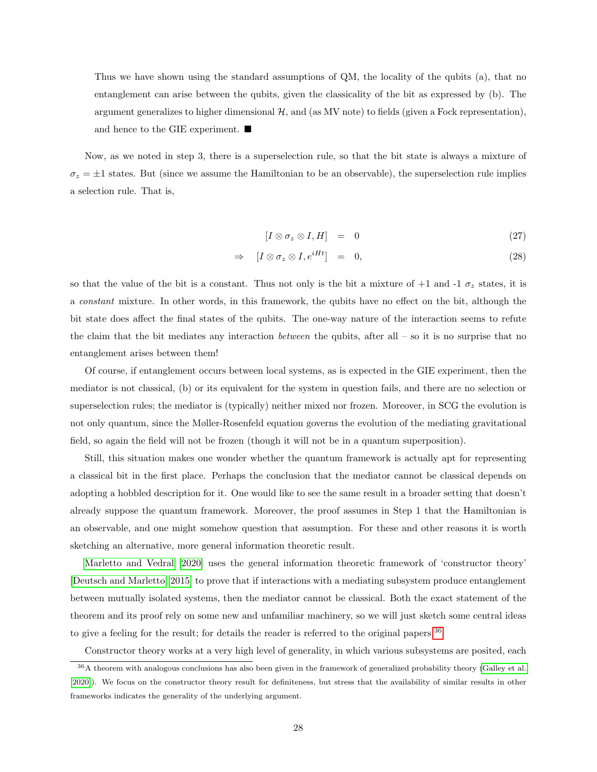Thus we have shown using the standard assumptions of QM, the locality of the qubits (a), that no entanglement can arise between the qubits, given the classicality of the bit as expressed by (b). The argument generalizes to higher dimensional  $H$ , and (as MV note) to fields (given a Fock representation), and hence to the GIE experiment.  $\blacksquare$ 

Now, as we noted in step 3, there is a superselection rule, so that the bit state is always a mixture of  $\sigma_z = \pm 1$  states. But (since we assume the Hamiltonian to be an observable), the superselection rule implies a selection rule. That is,

$$
[I \otimes \sigma_z \otimes I, H] = 0 \tag{27}
$$

$$
\Rightarrow [I \otimes \sigma_z \otimes I, e^{iHt}] = 0, \qquad (28)
$$

so that the value of the bit is a constant. Thus not only is the bit a mixture of  $+1$  and  $-1$   $\sigma_z$  states, it is a constant mixture. In other words, in this framework, the qubits have no effect on the bit, although the bit state does affect the final states of the qubits. The one-way nature of the interaction seems to refute the claim that the bit mediates any interaction between the qubits, after all – so it is no surprise that no entanglement arises between them!

Of course, if entanglement occurs between local systems, as is expected in the GIE experiment, then the mediator is not classical, (b) or its equivalent for the system in question fails, and there are no selection or superselection rules; the mediator is (typically) neither mixed nor frozen. Moreover, in SCG the evolution is not only quantum, since the Møller-Rosenfeld equation governs the evolution of the mediating gravitational field, so again the field will not be frozen (though it will not be in a quantum superposition).

Still, this situation makes one wonder whether the quantum framework is actually apt for representing a classical bit in the first place. Perhaps the conclusion that the mediator cannot be classical depends on adopting a hobbled description for it. One would like to see the same result in a broader setting that doesn't already suppose the quantum framework. Moreover, the proof assumes in Step 1 that the Hamiltonian is an observable, and one might somehow question that assumption. For these and other reasons it is worth sketching an alternative, more general information theoretic result.

[Marletto and Vedral](#page-53-9) [\[2020\]](#page-53-9) uses the general information theoretic framework of 'constructor theory' [\[Deutsch and Marletto, 2015\]](#page-51-8) to prove that if interactions with a mediating subsystem produce entanglement between mutually isolated systems, then the mediator cannot be classical. Both the exact statement of the theorem and its proof rely on some new and unfamiliar machinery, so we will just sketch some central ideas to give a feeling for the result; for details the reader is referred to the original papers.<sup>[36](#page-27-0)</sup>

<span id="page-27-0"></span>Constructor theory works at a very high level of generality, in which various subsystems are posited, each

<sup>&</sup>lt;sup>36</sup>A theorem with analogous conclusions has also been given in the framework of generalized probability theory [\(Galley et al.](#page-51-9) [\[2020\]](#page-51-9)). We focus on the constructor theory result for definiteness, but stress that the availability of similar results in other frameworks indicates the generality of the underlying argument.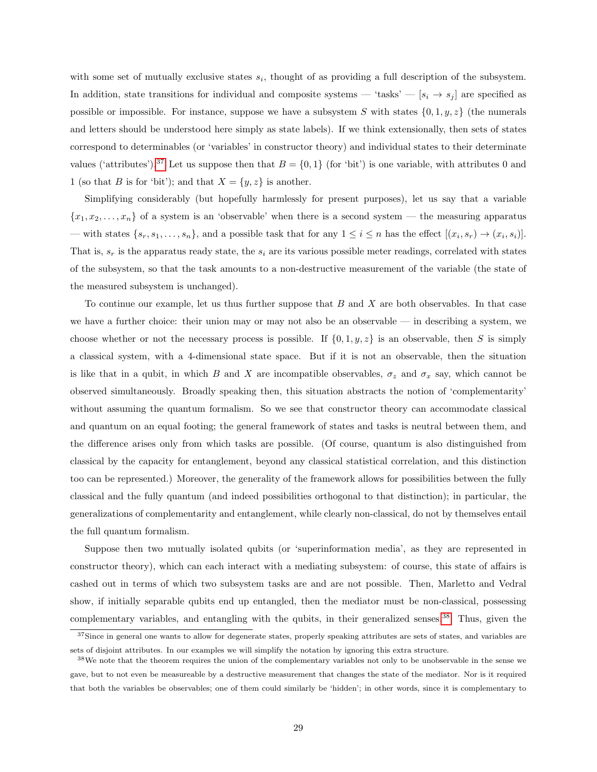with some set of mutually exclusive states  $s_i$ , thought of as providing a full description of the subsystem. In addition, state transitions for individual and composite systems — 'tasks' —  $[s_i \rightarrow s_j]$  are specified as possible or impossible. For instance, suppose we have a subsystem S with states  $\{0, 1, y, z\}$  (the numerals and letters should be understood here simply as state labels). If we think extensionally, then sets of states correspond to determinables (or 'variables' in constructor theory) and individual states to their determinate values ('attributes').<sup>[37](#page-28-0)</sup> Let us suppose then that  $B = \{0, 1\}$  (for 'bit') is one variable, with attributes 0 and 1 (so that B is for 'bit'); and that  $X = \{y, z\}$  is another.

Simplifying considerably (but hopefully harmlessly for present purposes), let us say that a variable  ${x_1, x_2, \ldots, x_n}$  of a system is an 'observable' when there is a second system — the measuring apparatus — with states  $\{s_r, s_1, \ldots, s_n\}$ , and a possible task that for any  $1 \leq i \leq n$  has the effect  $[(x_i, s_r) \to (x_i, s_i)]$ . That is,  $s_r$  is the apparatus ready state, the  $s_i$  are its various possible meter readings, correlated with states of the subsystem, so that the task amounts to a non-destructive measurement of the variable (the state of the measured subsystem is unchanged).

To continue our example, let us thus further suppose that  $B$  and  $X$  are both observables. In that case we have a further choice: their union may or may not also be an observable — in describing a system, we choose whether or not the necessary process is possible. If  $\{0, 1, y, z\}$  is an observable, then S is simply a classical system, with a 4-dimensional state space. But if it is not an observable, then the situation is like that in a qubit, in which B and X are incompatible observables,  $\sigma_z$  and  $\sigma_x$  say, which cannot be observed simultaneously. Broadly speaking then, this situation abstracts the notion of 'complementarity' without assuming the quantum formalism. So we see that constructor theory can accommodate classical and quantum on an equal footing; the general framework of states and tasks is neutral between them, and the difference arises only from which tasks are possible. (Of course, quantum is also distinguished from classical by the capacity for entanglement, beyond any classical statistical correlation, and this distinction too can be represented.) Moreover, the generality of the framework allows for possibilities between the fully classical and the fully quantum (and indeed possibilities orthogonal to that distinction); in particular, the generalizations of complementarity and entanglement, while clearly non-classical, do not by themselves entail the full quantum formalism.

Suppose then two mutually isolated qubits (or 'superinformation media', as they are represented in constructor theory), which can each interact with a mediating subsystem: of course, this state of affairs is cashed out in terms of which two subsystem tasks are and are not possible. Then, Marletto and Vedral show, if initially separable qubits end up entangled, then the mediator must be non-classical, possessing complementary variables, and entangling with the qubits, in their generalized senses.<sup>[38](#page-28-1)</sup> Thus, given the

<span id="page-28-0"></span><sup>&</sup>lt;sup>37</sup>Since in general one wants to allow for degenerate states, properly speaking attributes are sets of states, and variables are sets of disjoint attributes. In our examples we will simplify the notation by ignoring this extra structure.

<span id="page-28-1"></span><sup>&</sup>lt;sup>38</sup>We note that the theorem requires the union of the complementary variables not only to be unobservable in the sense we gave, but to not even be measureable by a destructive measurement that changes the state of the mediator. Nor is it required that both the variables be observables; one of them could similarly be 'hidden'; in other words, since it is complementary to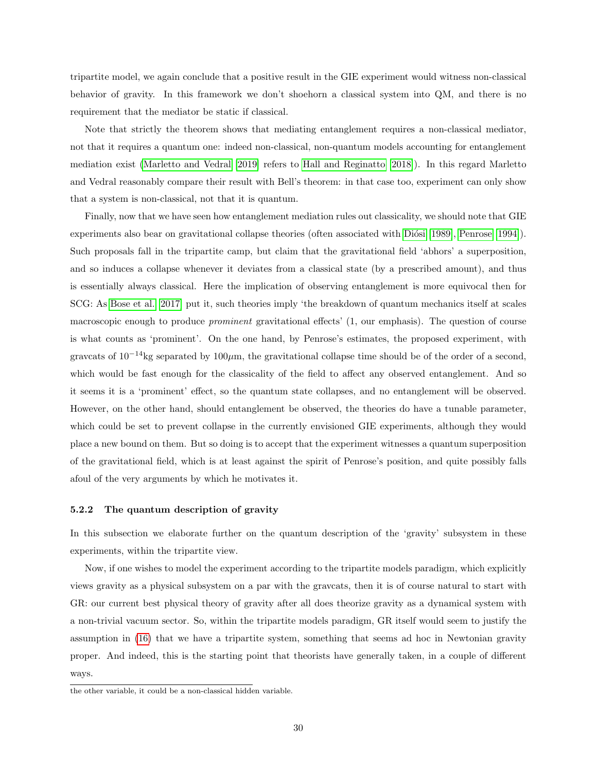tripartite model, we again conclude that a positive result in the GIE experiment would witness non-classical behavior of gravity. In this framework we don't shoehorn a classical system into QM, and there is no requirement that the mediator be static if classical.

Note that strictly the theorem shows that mediating entanglement requires a non-classical mediator, not that it requires a quantum one: indeed non-classical, non-quantum models accounting for entanglement mediation exist [\(Marletto and Vedral](#page-53-7) [\[2019\]](#page-53-7) refers to [Hall and Reginatto](#page-52-9) [\[2018\]](#page-52-9)). In this regard Marletto and Vedral reasonably compare their result with Bell's theorem: in that case too, experiment can only show that a system is non-classical, not that it is quantum.

Finally, now that we have seen how entanglement mediation rules out classicality, we should note that GIE experiments also bear on gravitational collapse theories (often associated with Diósi [\[1989\]](#page-51-10), [Penrose](#page-54-6) [\[1994\]](#page-54-6)). Such proposals fall in the tripartite camp, but claim that the gravitational field 'abhors' a superposition, and so induces a collapse whenever it deviates from a classical state (by a prescribed amount), and thus is essentially always classical. Here the implication of observing entanglement is more equivocal then for SCG: As [Bose et al.](#page-51-2) [\[2017\]](#page-51-2) put it, such theories imply 'the breakdown of quantum mechanics itself at scales macroscopic enough to produce prominent gravitational effects' (1, our emphasis). The question of course is what counts as 'prominent'. On the one hand, by Penrose's estimates, the proposed experiment, with gravcats of  $10^{-14}$ kg separated by  $100\mu$ m, the gravitational collapse time should be of the order of a second, which would be fast enough for the classicality of the field to affect any observed entanglement. And so it seems it is a 'prominent' effect, so the quantum state collapses, and no entanglement will be observed. However, on the other hand, should entanglement be observed, the theories do have a tunable parameter, which could be set to prevent collapse in the currently envisioned GIE experiments, although they would place a new bound on them. But so doing is to accept that the experiment witnesses a quantum superposition of the gravitational field, which is at least against the spirit of Penrose's position, and quite possibly falls afoul of the very arguments by which he motivates it.

#### <span id="page-29-0"></span>5.2.2 The quantum description of gravity

In this subsection we elaborate further on the quantum description of the 'gravity' subsystem in these experiments, within the tripartite view.

Now, if one wishes to model the experiment according to the tripartite models paradigm, which explicitly views gravity as a physical subsystem on a par with the gravcats, then it is of course natural to start with GR: our current best physical theory of gravity after all does theorize gravity as a dynamical system with a non-trivial vacuum sector. So, within the tripartite models paradigm, GR itself would seem to justify the assumption in [\(16\)](#page-24-2) that we have a tripartite system, something that seems ad hoc in Newtonian gravity proper. And indeed, this is the starting point that theorists have generally taken, in a couple of different ways.

the other variable, it could be a non-classical hidden variable.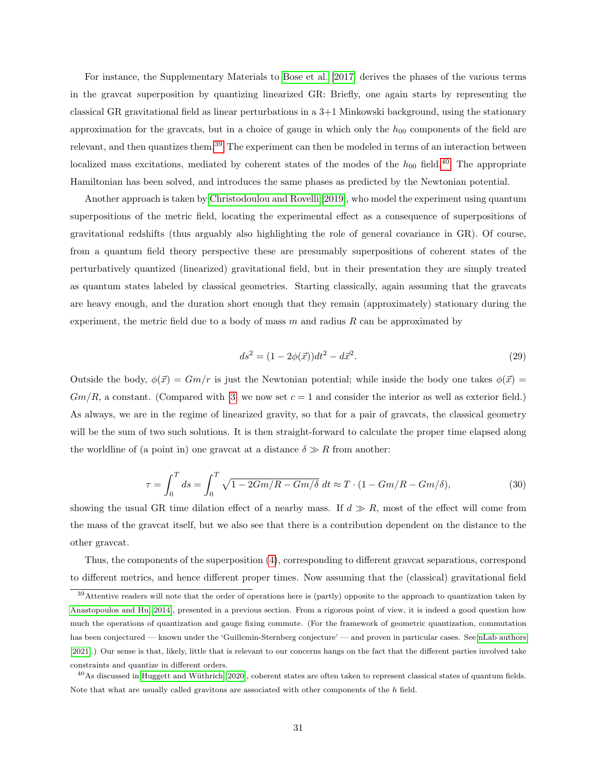For instance, the Supplementary Materials to [Bose et al.](#page-51-2) [\[2017\]](#page-51-2) derives the phases of the various terms in the gravcat superposition by quantizing linearized GR: Briefly, one again starts by representing the classical GR gravitational field as linear perturbations in a 3+1 Minkowski background, using the stationary approximation for the graveats, but in a choice of gauge in which only the  $h_{00}$  components of the field are relevant, and then quantizes them.<sup>[39](#page-30-0)</sup> The experiment can then be modeled in terms of an interaction between localized mass excitations, mediated by coherent states of the modes of the  $h_{00}$  field.<sup>[40](#page-30-1)</sup> The appropriate Hamiltonian has been solved, and introduces the same phases as predicted by the Newtonian potential.

Another approach is taken by [Christodoulou and Rovelli](#page-51-1) [\[2019\]](#page-51-1), who model the experiment using quantum superpositions of the metric field, locating the experimental effect as a consequence of superpositions of gravitational redshifts (thus arguably also highlighting the role of general covariance in GR). Of course, from a quantum field theory perspective these are presumably superpositions of coherent states of the perturbatively quantized (linearized) gravitational field, but in their presentation they are simply treated as quantum states labeled by classical geometries. Starting classically, again assuming that the gravcats are heavy enough, and the duration short enough that they remain (approximately) stationary during the experiment, the metric field due to a body of mass  $m$  and radius  $R$  can be approximated by

$$
ds^2 = (1 - 2\phi(\vec{x}))dt^2 - d\vec{x}^2.
$$
\n(29)

Outside the body,  $\phi(\vec{x}) = Gm/r$  is just the Newtonian potential; while inside the body one takes  $\phi(\vec{x}) =$  $Gm/R$ , a constant. (Compared with [\[3\]](#page-12-1) we now set  $c = 1$  and consider the interior as well as exterior field.) As always, we are in the regime of linearized gravity, so that for a pair of gravcats, the classical geometry will be the sum of two such solutions. It is then straight-forward to calculate the proper time elapsed along the worldline of (a point in) one grave at a distance  $\delta \gg R$  from another:

<span id="page-30-2"></span>
$$
\tau = \int_0^T ds = \int_0^T \sqrt{1 - 2Gm/R - Gm/\delta} \, dt \approx T \cdot (1 - Gm/R - Gm/\delta),\tag{30}
$$

showing the usual GR time dilation effect of a nearby mass. If  $d \gg R$ , most of the effect will come from the mass of the gravcat itself, but we also see that there is a contribution dependent on the distance to the other gravcat.

Thus, the components of the superposition [\(4\)](#page-17-3), corresponding to different gravcat separations, correspond to different metrics, and hence different proper times. Now assuming that the (classical) gravitational field

<span id="page-30-0"></span><sup>&</sup>lt;sup>39</sup>Attentive readers will note that the order of operations here is (partly) opposite to the approach to quantization taken by [Anastopoulos and Hu](#page-50-1) [\[2014\]](#page-50-1), presented in a previous section. From a rigorous point of view, it is indeed a good question how much the operations of quantization and gauge fixing commute. (For the framework of geometric quantization, commutation has been conjectured — known under the 'Guillemin-Sternberg conjecture' — and proven in particular cases. See [nLab authors](#page-53-10) [\[2021\]](#page-53-10).) Our sense is that, likely, little that is relevant to our concerns hangs on the fact that the different parties involved take constraints and quantize in different orders.

<span id="page-30-1"></span><sup>&</sup>lt;sup>40</sup>As discussed in Huggett and Wüthrich [\[2020\]](#page-52-0), coherent states are often taken to represent classical states of quantum fields. Note that what are usually called gravitons are associated with other components of the  $h$  field.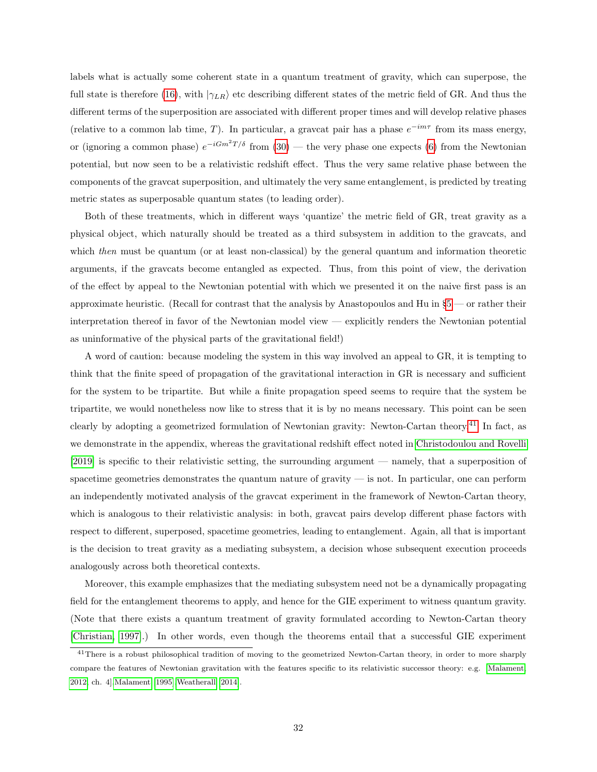labels what is actually some coherent state in a quantum treatment of gravity, which can superpose, the full state is therefore [\(16\)](#page-24-2), with  $|\gamma_{LR}\rangle$  etc describing different states of the metric field of GR. And thus the different terms of the superposition are associated with different proper times and will develop relative phases (relative to a common lab time, T). In particular, a grave t pair has a phase  $e^{-im\tau}$  from its mass energy, or (ignoring a common phase)  $e^{-iGm^2T/\delta}$  from [\(30\)](#page-30-2) — the very phase one expects [\(6\)](#page-18-4) from the Newtonian potential, but now seen to be a relativistic redshift effect. Thus the very same relative phase between the components of the gravcat superposition, and ultimately the very same entanglement, is predicted by treating metric states as superposable quantum states (to leading order).

Both of these treatments, which in different ways 'quantize' the metric field of GR, treat gravity as a physical object, which naturally should be treated as a third subsystem in addition to the gravcats, and which *then* must be quantum (or at least non-classical) by the general quantum and information theoretic arguments, if the gravcats become entangled as expected. Thus, from this point of view, the derivation of the effect by appeal to the Newtonian potential with which we presented it on the naive first pass is an approximate heuristic. (Recall for contrast that the analysis by Anastopoulos and Hu in §[5](#page-21-0) — or rather their interpretation thereof in favor of the Newtonian model view — explicitly renders the Newtonian potential as uninformative of the physical parts of the gravitational field!)

A word of caution: because modeling the system in this way involved an appeal to GR, it is tempting to think that the finite speed of propagation of the gravitational interaction in GR is necessary and sufficient for the system to be tripartite. But while a finite propagation speed seems to require that the system be tripartite, we would nonetheless now like to stress that it is by no means necessary. This point can be seen clearly by adopting a geometrized formulation of Newtonian gravity: Newton-Cartan theory.[41](#page-31-0) In fact, as we demonstrate in the appendix, whereas the gravitational redshift effect noted in [Christodoulou and Rovelli](#page-51-1) [\[2019\]](#page-51-1) is specific to their relativistic setting, the surrounding argument — namely, that a superposition of spacetime geometries demonstrates the quantum nature of gravity — is not. In particular, one can perform an independently motivated analysis of the gravcat experiment in the framework of Newton-Cartan theory, which is analogous to their relativistic analysis: in both, gravcat pairs develop different phase factors with respect to different, superposed, spacetime geometries, leading to entanglement. Again, all that is important is the decision to treat gravity as a mediating subsystem, a decision whose subsequent execution proceeds analogously across both theoretical contexts.

Moreover, this example emphasizes that the mediating subsystem need not be a dynamically propagating field for the entanglement theorems to apply, and hence for the GIE experiment to witness quantum gravity. (Note that there exists a quantum treatment of gravity formulated according to Newton-Cartan theory [\[Christian, 1997\]](#page-51-11).) In other words, even though the theorems entail that a successful GIE experiment

<span id="page-31-0"></span><sup>&</sup>lt;sup>41</sup>There is a robust philosophical tradition of moving to the geometrized Newton-Cartan theory, in order to more sharply compare the features of Newtonian gravitation with the features specific to its relativistic successor theory: e.g. [\[Malament,](#page-53-11) [2012,](#page-53-11) ch. 4][,Malament](#page-53-12) [\[1995\]](#page-53-12)[,Weatherall](#page-54-7) [\[2014\]](#page-54-7).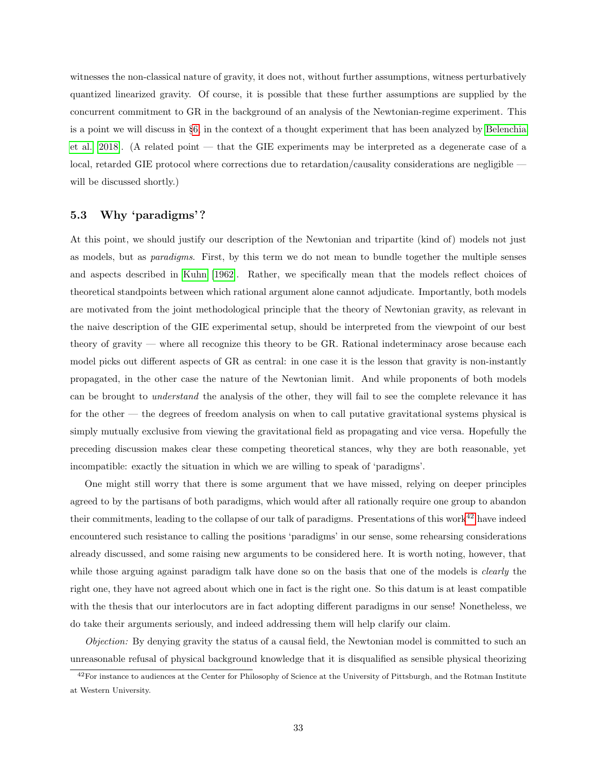witnesses the non-classical nature of gravity, it does not, without further assumptions, witness perturbatively quantized linearized gravity. Of course, it is possible that these further assumptions are supplied by the concurrent commitment to GR in the background of an analysis of the Newtonian-regime experiment. This is a point we will discuss in §[6,](#page-35-0) in the context of a thought experiment that has been analyzed by [Belenchia](#page-50-7) [et al.](#page-50-7) [\[2018\]](#page-50-7). (A related point — that the GIE experiments may be interpreted as a degenerate case of a local, retarded GIE protocol where corrections due to retardation/causality considerations are negligible will be discussed shortly.)

#### <span id="page-32-0"></span>5.3 Why 'paradigms' ?

At this point, we should justify our description of the Newtonian and tripartite (kind of) models not just as models, but as paradigms. First, by this term we do not mean to bundle together the multiple senses and aspects described in [Kuhn](#page-52-10) [\[1962\]](#page-52-10). Rather, we specifically mean that the models reflect choices of theoretical standpoints between which rational argument alone cannot adjudicate. Importantly, both models are motivated from the joint methodological principle that the theory of Newtonian gravity, as relevant in the naive description of the GIE experimental setup, should be interpreted from the viewpoint of our best theory of gravity — where all recognize this theory to be GR. Rational indeterminacy arose because each model picks out different aspects of GR as central: in one case it is the lesson that gravity is non-instantly propagated, in the other case the nature of the Newtonian limit. And while proponents of both models can be brought to understand the analysis of the other, they will fail to see the complete relevance it has for the other — the degrees of freedom analysis on when to call putative gravitational systems physical is simply mutually exclusive from viewing the gravitational field as propagating and vice versa. Hopefully the preceding discussion makes clear these competing theoretical stances, why they are both reasonable, yet incompatible: exactly the situation in which we are willing to speak of 'paradigms'.

One might still worry that there is some argument that we have missed, relying on deeper principles agreed to by the partisans of both paradigms, which would after all rationally require one group to abandon their commitments, leading to the collapse of our talk of paradigms. Presentations of this work $^{42}$  $^{42}$  $^{42}$  have indeed encountered such resistance to calling the positions 'paradigms' in our sense, some rehearsing considerations already discussed, and some raising new arguments to be considered here. It is worth noting, however, that while those arguing against paradigm talk have done so on the basis that one of the models is *clearly* the right one, they have not agreed about which one in fact is the right one. So this datum is at least compatible with the thesis that our interlocutors are in fact adopting different paradigms in our sense! Nonetheless, we do take their arguments seriously, and indeed addressing them will help clarify our claim.

Objection: By denying gravity the status of a causal field, the Newtonian model is committed to such an unreasonable refusal of physical background knowledge that it is disqualified as sensible physical theorizing

<span id="page-32-1"></span> $42$ For instance to audiences at the Center for Philosophy of Science at the University of Pittsburgh, and the Rotman Institute at Western University.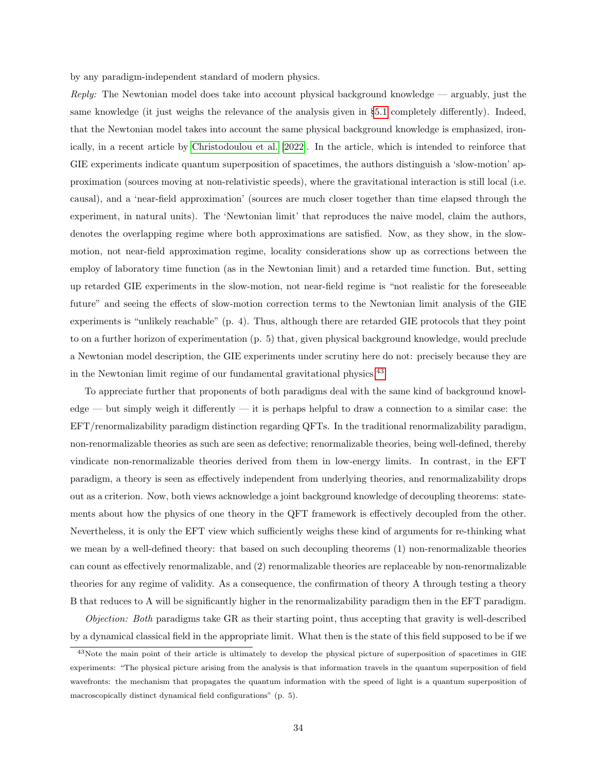by any paradigm-independent standard of modern physics.

Reply: The Newtonian model does take into account physical background knowledge — arguably, just the same knowledge (it just weighs the relevance of the analysis given in §[5.1](#page-21-1) completely differently). Indeed, that the Newtonian model takes into account the same physical background knowledge is emphasized, ironically, in a recent article by [Christodoulou et al.](#page-51-12) [\[2022\]](#page-51-12). In the article, which is intended to reinforce that GIE experiments indicate quantum superposition of spacetimes, the authors distinguish a 'slow-motion' approximation (sources moving at non-relativistic speeds), where the gravitational interaction is still local (i.e. causal), and a 'near-field approximation' (sources are much closer together than time elapsed through the experiment, in natural units). The 'Newtonian limit' that reproduces the naive model, claim the authors, denotes the overlapping regime where both approximations are satisfied. Now, as they show, in the slowmotion, not near-field approximation regime, locality considerations show up as corrections between the employ of laboratory time function (as in the Newtonian limit) and a retarded time function. But, setting up retarded GIE experiments in the slow-motion, not near-field regime is "not realistic for the foreseeable future" and seeing the effects of slow-motion correction terms to the Newtonian limit analysis of the GIE experiments is "unlikely reachable" (p. 4). Thus, although there are retarded GIE protocols that they point to on a further horizon of experimentation (p. 5) that, given physical background knowledge, would preclude a Newtonian model description, the GIE experiments under scrutiny here do not: precisely because they are in the Newtonian limit regime of our fundamental gravitational physics.<sup>[43](#page-33-0)</sup>

To appreciate further that proponents of both paradigms deal with the same kind of background knowledge — but simply weigh it differently — it is perhaps helpful to draw a connection to a similar case: the EFT/renormalizability paradigm distinction regarding QFTs. In the traditional renormalizability paradigm, non-renormalizable theories as such are seen as defective; renormalizable theories, being well-defined, thereby vindicate non-renormalizable theories derived from them in low-energy limits. In contrast, in the EFT paradigm, a theory is seen as effectively independent from underlying theories, and renormalizability drops out as a criterion. Now, both views acknowledge a joint background knowledge of decoupling theorems: statements about how the physics of one theory in the QFT framework is effectively decoupled from the other. Nevertheless, it is only the EFT view which sufficiently weighs these kind of arguments for re-thinking what we mean by a well-defined theory: that based on such decoupling theorems (1) non-renormalizable theories can count as effectively renormalizable, and (2) renormalizable theories are replaceable by non-renormalizable theories for any regime of validity. As a consequence, the confirmation of theory A through testing a theory B that reduces to A will be significantly higher in the renormalizability paradigm then in the EFT paradigm.

Objection: Both paradigms take GR as their starting point, thus accepting that gravity is well-described by a dynamical classical field in the appropriate limit. What then is the state of this field supposed to be if we

<span id="page-33-0"></span><sup>&</sup>lt;sup>43</sup>Note the main point of their article is ultimately to develop the physical picture of superposition of spacetimes in GIE experiments: "The physical picture arising from the analysis is that information travels in the quantum superposition of field wavefronts: the mechanism that propagates the quantum information with the speed of light is a quantum superposition of macroscopically distinct dynamical field configurations" (p. 5).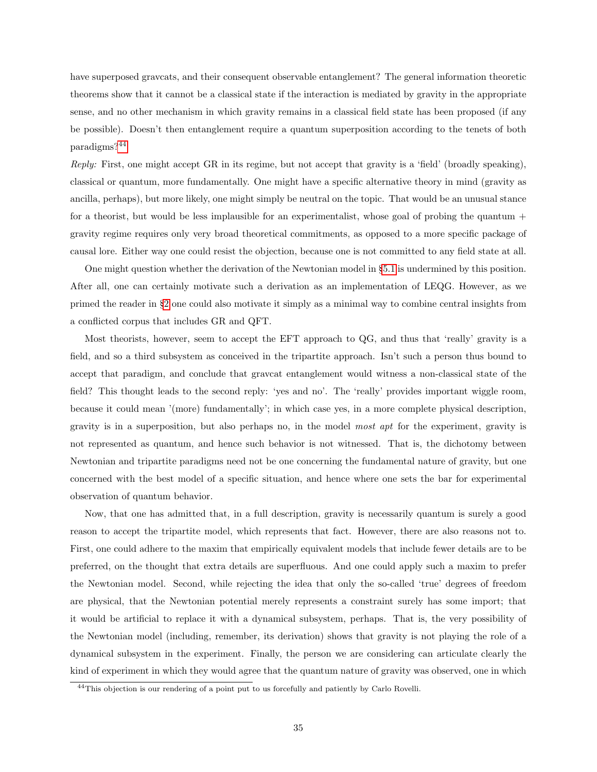have superposed gravcats, and their consequent observable entanglement? The general information theoretic theorems show that it cannot be a classical state if the interaction is mediated by gravity in the appropriate sense, and no other mechanism in which gravity remains in a classical field state has been proposed (if any be possible). Doesn't then entanglement require a quantum superposition according to the tenets of both paradigms?[44](#page-34-0)

Reply: First, one might accept GR in its regime, but not accept that gravity is a 'field' (broadly speaking), classical or quantum, more fundamentally. One might have a specific alternative theory in mind (gravity as ancilla, perhaps), but more likely, one might simply be neutral on the topic. That would be an unusual stance for a theorist, but would be less implausible for an experimentalist, whose goal of probing the quantum  $+$ gravity regime requires only very broad theoretical commitments, as opposed to a more specific package of causal lore. Either way one could resist the objection, because one is not committed to any field state at all.

One might question whether the derivation of the Newtonian model in §[5.1](#page-21-1) is undermined by this position. After all, one can certainly motivate such a derivation as an implementation of LEQG. However, as we primed the reader in §[2](#page-4-0) one could also motivate it simply as a minimal way to combine central insights from a conflicted corpus that includes GR and QFT.

Most theorists, however, seem to accept the EFT approach to QG, and thus that 'really' gravity is a field, and so a third subsystem as conceived in the tripartite approach. Isn't such a person thus bound to accept that paradigm, and conclude that gravcat entanglement would witness a non-classical state of the field? This thought leads to the second reply: 'yes and no'. The 'really' provides important wiggle room, because it could mean '(more) fundamentally'; in which case yes, in a more complete physical description, gravity is in a superposition, but also perhaps no, in the model most apt for the experiment, gravity is not represented as quantum, and hence such behavior is not witnessed. That is, the dichotomy between Newtonian and tripartite paradigms need not be one concerning the fundamental nature of gravity, but one concerned with the best model of a specific situation, and hence where one sets the bar for experimental observation of quantum behavior.

Now, that one has admitted that, in a full description, gravity is necessarily quantum is surely a good reason to accept the tripartite model, which represents that fact. However, there are also reasons not to. First, one could adhere to the maxim that empirically equivalent models that include fewer details are to be preferred, on the thought that extra details are superfluous. And one could apply such a maxim to prefer the Newtonian model. Second, while rejecting the idea that only the so-called 'true' degrees of freedom are physical, that the Newtonian potential merely represents a constraint surely has some import; that it would be artificial to replace it with a dynamical subsystem, perhaps. That is, the very possibility of the Newtonian model (including, remember, its derivation) shows that gravity is not playing the role of a dynamical subsystem in the experiment. Finally, the person we are considering can articulate clearly the kind of experiment in which they would agree that the quantum nature of gravity was observed, one in which

<span id="page-34-0"></span><sup>44</sup>This objection is our rendering of a point put to us forcefully and patiently by Carlo Rovelli.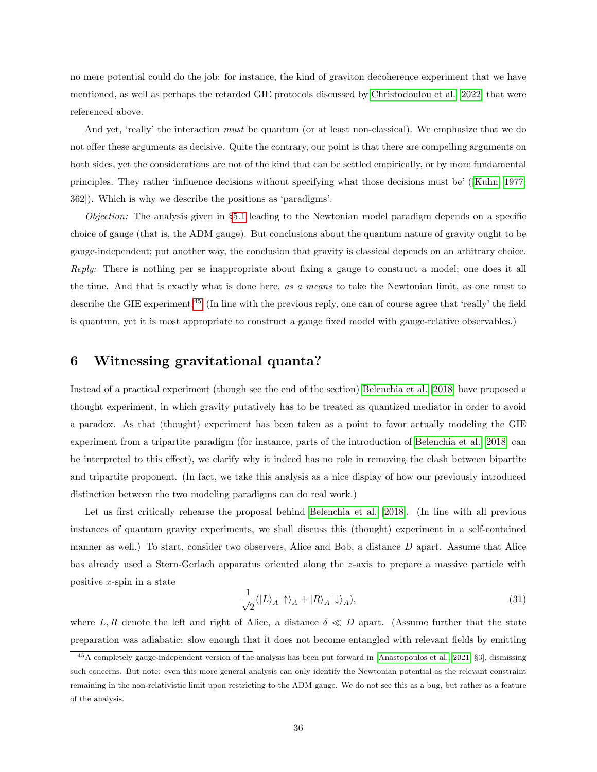no mere potential could do the job: for instance, the kind of graviton decoherence experiment that we have mentioned, as well as perhaps the retarded GIE protocols discussed by [Christodoulou et al.](#page-51-12) [\[2022\]](#page-51-12) that were referenced above.

And yet, 'really' the interaction *must* be quantum (or at least non-classical). We emphasize that we do not offer these arguments as decisive. Quite the contrary, our point is that there are compelling arguments on both sides, yet the considerations are not of the kind that can be settled empirically, or by more fundamental principles. They rather 'influence decisions without specifying what those decisions must be' ([\[Kuhn, 1977,](#page-52-11) 362]). Which is why we describe the positions as 'paradigms'.

Objection: The analysis given in §[5.1](#page-21-1) leading to the Newtonian model paradigm depends on a specific choice of gauge (that is, the ADM gauge). But conclusions about the quantum nature of gravity ought to be gauge-independent; put another way, the conclusion that gravity is classical depends on an arbitrary choice. Reply: There is nothing per se inappropriate about fixing a gauge to construct a model; one does it all the time. And that is exactly what is done here, as a means to take the Newtonian limit, as one must to describe the GIE experiment.[45](#page-35-1) (In line with the previous reply, one can of course agree that 'really' the field is quantum, yet it is most appropriate to construct a gauge fixed model with gauge-relative observables.)

## <span id="page-35-0"></span>6 Witnessing gravitational quanta?

Instead of a practical experiment (though see the end of the section) [Belenchia et al.](#page-50-7) [\[2018\]](#page-50-7) have proposed a thought experiment, in which gravity putatively has to be treated as quantized mediator in order to avoid a paradox. As that (thought) experiment has been taken as a point to favor actually modeling the GIE experiment from a tripartite paradigm (for instance, parts of the introduction of [Belenchia et al.](#page-50-7) [\[2018\]](#page-50-7) can be interpreted to this effect), we clarify why it indeed has no role in removing the clash between bipartite and tripartite proponent. (In fact, we take this analysis as a nice display of how our previously introduced distinction between the two modeling paradigms can do real work.)

Let us first critically rehearse the proposal behind [Belenchia et al.](#page-50-7) [\[2018\]](#page-50-7). (In line with all previous instances of quantum gravity experiments, we shall discuss this (thought) experiment in a self-contained manner as well.) To start, consider two observers, Alice and Bob, a distance D apart. Assume that Alice has already used a Stern-Gerlach apparatus oriented along the z-axis to prepare a massive particle with positive x-spin in a state

<span id="page-35-2"></span>
$$
\frac{1}{\sqrt{2}}(|L\rangle_A | \uparrow \rangle_A + |R\rangle_A | \downarrow \rangle_A),\tag{31}
$$

where L, R denote the left and right of Alice, a distance  $\delta \ll D$  apart. (Assume further that the state preparation was adiabatic: slow enough that it does not become entangled with relevant fields by emitting

<span id="page-35-1"></span><sup>45</sup>A completely gauge-independent version of the analysis has been put forward in [\[Anastopoulos et al., 2021,](#page-50-5) §3], dismissing such concerns. But note: even this more general analysis can only identify the Newtonian potential as the relevant constraint remaining in the non-relativistic limit upon restricting to the ADM gauge. We do not see this as a bug, but rather as a feature of the analysis.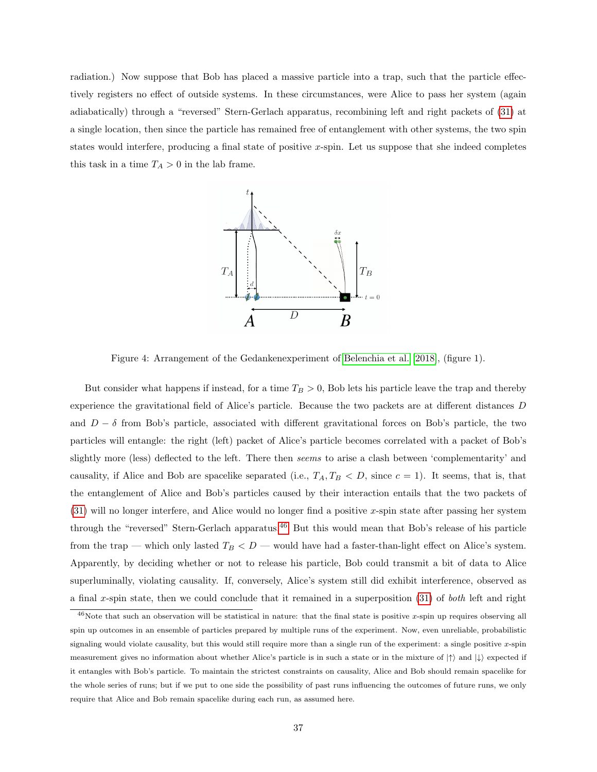radiation.) Now suppose that Bob has placed a massive particle into a trap, such that the particle effectively registers no effect of outside systems. In these circumstances, were Alice to pass her system (again adiabatically) through a "reversed" Stern-Gerlach apparatus, recombining left and right packets of [\(31\)](#page-35-2) at a single location, then since the particle has remained free of entanglement with other systems, the two spin states would interfere, producing a final state of positive x-spin. Let us suppose that she indeed completes this task in a time  $T_A > 0$  in the lab frame.



Figure 4: Arrangement of the Gedankenexperiment of [Belenchia et al.](#page-50-7) [\[2018\]](#page-50-7), (figure 1).

But consider what happens if instead, for a time  $T_B > 0$ , Bob lets his particle leave the trap and thereby experience the gravitational field of Alice's particle. Because the two packets are at different distances D and  $D - \delta$  from Bob's particle, associated with different gravitational forces on Bob's particle, the two particles will entangle: the right (left) packet of Alice's particle becomes correlated with a packet of Bob's slightly more (less) deflected to the left. There then *seems* to arise a clash between 'complementarity' and causality, if Alice and Bob are spacelike separated (i.e.,  $T_A, T_B < D$ , since  $c = 1$ ). It seems, that is, that the entanglement of Alice and Bob's particles caused by their interaction entails that the two packets of [\(31\)](#page-35-2) will no longer interfere, and Alice would no longer find a positive x-spin state after passing her system through the "reversed" Stern-Gerlach apparatus.<sup>[46](#page-36-0)</sup> But this would mean that Bob's release of his particle from the trap — which only lasted  $T_B < D$  — would have had a faster-than-light effect on Alice's system. Apparently, by deciding whether or not to release his particle, Bob could transmit a bit of data to Alice superluminally, violating causality. If, conversely, Alice's system still did exhibit interference, observed as a final x-spin state, then we could conclude that it remained in a superposition  $(31)$  of both left and right

<span id="page-36-0"></span> $46$ Note that such an observation will be statistical in nature: that the final state is positive x-spin up requires observing all spin up outcomes in an ensemble of particles prepared by multiple runs of the experiment. Now, even unreliable, probabilistic signaling would violate causality, but this would still require more than a single run of the experiment: a single positive x-spin measurement gives no information about whether Alice's particle is in such a state or in the mixture of  $|\uparrow\rangle$  and  $|\downarrow\rangle$  expected if it entangles with Bob's particle. To maintain the strictest constraints on causality, Alice and Bob should remain spacelike for the whole series of runs; but if we put to one side the possibility of past runs influencing the outcomes of future runs, we only require that Alice and Bob remain spacelike during each run, as assumed here.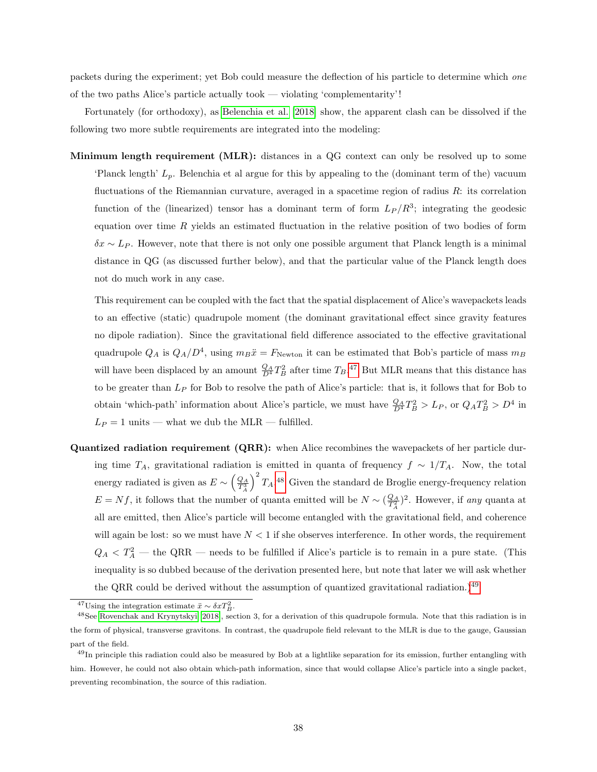packets during the experiment; yet Bob could measure the deflection of his particle to determine which one of the two paths Alice's particle actually took — violating 'complementarity'!

Fortunately (for orthodoxy), as [Belenchia et al.](#page-50-7) [\[2018\]](#page-50-7) show, the apparent clash can be dissolved if the following two more subtle requirements are integrated into the modeling:

Minimum length requirement (MLR): distances in a QG context can only be resolved up to some 'Planck length'  $L_p$ . Belenchia et al argue for this by appealing to the (dominant term of the) vacuum fluctuations of the Riemannian curvature, averaged in a spacetime region of radius R: its correlation function of the (linearized) tensor has a dominant term of form  $L_P / R^3$ ; integrating the geodesic equation over time R yields an estimated fluctuation in the relative position of two bodies of form  $\delta x \sim L_P$ . However, note that there is not only one possible argument that Planck length is a minimal distance in QG (as discussed further below), and that the particular value of the Planck length does not do much work in any case.

This requirement can be coupled with the fact that the spatial displacement of Alice's wavepackets leads to an effective (static) quadrupole moment (the dominant gravitational effect since gravity features no dipole radiation). Since the gravitational field difference associated to the effective gravitational quadrupole  $Q_A$  is  $Q_A/D^4$ , using  $m_B\ddot{x} = F_{\text{Newton}}$  it can be estimated that Bob's particle of mass  $m_B$ will have been displaced by an amount  $\frac{Q_A}{D^4}T_B^2$  after time  $T_B$ .<sup>[47](#page-37-0)</sup> But MLR means that this distance has to be greater than  $L_P$  for Bob to resolve the path of Alice's particle: that is, it follows that for Bob to obtain 'which-path' information about Alice's particle, we must have  $\frac{Q_A}{D^4}T_B^2 > L_P$ , or  $Q_A T_B^2 > D^4$  in  $L_P = 1$  units — what we dub the MLR — fulfilled.

Quantized radiation requirement (QRR): when Alice recombines the wavepackets of her particle during time  $T_A$ , gravitational radiation is emitted in quanta of frequency  $f \sim 1/T_A$ . Now, the total energy radiated is given as  $E \sim \left(\frac{Q_A}{T_A^3}\right)$  $\int_{0}^{2} T_A^{48}$  $\int_{0}^{2} T_A^{48}$  $\int_{0}^{2} T_A^{48}$  Given the standard de Broglie energy-frequency relation  $E = Nf$ , it follows that the number of quanta emitted will be  $N \sim (\frac{Q_A}{T_A^2})^2$ . However, if any quanta at all are emitted, then Alice's particle will become entangled with the gravitational field, and coherence will again be lost: so we must have  $N < 1$  if she observes interference. In other words, the requirement  $Q_A < T_A^2$  — the QRR — needs to be fulfilled if Alice's particle is to remain in a pure state. (This inequality is so dubbed because of the derivation presented here, but note that later we will ask whether the QRR could be derived without the assumption of quantized gravitational radiation.)<sup>[49](#page-37-2)</sup>

<span id="page-37-1"></span><span id="page-37-0"></span><sup>&</sup>lt;sup>47</sup>Using the integration estimate  $\ddot{x} \sim \delta x T_B^2$ .

<sup>48</sup>See [Rovenchak and Krynytskyi \[2018\]](#page-54-8), section 3, for a derivation of this quadrupole formula. Note that this radiation is in the form of physical, transverse gravitons. In contrast, the quadrupole field relevant to the MLR is due to the gauge, Gaussian part of the field.

<span id="page-37-2"></span><sup>49</sup>In principle this radiation could also be measured by Bob at a lightlike separation for its emission, further entangling with him. However, he could not also obtain which-path information, since that would collapse Alice's particle into a single packet, preventing recombination, the source of this radiation.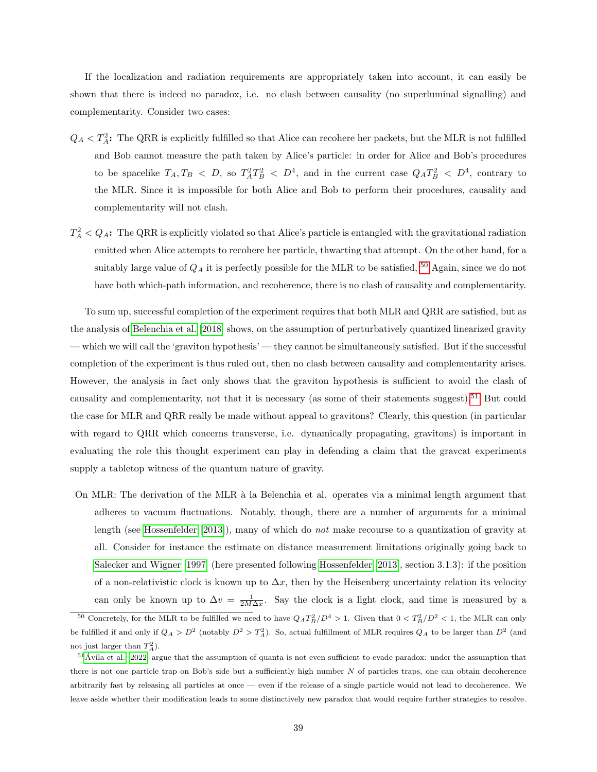If the localization and radiation requirements are appropriately taken into account, it can easily be shown that there is indeed no paradox, i.e. no clash between causality (no superluminal signalling) and complementarity. Consider two cases:

- $Q_A < T_A^2$ : The QRR is explicitly fulfilled so that Alice can recohere her packets, but the MLR is not fulfilled and Bob cannot measure the path taken by Alice's particle: in order for Alice and Bob's procedures to be spacelike  $T_A, T_B \leq D$ , so  $T_A^2 T_B^2 \leq D^4$ , and in the current case  $Q_A T_B^2 \leq D^4$ , contrary to the MLR. Since it is impossible for both Alice and Bob to perform their procedures, causality and complementarity will not clash.
- $T_A^2 < Q_A$ : The QRR is explicitly violated so that Alice's particle is entangled with the gravitational radiation emitted when Alice attempts to recohere her particle, thwarting that attempt. On the other hand, for a suitably large value of  $Q_A$  it is perfectly possible for the MLR to be satisfied, <sup>[50](#page-38-0)</sup> Again, since we do not have both which-path information, and recoherence, there is no clash of causality and complementarity.

To sum up, successful completion of the experiment requires that both MLR and QRR are satisfied, but as the analysis of [Belenchia et al.](#page-50-7) [\[2018\]](#page-50-7) shows, on the assumption of perturbatively quantized linearized gravity — which we will call the 'graviton hypothesis' — they cannot be simultaneously satisfied. But if the successful completion of the experiment is thus ruled out, then no clash between causality and complementarity arises. However, the analysis in fact only shows that the graviton hypothesis is sufficient to avoid the clash of causality and complementarity, not that it is necessary (as some of their statements suggest).<sup>[51](#page-38-1)</sup> But could the case for MLR and QRR really be made without appeal to gravitons? Clearly, this question (in particular with regard to QRR which concerns transverse, i.e. dynamically propagating, gravitons) is important in evaluating the role this thought experiment can play in defending a claim that the gravcat experiments supply a tabletop witness of the quantum nature of gravity.

On MLR: The derivation of the MLR à la Belenchia et al. operates via a minimal length argument that adheres to vacuum fluctuations. Notably, though, there are a number of arguments for a minimal length (see [Hossenfelder](#page-52-12) [\[2013\]](#page-52-12)), many of which do not make recourse to a quantization of gravity at all. Consider for instance the estimate on distance measurement limitations originally going back to [Salecker and Wigner](#page-54-9) [\[1997\]](#page-54-9) (here presented following [Hossenfelder](#page-52-12) [\[2013\]](#page-52-12), section 3.1.3): if the position of a non-relativistic clock is known up to  $\Delta x$ , then by the Heisenberg uncertainty relation its velocity can only be known up to  $\Delta v = \frac{1}{2M\Delta x}$ . Say the clock is a light clock, and time is measured by a

<span id="page-38-0"></span><sup>&</sup>lt;sup>50</sup> Concretely, for the MLR to be fulfilled we need to have  $Q_A T_B^2/D^4 > 1$ . Given that  $0 < T_B^2/D^2 < 1$ , the MLR can only be fulfilled if and only if  $Q_A > D^2$  (notably  $D^2 > T_A^2$ ). So, actual fulfillment of MLR requires  $Q_A$  to be larger than  $D^2$  (and not just larger than  $T_A^2$ ).

<span id="page-38-1"></span> $51$  [Avila et al.](#page-50-8) [\[2022\]](#page-50-8) argue that the assumption of quanta is not even sufficient to evade paradox: under the assumption that there is not one particle trap on Bob's side but a sufficiently high number  $N$  of particles traps, one can obtain decoherence arbitrarily fast by releasing all particles at once — even if the release of a single particle would not lead to decoherence. We leave aside whether their modification leads to some distinctively new paradox that would require further strategies to resolve.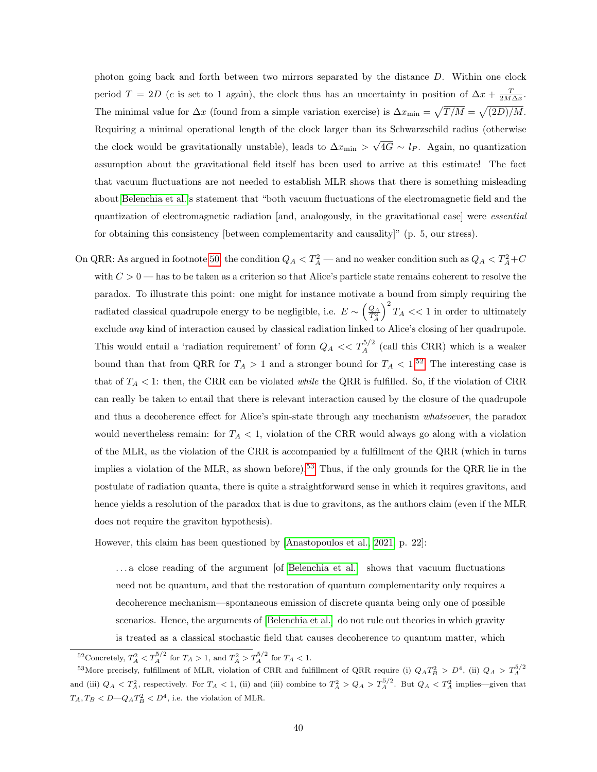photon going back and forth between two mirrors separated by the distance D. Within one clock period  $T = 2D$  (c is set to 1 again), the clock thus has an uncertainty in position of  $\Delta x + \frac{T}{2M\Delta x}$ . The minimal value for  $\Delta x$  (found from a simple variation exercise) is  $\Delta x_{\min} = \sqrt{T/M} = \sqrt{(2D)/M}$ . Requiring a minimal operational length of the clock larger than its Schwarzschild radius (otherwise the clock would be gravitationally unstable), leads to  $\Delta x_{\text{min}} >$ √  $4G \sim l_P$ . Again, no quantization assumption about the gravitational field itself has been used to arrive at this estimate! The fact that vacuum fluctuations are not needed to establish MLR shows that there is something misleading about [Belenchia et al.'](#page-50-7)s statement that "both vacuum fluctuations of the electromagnetic field and the quantization of electromagnetic radiation [and, analogously, in the gravitational case] were essential for obtaining this consistency [between complementarity and causality]" (p. 5, our stress).

On QRR: As argued in footnote [50,](#page-38-0) the condition  $Q_A < T_A^2$  — and no weaker condition such as  $Q_A < T_A^2+C$ with  $C > 0$  — has to be taken as a criterion so that Alice's particle state remains coherent to resolve the paradox. To illustrate this point: one might for instance motivate a bound from simply requiring the radiated classical quadrupole energy to be negligible, i.e.  $E \sim \left(\frac{Q_A}{T_A^3}\right)$  $\int_{-1}^{2} T_A \ll 1$  in order to ultimately exclude any kind of interaction caused by classical radiation linked to Alice's closing of her quadrupole. This would entail a 'radiation requirement' of form  $Q_A \ll T_A^{5/2}$  (call this CRR) which is a weaker bound than that from QRR for  $T_A > 1$  and a stronger bound for  $T_A < 1.52$  $T_A < 1.52$  The interesting case is that of  $T_A < 1$ : then, the CRR can be violated while the QRR is fulfilled. So, if the violation of CRR can really be taken to entail that there is relevant interaction caused by the closure of the quadrupole and thus a decoherence effect for Alice's spin-state through any mechanism whatsoever, the paradox would nevertheless remain: for  $T_A < 1$ , violation of the CRR would always go along with a violation of the MLR, as the violation of the CRR is accompanied by a fulfillment of the QRR (which in turns implies a violation of the MLR, as shown before).<sup>[53](#page-39-1)</sup> Thus, if the only grounds for the QRR lie in the postulate of radiation quanta, there is quite a straightforward sense in which it requires gravitons, and hence yields a resolution of the paradox that is due to gravitons, as the authors claim (even if the MLR does not require the graviton hypothesis).

However, this claim has been questioned by [\[Anastopoulos et al., 2021,](#page-50-5) p. 22]:

. . . a close reading of the argument [of [Belenchia et al.\]](#page-50-7) shows that vacuum fluctuations need not be quantum, and that the restoration of quantum complementarity only requires a decoherence mechanism—spontaneous emission of discrete quanta being only one of possible scenarios. Hence, the arguments of [\[Belenchia et al.\]](#page-50-7) do not rule out theories in which gravity is treated as a classical stochastic field that causes decoherence to quantum matter, which

<span id="page-39-1"></span><span id="page-39-0"></span><sup>&</sup>lt;sup>52</sup>Concretely,  $T_A^2 < T_A^{5/2}$  for  $T_A > 1$ , and  $T_A^2 > T_A^{5/2}$  for  $T_A < 1$ .

<sup>&</sup>lt;sup>53</sup>More precisely, fulfillment of MLR, violation of CRR and fulfillment of QRR require (i)  $Q_A T_B^2 > D^4$ , (ii)  $Q_A > T_A^{5/2}$ and (iii)  $Q_A < T_A^2$ , respectively. For  $T_A < 1$ , (ii) and (iii) combine to  $T_A^2 > Q_A > T_A^{5/2}$ . But  $Q_A < T_A^2$  implies—given that  $T_A, T_B < D - Q_A T_B^2 < D^4$ , i.e. the violation of MLR.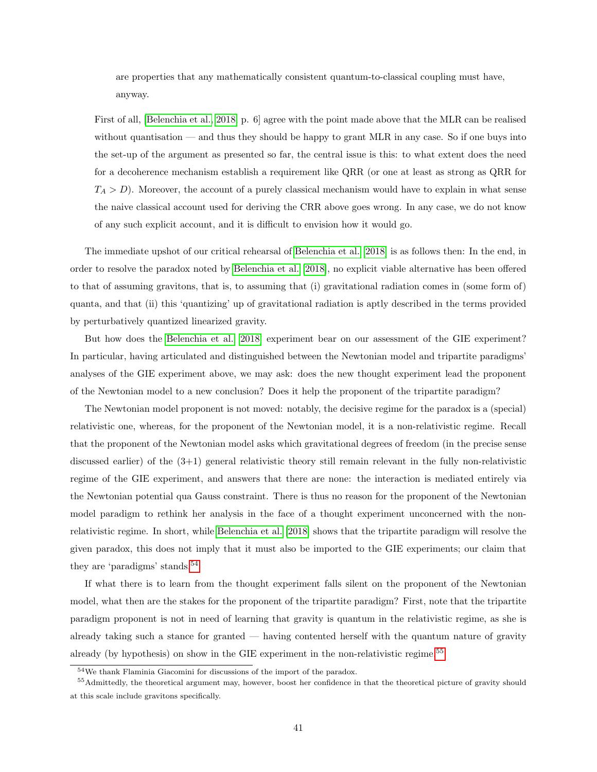are properties that any mathematically consistent quantum-to-classical coupling must have, anyway.

First of all, [\[Belenchia et al., 2018,](#page-50-7) p. 6] agree with the point made above that the MLR can be realised without quantisation — and thus they should be happy to grant MLR in any case. So if one buys into the set-up of the argument as presented so far, the central issue is this: to what extent does the need for a decoherence mechanism establish a requirement like QRR (or one at least as strong as QRR for  $T_A > D$ ). Moreover, the account of a purely classical mechanism would have to explain in what sense the naive classical account used for deriving the CRR above goes wrong. In any case, we do not know of any such explicit account, and it is difficult to envision how it would go.

The immediate upshot of our critical rehearsal of [Belenchia et al.](#page-50-7) [\[2018\]](#page-50-7) is as follows then: In the end, in order to resolve the paradox noted by [Belenchia et al.](#page-50-7) [\[2018\]](#page-50-7), no explicit viable alternative has been offered to that of assuming gravitons, that is, to assuming that (i) gravitational radiation comes in (some form of) quanta, and that (ii) this 'quantizing' up of gravitational radiation is aptly described in the terms provided by perturbatively quantized linearized gravity.

But how does the [Belenchia et al.](#page-50-7) [\[2018\]](#page-50-7) experiment bear on our assessment of the GIE experiment? In particular, having articulated and distinguished between the Newtonian model and tripartite paradigms' analyses of the GIE experiment above, we may ask: does the new thought experiment lead the proponent of the Newtonian model to a new conclusion? Does it help the proponent of the tripartite paradigm?

The Newtonian model proponent is not moved: notably, the decisive regime for the paradox is a (special) relativistic one, whereas, for the proponent of the Newtonian model, it is a non-relativistic regime. Recall that the proponent of the Newtonian model asks which gravitational degrees of freedom (in the precise sense discussed earlier) of the (3+1) general relativistic theory still remain relevant in the fully non-relativistic regime of the GIE experiment, and answers that there are none: the interaction is mediated entirely via the Newtonian potential qua Gauss constraint. There is thus no reason for the proponent of the Newtonian model paradigm to rethink her analysis in the face of a thought experiment unconcerned with the nonrelativistic regime. In short, while [Belenchia et al.](#page-50-7) [\[2018\]](#page-50-7) shows that the tripartite paradigm will resolve the given paradox, this does not imply that it must also be imported to the GIE experiments; our claim that they are 'paradigms' stands.<sup>[54](#page-40-0)</sup>

If what there is to learn from the thought experiment falls silent on the proponent of the Newtonian model, what then are the stakes for the proponent of the tripartite paradigm? First, note that the tripartite paradigm proponent is not in need of learning that gravity is quantum in the relativistic regime, as she is already taking such a stance for granted — having contented herself with the quantum nature of gravity already (by hypothesis) on show in the GIE experiment in the non-relativistic regime.<sup>[55](#page-40-1)</sup>

<span id="page-40-1"></span><span id="page-40-0"></span><sup>54</sup>We thank Flaminia Giacomini for discussions of the import of the paradox.

<sup>&</sup>lt;sup>55</sup>Admittedly, the theoretical argument may, however, boost her confidence in that the theoretical picture of gravity should at this scale include gravitons specifically.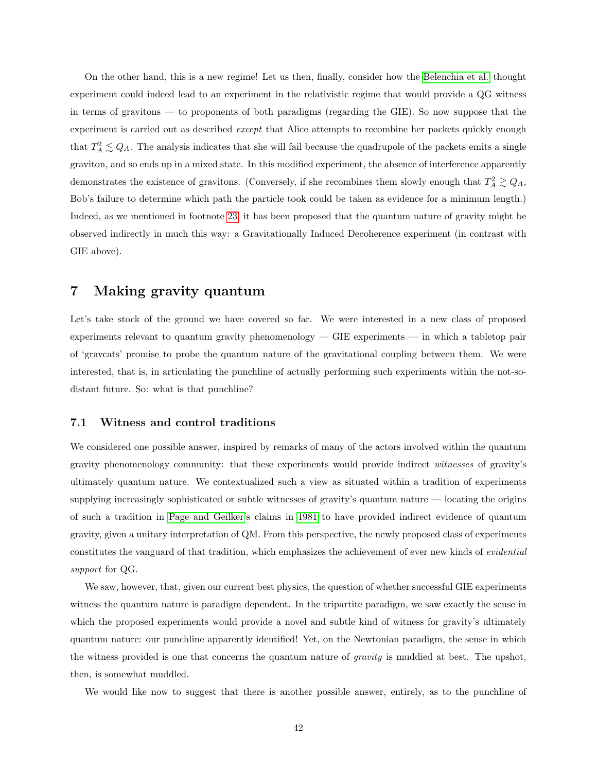On the other hand, this is a new regime! Let us then, finally, consider how the [Belenchia et al.](#page-50-7) thought experiment could indeed lead to an experiment in the relativistic regime that would provide a QG witness in terms of gravitons — to proponents of both paradigms (regarding the GIE). So now suppose that the experiment is carried out as described *except* that Alice attempts to recombine her packets quickly enough that  $T_A^2 \lesssim Q_A$ . The analysis indicates that she will fail because the quadrupole of the packets emits a single graviton, and so ends up in a mixed state. In this modified experiment, the absence of interference apparently demonstrates the existence of gravitons. (Conversely, if she recombines them slowly enough that  $T_A^2 \gtrsim Q_A$ , Bob's failure to determine which path the particle took could be taken as evidence for a minimum length.) Indeed, as we mentioned in footnote [23,](#page-16-3) it has been proposed that the quantum nature of gravity might be observed indirectly in much this way: a Gravitationally Induced Decoherence experiment (in contrast with GIE above).

## <span id="page-41-0"></span>7 Making gravity quantum

Let's take stock of the ground we have covered so far. We were interested in a new class of proposed experiments relevant to quantum gravity phenomenology  $-$  GIE experiments  $-$  in which a tabletop pair of 'gravcats' promise to probe the quantum nature of the gravitational coupling between them. We were interested, that is, in articulating the punchline of actually performing such experiments within the not-sodistant future. So: what is that punchline?

#### <span id="page-41-1"></span>7.1 Witness and control traditions

We considered one possible answer, inspired by remarks of many of the actors involved within the quantum gravity phenomenology community: that these experiments would provide indirect witnesses of gravity's ultimately quantum nature. We contextualized such a view as situated within a tradition of experiments supplying increasingly sophisticated or subtle witnesses of gravity's quantum nature — locating the origins of such a tradition in [Page and Geilker'](#page-53-5)s claims in [1981](#page-53-5) to have provided indirect evidence of quantum gravity, given a unitary interpretation of QM. From this perspective, the newly proposed class of experiments constitutes the vanguard of that tradition, which emphasizes the achievement of ever new kinds of evidential support for  $QG$ .

We saw, however, that, given our current best physics, the question of whether successful GIE experiments witness the quantum nature is paradigm dependent. In the tripartite paradigm, we saw exactly the sense in which the proposed experiments would provide a novel and subtle kind of witness for gravity's ultimately quantum nature: our punchline apparently identified! Yet, on the Newtonian paradigm, the sense in which the witness provided is one that concerns the quantum nature of *gravity* is muddied at best. The upshot, then, is somewhat muddled.

We would like now to suggest that there is another possible answer, entirely, as to the punchline of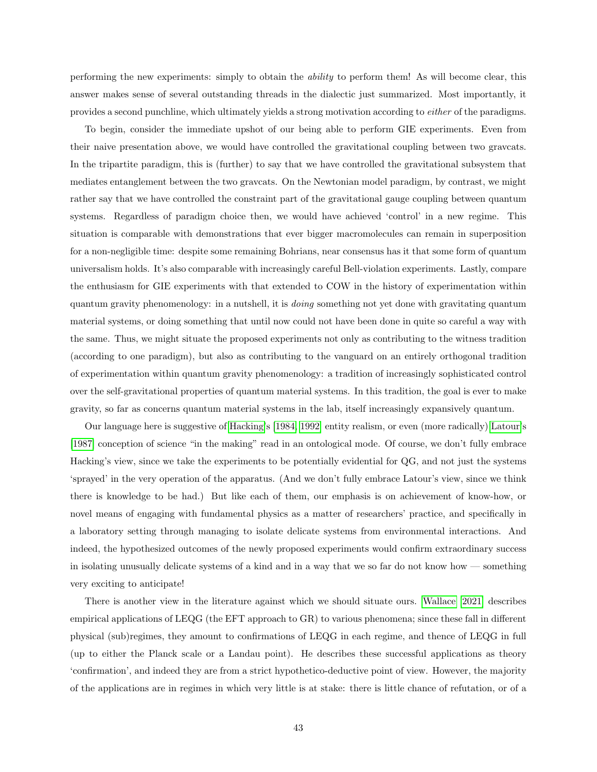performing the new experiments: simply to obtain the ability to perform them! As will become clear, this answer makes sense of several outstanding threads in the dialectic just summarized. Most importantly, it provides a second punchline, which ultimately yields a strong motivation according to either of the paradigms.

To begin, consider the immediate upshot of our being able to perform GIE experiments. Even from their naive presentation above, we would have controlled the gravitational coupling between two gravcats. In the tripartite paradigm, this is (further) to say that we have controlled the gravitational subsystem that mediates entanglement between the two gravcats. On the Newtonian model paradigm, by contrast, we might rather say that we have controlled the constraint part of the gravitational gauge coupling between quantum systems. Regardless of paradigm choice then, we would have achieved 'control' in a new regime. This situation is comparable with demonstrations that ever bigger macromolecules can remain in superposition for a non-negligible time: despite some remaining Bohrians, near consensus has it that some form of quantum universalism holds. It's also comparable with increasingly careful Bell-violation experiments. Lastly, compare the enthusiasm for GIE experiments with that extended to COW in the history of experimentation within quantum gravity phenomenology: in a nutshell, it is *doing* something not yet done with gravitating quantum material systems, or doing something that until now could not have been done in quite so careful a way with the same. Thus, we might situate the proposed experiments not only as contributing to the witness tradition (according to one paradigm), but also as contributing to the vanguard on an entirely orthogonal tradition of experimentation within quantum gravity phenomenology: a tradition of increasingly sophisticated control over the self-gravitational properties of quantum material systems. In this tradition, the goal is ever to make gravity, so far as concerns quantum material systems in the lab, itself increasingly expansively quantum.

Our language here is suggestive of [Hacking'](#page-52-13)s [\[1984,](#page-52-14) [1992\]](#page-52-13) entity realism, or even (more radically) [Latour'](#page-53-13)s [\[1987\]](#page-53-13) conception of science "in the making" read in an ontological mode. Of course, we don't fully embrace Hacking's view, since we take the experiments to be potentially evidential for QG, and not just the systems 'sprayed' in the very operation of the apparatus. (And we don't fully embrace Latour's view, since we think there is knowledge to be had.) But like each of them, our emphasis is on achievement of know-how, or novel means of engaging with fundamental physics as a matter of researchers' practice, and specifically in a laboratory setting through managing to isolate delicate systems from environmental interactions. And indeed, the hypothesized outcomes of the newly proposed experiments would confirm extraordinary success in isolating unusually delicate systems of a kind and in a way that we so far do not know how — something very exciting to anticipate!

There is another view in the literature against which we should situate ours. [Wallace](#page-54-3) [\[2021\]](#page-54-3) describes empirical applications of LEQG (the EFT approach to GR) to various phenomena; since these fall in different physical (sub)regimes, they amount to confirmations of LEQG in each regime, and thence of LEQG in full (up to either the Planck scale or a Landau point). He describes these successful applications as theory 'confirmation', and indeed they are from a strict hypothetico-deductive point of view. However, the majority of the applications are in regimes in which very little is at stake: there is little chance of refutation, or of a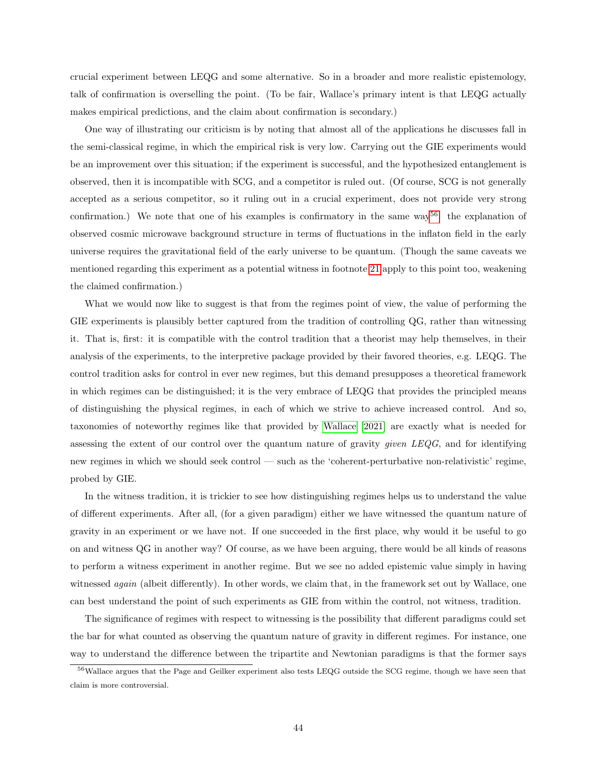crucial experiment between LEQG and some alternative. So in a broader and more realistic epistemology, talk of confirmation is overselling the point. (To be fair, Wallace's primary intent is that LEQG actually makes empirical predictions, and the claim about confirmation is secondary.)

One way of illustrating our criticism is by noting that almost all of the applications he discusses fall in the semi-classical regime, in which the empirical risk is very low. Carrying out the GIE experiments would be an improvement over this situation; if the experiment is successful, and the hypothesized entanglement is observed, then it is incompatible with SCG, and a competitor is ruled out. (Of course, SCG is not generally accepted as a serious competitor, so it ruling out in a crucial experiment, does not provide very strong confirmation.) We note that one of his examples is confirmatory in the same way<sup>[56](#page-43-0)</sup>: the explanation of observed cosmic microwave background structure in terms of fluctuations in the inflaton field in the early universe requires the gravitational field of the early universe to be quantum. (Though the same caveats we mentioned regarding this experiment as a potential witness in footnote [21](#page-16-1) apply to this point too, weakening the claimed confirmation.)

What we would now like to suggest is that from the regimes point of view, the value of performing the GIE experiments is plausibly better captured from the tradition of controlling QG, rather than witnessing it. That is, first: it is compatible with the control tradition that a theorist may help themselves, in their analysis of the experiments, to the interpretive package provided by their favored theories, e.g. LEQG. The control tradition asks for control in ever new regimes, but this demand presupposes a theoretical framework in which regimes can be distinguished; it is the very embrace of LEQG that provides the principled means of distinguishing the physical regimes, in each of which we strive to achieve increased control. And so, taxonomies of noteworthy regimes like that provided by [Wallace](#page-54-3) [\[2021\]](#page-54-3) are exactly what is needed for assessing the extent of our control over the quantum nature of gravity *given LEQG*, and for identifying new regimes in which we should seek control — such as the 'coherent-perturbative non-relativistic' regime, probed by GIE.

In the witness tradition, it is trickier to see how distinguishing regimes helps us to understand the value of different experiments. After all, (for a given paradigm) either we have witnessed the quantum nature of gravity in an experiment or we have not. If one succeeded in the first place, why would it be useful to go on and witness QG in another way? Of course, as we have been arguing, there would be all kinds of reasons to perform a witness experiment in another regime. But we see no added epistemic value simply in having witnessed *again* (albeit differently). In other words, we claim that, in the framework set out by Wallace, one can best understand the point of such experiments as GIE from within the control, not witness, tradition.

The significance of regimes with respect to witnessing is the possibility that different paradigms could set the bar for what counted as observing the quantum nature of gravity in different regimes. For instance, one way to understand the difference between the tripartite and Newtonian paradigms is that the former says

<span id="page-43-0"></span><sup>56</sup>Wallace argues that the Page and Geilker experiment also tests LEQG outside the SCG regime, though we have seen that claim is more controversial.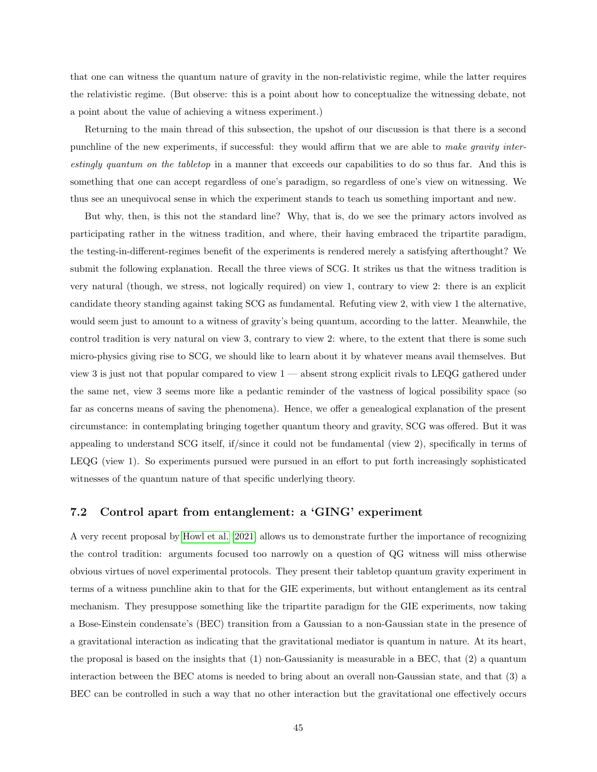that one can witness the quantum nature of gravity in the non-relativistic regime, while the latter requires the relativistic regime. (But observe: this is a point about how to conceptualize the witnessing debate, not a point about the value of achieving a witness experiment.)

Returning to the main thread of this subsection, the upshot of our discussion is that there is a second punchline of the new experiments, if successful: they would affirm that we are able to make gravity interestingly quantum on the tabletop in a manner that exceeds our capabilities to do so thus far. And this is something that one can accept regardless of one's paradigm, so regardless of one's view on witnessing. We thus see an unequivocal sense in which the experiment stands to teach us something important and new.

But why, then, is this not the standard line? Why, that is, do we see the primary actors involved as participating rather in the witness tradition, and where, their having embraced the tripartite paradigm, the testing-in-different-regimes benefit of the experiments is rendered merely a satisfying afterthought? We submit the following explanation. Recall the three views of SCG. It strikes us that the witness tradition is very natural (though, we stress, not logically required) on view 1, contrary to view 2: there is an explicit candidate theory standing against taking SCG as fundamental. Refuting view 2, with view 1 the alternative, would seem just to amount to a witness of gravity's being quantum, according to the latter. Meanwhile, the control tradition is very natural on view 3, contrary to view 2: where, to the extent that there is some such micro-physics giving rise to SCG, we should like to learn about it by whatever means avail themselves. But view 3 is just not that popular compared to view 1 — absent strong explicit rivals to LEQG gathered under the same net, view 3 seems more like a pedantic reminder of the vastness of logical possibility space (so far as concerns means of saving the phenomena). Hence, we offer a genealogical explanation of the present circumstance: in contemplating bringing together quantum theory and gravity, SCG was offered. But it was appealing to understand SCG itself, if/since it could not be fundamental (view 2), specifically in terms of LEQG (view 1). So experiments pursued were pursued in an effort to put forth increasingly sophisticated witnesses of the quantum nature of that specific underlying theory.

#### <span id="page-44-0"></span>7.2 Control apart from entanglement: a 'GING' experiment

A very recent proposal by [Howl et al.](#page-52-15) [\[2021\]](#page-52-15) allows us to demonstrate further the importance of recognizing the control tradition: arguments focused too narrowly on a question of QG witness will miss otherwise obvious virtues of novel experimental protocols. They present their tabletop quantum gravity experiment in terms of a witness punchline akin to that for the GIE experiments, but without entanglement as its central mechanism. They presuppose something like the tripartite paradigm for the GIE experiments, now taking a Bose-Einstein condensate's (BEC) transition from a Gaussian to a non-Gaussian state in the presence of a gravitational interaction as indicating that the gravitational mediator is quantum in nature. At its heart, the proposal is based on the insights that (1) non-Gaussianity is measurable in a BEC, that (2) a quantum interaction between the BEC atoms is needed to bring about an overall non-Gaussian state, and that (3) a BEC can be controlled in such a way that no other interaction but the gravitational one effectively occurs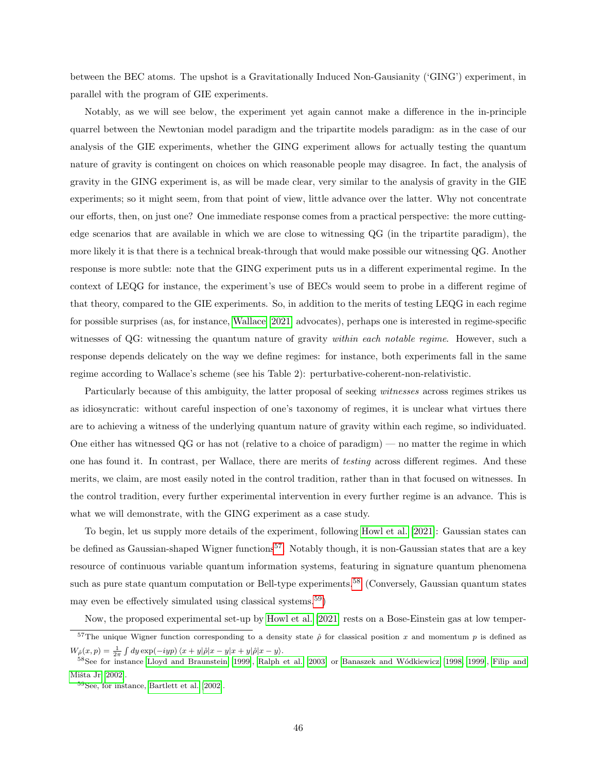between the BEC atoms. The upshot is a Gravitationally Induced Non-Gausianity ('GING') experiment, in parallel with the program of GIE experiments.

Notably, as we will see below, the experiment yet again cannot make a difference in the in-principle quarrel between the Newtonian model paradigm and the tripartite models paradigm: as in the case of our analysis of the GIE experiments, whether the GING experiment allows for actually testing the quantum nature of gravity is contingent on choices on which reasonable people may disagree. In fact, the analysis of gravity in the GING experiment is, as will be made clear, very similar to the analysis of gravity in the GIE experiments; so it might seem, from that point of view, little advance over the latter. Why not concentrate our efforts, then, on just one? One immediate response comes from a practical perspective: the more cuttingedge scenarios that are available in which we are close to witnessing QG (in the tripartite paradigm), the more likely it is that there is a technical break-through that would make possible our witnessing QG. Another response is more subtle: note that the GING experiment puts us in a different experimental regime. In the context of LEQG for instance, the experiment's use of BECs would seem to probe in a different regime of that theory, compared to the GIE experiments. So, in addition to the merits of testing LEQG in each regime for possible surprises (as, for instance, [Wallace](#page-54-3) [\[2021\]](#page-54-3) advocates), perhaps one is interested in regime-specific witnesses of QG: witnessing the quantum nature of gravity *within each notable regime*. However, such a response depends delicately on the way we define regimes: for instance, both experiments fall in the same regime according to Wallace's scheme (see his Table 2): perturbative-coherent-non-relativistic.

Particularly because of this ambiguity, the latter proposal of seeking witnesses across regimes strikes us as idiosyncratic: without careful inspection of one's taxonomy of regimes, it is unclear what virtues there are to achieving a witness of the underlying quantum nature of gravity within each regime, so individuated. One either has witnessed QG or has not (relative to a choice of paradigm) — no matter the regime in which one has found it. In contrast, per Wallace, there are merits of testing across different regimes. And these merits, we claim, are most easily noted in the control tradition, rather than in that focused on witnesses. In the control tradition, every further experimental intervention in every further regime is an advance. This is what we will demonstrate, with the GING experiment as a case study.

To begin, let us supply more details of the experiment, following [Howl et al.](#page-52-15) [\[2021\]](#page-52-15): Gaussian states can be defined as Gaussian-shaped Wigner functions<sup>[57](#page-45-0)</sup>. Notably though, it is non-Gaussian states that are a key resource of continuous variable quantum information systems, featuring in signature quantum phenomena such as pure state quantum computation or Bell-type experiments.<sup>[58](#page-45-1)</sup> (Conversely, Gaussian quantum states may even be effectively simulated using classical systems.[59](#page-45-2))

<span id="page-45-0"></span>Now, the proposed experimental set-up by [Howl et al.](#page-52-15) [\[2021\]](#page-52-15) rests on a Bose-Einstein gas at low temper-

<sup>&</sup>lt;sup>57</sup>The unique Wigner function corresponding to a density state  $\hat{\rho}$  for classical position x and momentum p is defined as  $W_{\hat{\rho}}(x,p) = \frac{1}{2\pi} \int dy \exp(-iyp) \langle x + y|\hat{\rho}|x - y|x + y|\hat{\rho}|x - y\rangle.$ 

<span id="page-45-1"></span> $58$ See for instance [Lloyd and Braunstein \[1999\]](#page-53-14), [Ralph et al.](#page-54-10) [\[2003\]](#page-54-10) or Banaszek and Wódkiewicz [\[1998,](#page-50-9) [1999\]](#page-50-10), [Filip and](#page-51-13) Mišta Jr [\[2002\]](#page-51-13).

<span id="page-45-2"></span><sup>59</sup>See, for instance, [Bartlett et al.](#page-50-11) [\[2002\]](#page-50-11).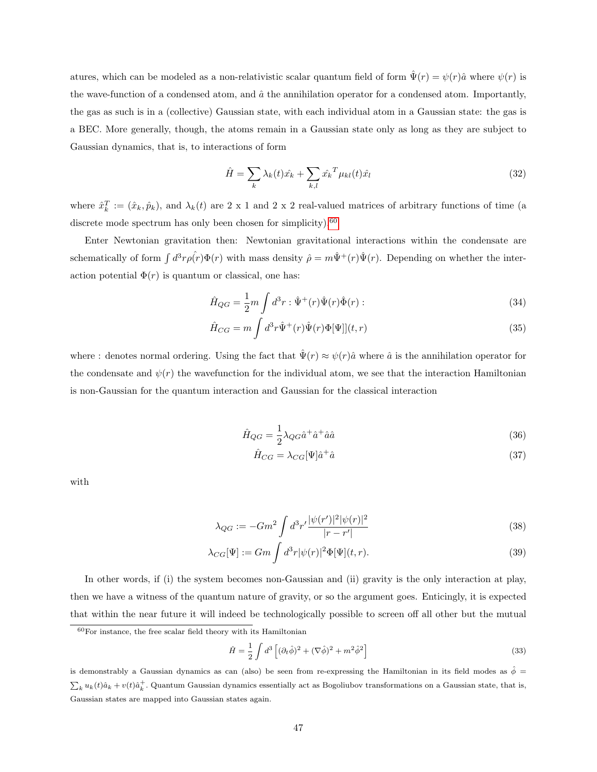atures, which can be modeled as a non-relativistic scalar quantum field of form  $\hat{\Psi}(r) = \psi(r)\hat{a}$  where  $\psi(r)$  is the wave-function of a condensed atom, and  $\hat{a}$  the annihilation operator for a condensed atom. Importantly, the gas as such is in a (collective) Gaussian state, with each individual atom in a Gaussian state: the gas is a BEC. More generally, though, the atoms remain in a Gaussian state only as long as they are subject to Gaussian dynamics, that is, to interactions of form

$$
\hat{H} = \sum_{k} \lambda_k(t)\hat{x_k} + \sum_{k,l} \hat{x_k}^T \mu_{kl}(t)\hat{x_l}
$$
\n(32)

where  $\hat{x}_k^T := (\hat{x}_k, \hat{p}_k)$ , and  $\lambda_k(t)$  are 2 x 1 and 2 x 2 real-valued matrices of arbitrary functions of time (a discrete mode spectrum has only been chosen for simplicity).<sup>[60](#page-46-0)</sup>

Enter Newtonian gravitation then: Newtonian gravitational interactions within the condensate are schematically of form  $\int d^3r \rho(\hat{r}) \Phi(r)$  with mass density  $\hat{\rho} = m\hat{\Psi}^+(r)\hat{\Psi}(r)$ . Depending on whether the interaction potential  $\Phi(r)$  is quantum or classical, one has:

$$
\hat{H}_{QG} = \frac{1}{2}m \int d^3r \, \colon \hat{\Psi}^+(r)\hat{\Psi}(r)\hat{\Phi}(r) : \tag{34}
$$

$$
\hat{H}_{CG} = m \int d^3 r \hat{\Psi}^+(r) \hat{\Psi}(r) \Phi[\Psi]](t, r)
$$
\n(35)

where : denotes normal ordering. Using the fact that  $\hat{\Psi}(r) \approx \psi(r)\hat{a}$  where  $\hat{a}$  is the annihilation operator for the condensate and  $\psi(r)$  the wavefunction for the individual atom, we see that the interaction Hamiltonian is non-Gaussian for the quantum interaction and Gaussian for the classical interaction

$$
\hat{H}_{QG} = \frac{1}{2} \lambda_{QG} \hat{a}^{\dagger} \hat{a}^{\dagger} \hat{a} \hat{a} \tag{36}
$$

$$
\hat{H}_{CG} = \lambda_{CG} [\Psi] \hat{a}^+ \hat{a} \tag{37}
$$

with

$$
\lambda_{QG} := -Gm^2 \int d^3 r' \frac{|\psi(r')|^2 |\psi(r)|^2}{|r - r'|}
$$
\n(38)

$$
\lambda_{CG}[\Psi] := Gm \int d^3r |\psi(r)|^2 \Phi[\Psi](t, r). \tag{39}
$$

In other words, if (i) the system becomes non-Gaussian and (ii) gravity is the only interaction at play, then we have a witness of the quantum nature of gravity, or so the argument goes. Enticingly, it is expected that within the near future it will indeed be technologically possible to screen off all other but the mutual

$$
\hat{H} = \frac{1}{2} \int d^3 \left[ (\partial_t \hat{\phi})^2 + (\nabla \hat{\phi})^2 + m^2 \hat{\phi}^2 \right]
$$
\n(33)

<span id="page-46-0"></span> $60\mathrm{For}$  instance, the free scalar field theory with its Hamiltonian

is demonstrably a Gaussian dynamics as can (also) be seen from re-expressing the Hamiltonian in its field modes as  $\hat{\phi} =$  $\sum_k u_k(t)\hat{a}_k + v(t)\hat{a}_k^+$ . Quantum Gaussian dynamics essentially act as Bogoliubov transformations on a Gaussian state, that is, Gaussian states are mapped into Gaussian states again.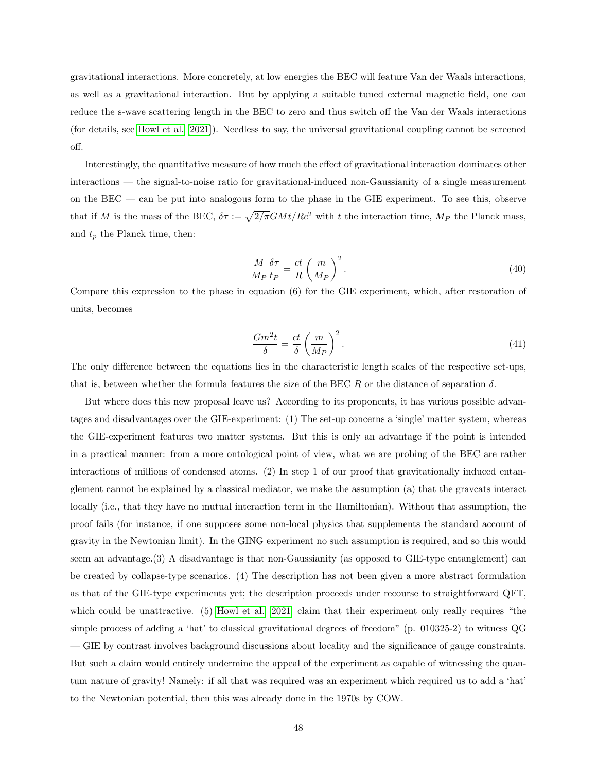gravitational interactions. More concretely, at low energies the BEC will feature Van der Waals interactions, as well as a gravitational interaction. But by applying a suitable tuned external magnetic field, one can reduce the s-wave scattering length in the BEC to zero and thus switch off the Van der Waals interactions (for details, see [Howl et al.](#page-52-15) [\[2021\]](#page-52-15)). Needless to say, the universal gravitational coupling cannot be screened off.

Interestingly, the quantitative measure of how much the effect of gravitational interaction dominates other interactions — the signal-to-noise ratio for gravitational-induced non-Gaussianity of a single measurement on the BEC — can be put into analogous form to the phase in the GIE experiment. To see this, observe that if M is the mass of the BEC,  $\delta \tau := \sqrt{2/\pi} G M t / Rc^2$  with t the interaction time,  $M_P$  the Planck mass, and  $t_p$  the Planck time, then:

$$
\frac{M}{M_P} \frac{\delta \tau}{t_P} = \frac{ct}{R} \left( \frac{m}{M_P} \right)^2.
$$
\n(40)

Compare this expression to the phase in equation (6) for the GIE experiment, which, after restoration of units, becomes

$$
\frac{Gm^2t}{\delta} = \frac{ct}{\delta} \left(\frac{m}{M_P}\right)^2.
$$
\n(41)

The only difference between the equations lies in the characteristic length scales of the respective set-ups, that is, between whether the formula features the size of the BEC R or the distance of separation  $\delta$ .

But where does this new proposal leave us? According to its proponents, it has various possible advantages and disadvantages over the GIE-experiment: (1) The set-up concerns a 'single' matter system, whereas the GIE-experiment features two matter systems. But this is only an advantage if the point is intended in a practical manner: from a more ontological point of view, what we are probing of the BEC are rather interactions of millions of condensed atoms. (2) In step 1 of our proof that gravitationally induced entanglement cannot be explained by a classical mediator, we make the assumption (a) that the gravcats interact locally (i.e., that they have no mutual interaction term in the Hamiltonian). Without that assumption, the proof fails (for instance, if one supposes some non-local physics that supplements the standard account of gravity in the Newtonian limit). In the GING experiment no such assumption is required, and so this would seem an advantage.(3) A disadvantage is that non-Gaussianity (as opposed to GIE-type entanglement) can be created by collapse-type scenarios. (4) The description has not been given a more abstract formulation as that of the GIE-type experiments yet; the description proceeds under recourse to straightforward QFT, which could be unattractive. (5) [Howl et al.](#page-52-15) [\[2021\]](#page-52-15) claim that their experiment only really requires "the simple process of adding a 'hat' to classical gravitational degrees of freedom" (p. 010325-2) to witness QG — GIE by contrast involves background discussions about locality and the significance of gauge constraints. But such a claim would entirely undermine the appeal of the experiment as capable of witnessing the quantum nature of gravity! Namely: if all that was required was an experiment which required us to add a 'hat' to the Newtonian potential, then this was already done in the 1970s by COW.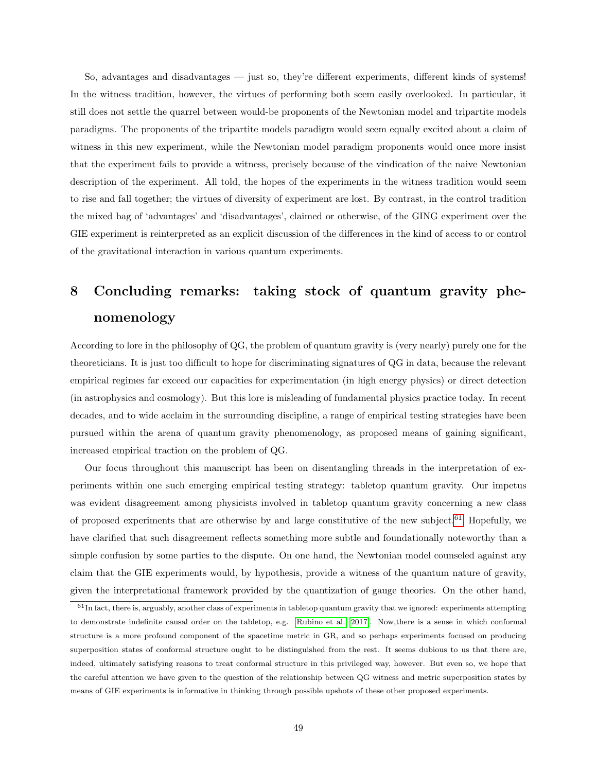So, advantages and disadvantages — just so, they're different experiments, different kinds of systems! In the witness tradition, however, the virtues of performing both seem easily overlooked. In particular, it still does not settle the quarrel between would-be proponents of the Newtonian model and tripartite models paradigms. The proponents of the tripartite models paradigm would seem equally excited about a claim of witness in this new experiment, while the Newtonian model paradigm proponents would once more insist that the experiment fails to provide a witness, precisely because of the vindication of the naive Newtonian description of the experiment. All told, the hopes of the experiments in the witness tradition would seem to rise and fall together; the virtues of diversity of experiment are lost. By contrast, in the control tradition the mixed bag of 'advantages' and 'disadvantages', claimed or otherwise, of the GING experiment over the GIE experiment is reinterpreted as an explicit discussion of the differences in the kind of access to or control of the gravitational interaction in various quantum experiments.

# <span id="page-48-0"></span>8 Concluding remarks: taking stock of quantum gravity phenomenology

According to lore in the philosophy of QG, the problem of quantum gravity is (very nearly) purely one for the theoreticians. It is just too difficult to hope for discriminating signatures of QG in data, because the relevant empirical regimes far exceed our capacities for experimentation (in high energy physics) or direct detection (in astrophysics and cosmology). But this lore is misleading of fundamental physics practice today. In recent decades, and to wide acclaim in the surrounding discipline, a range of empirical testing strategies have been pursued within the arena of quantum gravity phenomenology, as proposed means of gaining significant, increased empirical traction on the problem of QG.

Our focus throughout this manuscript has been on disentangling threads in the interpretation of experiments within one such emerging empirical testing strategy: tabletop quantum gravity. Our impetus was evident disagreement among physicists involved in tabletop quantum gravity concerning a new class of proposed experiments that are otherwise by and large constitutive of the new subject.<sup>[61](#page-48-1)</sup> Hopefully, we have clarified that such disagreement reflects something more subtle and foundationally noteworthy than a simple confusion by some parties to the dispute. On one hand, the Newtonian model counseled against any claim that the GIE experiments would, by hypothesis, provide a witness of the quantum nature of gravity, given the interpretational framework provided by the quantization of gauge theories. On the other hand,

<span id="page-48-1"></span> $61$ In fact, there is, arguably, another class of experiments in tabletop quantum gravity that we ignored: experiments attempting to demonstrate indefinite causal order on the tabletop, e.g. [\[Rubino et al., 2017\]](#page-54-11). Now,there is a sense in which conformal structure is a more profound component of the spacetime metric in GR, and so perhaps experiments focused on producing superposition states of conformal structure ought to be distinguished from the rest. It seems dubious to us that there are, indeed, ultimately satisfying reasons to treat conformal structure in this privileged way, however. But even so, we hope that the careful attention we have given to the question of the relationship between QG witness and metric superposition states by means of GIE experiments is informative in thinking through possible upshots of these other proposed experiments.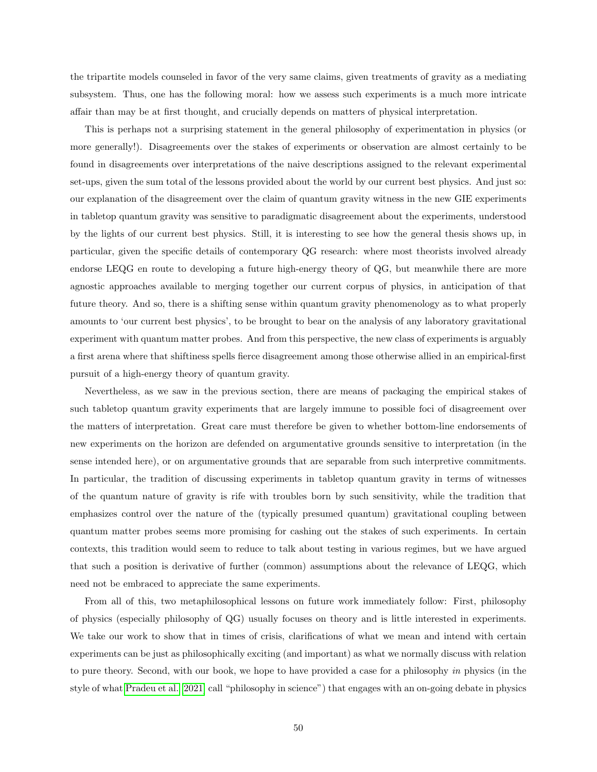the tripartite models counseled in favor of the very same claims, given treatments of gravity as a mediating subsystem. Thus, one has the following moral: how we assess such experiments is a much more intricate affair than may be at first thought, and crucially depends on matters of physical interpretation.

This is perhaps not a surprising statement in the general philosophy of experimentation in physics (or more generally!). Disagreements over the stakes of experiments or observation are almost certainly to be found in disagreements over interpretations of the naive descriptions assigned to the relevant experimental set-ups, given the sum total of the lessons provided about the world by our current best physics. And just so: our explanation of the disagreement over the claim of quantum gravity witness in the new GIE experiments in tabletop quantum gravity was sensitive to paradigmatic disagreement about the experiments, understood by the lights of our current best physics. Still, it is interesting to see how the general thesis shows up, in particular, given the specific details of contemporary QG research: where most theorists involved already endorse LEQG en route to developing a future high-energy theory of QG, but meanwhile there are more agnostic approaches available to merging together our current corpus of physics, in anticipation of that future theory. And so, there is a shifting sense within quantum gravity phenomenology as to what properly amounts to 'our current best physics', to be brought to bear on the analysis of any laboratory gravitational experiment with quantum matter probes. And from this perspective, the new class of experiments is arguably a first arena where that shiftiness spells fierce disagreement among those otherwise allied in an empirical-first pursuit of a high-energy theory of quantum gravity.

Nevertheless, as we saw in the previous section, there are means of packaging the empirical stakes of such tabletop quantum gravity experiments that are largely immune to possible foci of disagreement over the matters of interpretation. Great care must therefore be given to whether bottom-line endorsements of new experiments on the horizon are defended on argumentative grounds sensitive to interpretation (in the sense intended here), or on argumentative grounds that are separable from such interpretive commitments. In particular, the tradition of discussing experiments in tabletop quantum gravity in terms of witnesses of the quantum nature of gravity is rife with troubles born by such sensitivity, while the tradition that emphasizes control over the nature of the (typically presumed quantum) gravitational coupling between quantum matter probes seems more promising for cashing out the stakes of such experiments. In certain contexts, this tradition would seem to reduce to talk about testing in various regimes, but we have argued that such a position is derivative of further (common) assumptions about the relevance of LEQG, which need not be embraced to appreciate the same experiments.

From all of this, two metaphilosophical lessons on future work immediately follow: First, philosophy of physics (especially philosophy of QG) usually focuses on theory and is little interested in experiments. We take our work to show that in times of crisis, clarifications of what we mean and intend with certain experiments can be just as philosophically exciting (and important) as what we normally discuss with relation to pure theory. Second, with our book, we hope to have provided a case for a philosophy in physics (in the style of what [Pradeu et al.](#page-54-12) [\[2021\]](#page-54-12) call "philosophy in science") that engages with an on-going debate in physics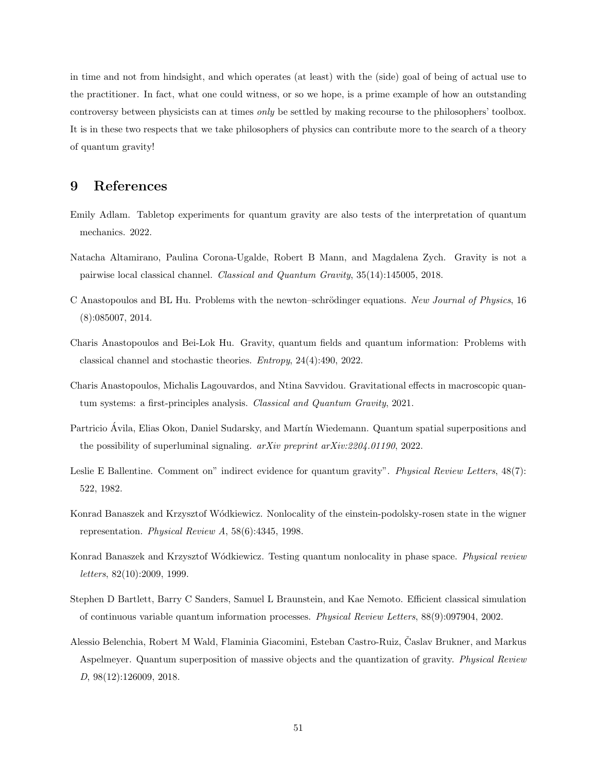in time and not from hindsight, and which operates (at least) with the (side) goal of being of actual use to the practitioner. In fact, what one could witness, or so we hope, is a prime example of how an outstanding controversy between physicists can at times only be settled by making recourse to the philosophers' toolbox. It is in these two respects that we take philosophers of physics can contribute more to the search of a theory of quantum gravity!

## <span id="page-50-0"></span>9 References

- <span id="page-50-3"></span>Emily Adlam. Tabletop experiments for quantum gravity are also tests of the interpretation of quantum mechanics. 2022.
- <span id="page-50-2"></span>Natacha Altamirano, Paulina Corona-Ugalde, Robert B Mann, and Magdalena Zych. Gravity is not a pairwise local classical channel. Classical and Quantum Gravity, 35(14):145005, 2018.
- <span id="page-50-1"></span>C Anastopoulos and BL Hu. Problems with the newton–schrödinger equations. New Journal of Physics, 16 (8):085007, 2014.
- <span id="page-50-6"></span>Charis Anastopoulos and Bei-Lok Hu. Gravity, quantum fields and quantum information: Problems with classical channel and stochastic theories. Entropy, 24(4):490, 2022.
- <span id="page-50-5"></span>Charis Anastopoulos, Michalis Lagouvardos, and Ntina Savvidou. Gravitational effects in macroscopic quantum systems: a first-principles analysis. Classical and Quantum Gravity, 2021.
- <span id="page-50-8"></span>Partricio Ávila, Elias Okon, Daniel Sudarsky, and Martín Wiedemann. Quantum spatial superpositions and the possibility of superluminal signaling.  $arXiv$  preprint  $arXiv:2204.01190$ , 2022.
- <span id="page-50-4"></span>Leslie E Ballentine. Comment on" indirect evidence for quantum gravity". Physical Review Letters,  $48(7)$ : 522, 1982.
- <span id="page-50-9"></span>Konrad Banaszek and Krzysztof W´odkiewicz. Nonlocality of the einstein-podolsky-rosen state in the wigner representation. Physical Review A, 58(6):4345, 1998.
- <span id="page-50-10"></span>Konrad Banaszek and Krzysztof Wódkiewicz. Testing quantum nonlocality in phase space. Physical review letters, 82(10):2009, 1999.
- <span id="page-50-11"></span>Stephen D Bartlett, Barry C Sanders, Samuel L Braunstein, and Kae Nemoto. Efficient classical simulation of continuous variable quantum information processes. Physical Review Letters, 88(9):097904, 2002.
- <span id="page-50-7"></span>Alessio Belenchia, Robert M Wald, Flaminia Giacomini, Esteban Castro-Ruiz, Caslav Brukner, and Markus ˇ Aspelmeyer. Quantum superposition of massive objects and the quantization of gravity. Physical Review D, 98(12):126009, 2018.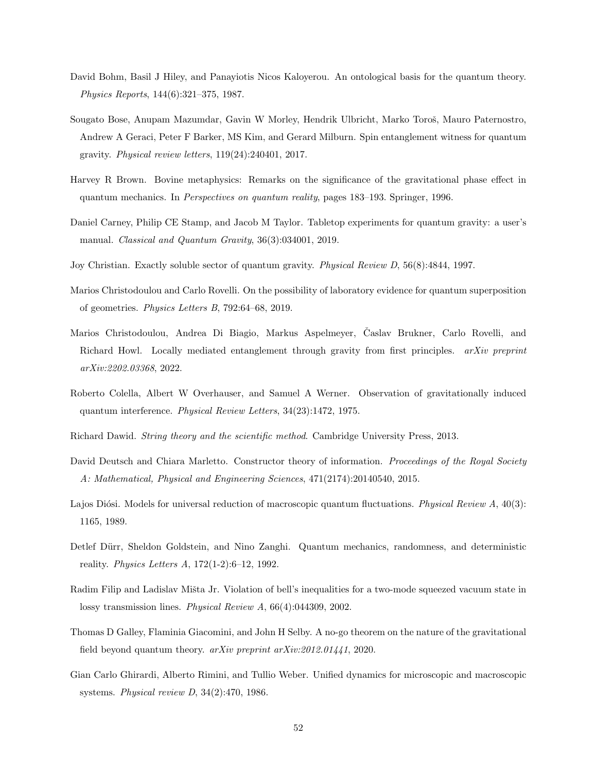- <span id="page-51-14"></span>David Bohm, Basil J Hiley, and Panayiotis Nicos Kaloyerou. An ontological basis for the quantum theory. Physics Reports, 144(6):321–375, 1987.
- <span id="page-51-2"></span>Sougato Bose, Anupam Mazumdar, Gavin W Morley, Hendrik Ulbricht, Marko Toroš, Mauro Paternostro, Andrew A Geraci, Peter F Barker, MS Kim, and Gerard Milburn. Spin entanglement witness for quantum gravity. Physical review letters, 119(24):240401, 2017.
- <span id="page-51-5"></span>Harvey R Brown. Bovine metaphysics: Remarks on the significance of the gravitational phase effect in quantum mechanics. In Perspectives on quantum reality, pages 183–193. Springer, 1996.
- <span id="page-51-3"></span>Daniel Carney, Philip CE Stamp, and Jacob M Taylor. Tabletop experiments for quantum gravity: a user's manual. Classical and Quantum Gravity, 36(3):034001, 2019.
- <span id="page-51-11"></span>Joy Christian. Exactly soluble sector of quantum gravity. Physical Review D, 56(8):4844, 1997.
- <span id="page-51-1"></span>Marios Christodoulou and Carlo Rovelli. On the possibility of laboratory evidence for quantum superposition of geometries. Physics Letters B, 792:64–68, 2019.
- <span id="page-51-12"></span>Marios Christodoulou, Andrea Di Biagio, Markus Aspelmeyer, Caslav Brukner, Carlo Rovelli, and Richard Howl. Locally mediated entanglement through gravity from first principles. arXiv preprint arXiv:2202.03368, 2022.
- <span id="page-51-4"></span>Roberto Colella, Albert W Overhauser, and Samuel A Werner. Observation of gravitationally induced quantum interference. Physical Review Letters, 34(23):1472, 1975.
- <span id="page-51-0"></span>Richard Dawid. String theory and the scientific method. Cambridge University Press, 2013.
- <span id="page-51-8"></span>David Deutsch and Chiara Marletto. Constructor theory of information. Proceedings of the Royal Society A: Mathematical, Physical and Engineering Sciences, 471(2174):20140540, 2015.
- <span id="page-51-10"></span>Lajos Diósi. Models for universal reduction of macroscopic quantum fluctuations. Physical Review  $A$ , 40(3): 1165, 1989.
- <span id="page-51-7"></span>Detlef Dürr, Sheldon Goldstein, and Nino Zanghi. Quantum mechanics, randomness, and deterministic reality. Physics Letters A, 172(1-2):6–12, 1992.
- <span id="page-51-13"></span>Radim Filip and Ladislav Mišta Jr. Violation of bell's inequalities for a two-mode squeezed vacuum state in lossy transmission lines. Physical Review A, 66(4):044309, 2002.
- <span id="page-51-9"></span>Thomas D Galley, Flaminia Giacomini, and John H Selby. A no-go theorem on the nature of the gravitational field beyond quantum theory.  $arXiv$  preprint  $arXiv:2012.01441$ , 2020.
- <span id="page-51-6"></span>Gian Carlo Ghirardi, Alberto Rimini, and Tullio Weber. Unified dynamics for microscopic and macroscopic systems. Physical review D, 34(2):470, 1986.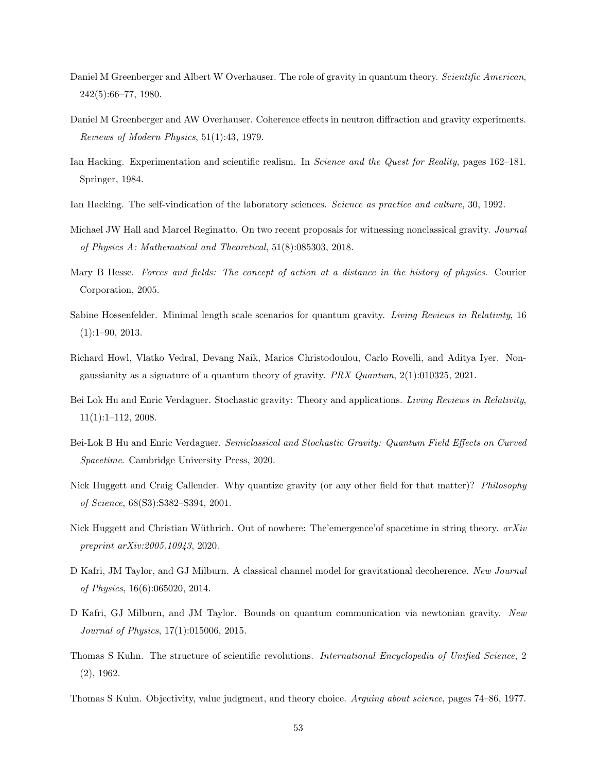- <span id="page-52-5"></span>Daniel M Greenberger and Albert W Overhauser. The role of gravity in quantum theory. Scientific American, 242(5):66–77, 1980.
- <span id="page-52-6"></span>Daniel M Greenberger and AW Overhauser. Coherence effects in neutron diffraction and gravity experiments. Reviews of Modern Physics, 51(1):43, 1979.
- <span id="page-52-14"></span>Ian Hacking. Experimentation and scientific realism. In Science and the Quest for Reality, pages 162–181. Springer, 1984.
- <span id="page-52-13"></span>Ian Hacking. The self-vindication of the laboratory sciences. *Science as practice and culture*, 30, 1992.
- <span id="page-52-9"></span>Michael JW Hall and Marcel Reginatto. On two recent proposals for witnessing nonclassical gravity. Journal of Physics A: Mathematical and Theoretical, 51(8):085303, 2018.
- <span id="page-52-7"></span>Mary B Hesse. Forces and fields: The concept of action at a distance in the history of physics. Courier Corporation, 2005.
- <span id="page-52-12"></span>Sabine Hossenfelder. Minimal length scale scenarios for quantum gravity. Living Reviews in Relativity, 16 (1):1–90, 2013.
- <span id="page-52-15"></span>Richard Howl, Vlatko Vedral, Devang Naik, Marios Christodoulou, Carlo Rovelli, and Aditya Iyer. Nongaussianity as a signature of a quantum theory of gravity.  $PRX$  Quantum, 2(1):010325, 2021.
- <span id="page-52-1"></span>Bei Lok Hu and Enric Verdaguer. Stochastic gravity: Theory and applications. Living Reviews in Relativity, 11(1):1–112, 2008.
- <span id="page-52-8"></span>Bei-Lok B Hu and Enric Verdaguer. Semiclassical and Stochastic Gravity: Quantum Field Effects on Curved Spacetime. Cambridge University Press, 2020.
- <span id="page-52-2"></span>Nick Huggett and Craig Callender. Why quantize gravity (or any other field for that matter)? Philosophy of Science, 68(S3):S382–S394, 2001.
- <span id="page-52-0"></span>Nick Huggett and Christian Wüthrich. Out of nowhere: The'emergence' of spacetime in string theory.  $arXiv$ preprint arXiv:2005.10943, 2020.
- <span id="page-52-3"></span>D Kafri, JM Taylor, and GJ Milburn. A classical channel model for gravitational decoherence. New Journal of Physics, 16(6):065020, 2014.
- <span id="page-52-4"></span>D Kafri, GJ Milburn, and JM Taylor. Bounds on quantum communication via newtonian gravity. New Journal of Physics, 17(1):015006, 2015.
- <span id="page-52-10"></span>Thomas S Kuhn. The structure of scientific revolutions. International Encyclopedia of Unified Science, 2 (2), 1962.
- <span id="page-52-11"></span>Thomas S Kuhn. Objectivity, value judgment, and theory choice. Arguing about science, pages 74–86, 1977.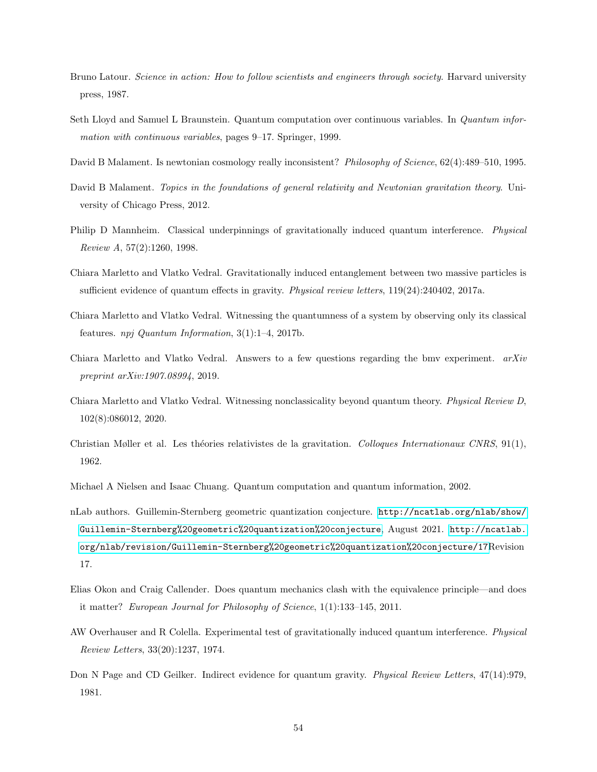- <span id="page-53-13"></span>Bruno Latour. Science in action: How to follow scientists and engineers through society. Harvard university press, 1987.
- <span id="page-53-14"></span>Seth Lloyd and Samuel L Braunstein. Quantum computation over continuous variables. In Quantum information with continuous variables, pages 9–17. Springer, 1999.
- <span id="page-53-12"></span>David B Malament. Is newtonian cosmology really inconsistent? Philosophy of Science, 62(4):489–510, 1995.
- <span id="page-53-11"></span>David B Malament. Topics in the foundations of general relativity and Newtonian gravitation theory. University of Chicago Press, 2012.
- <span id="page-53-3"></span>Philip D Mannheim. Classical underpinnings of gravitationally induced quantum interference. Physical Review A, 57(2):1260, 1998.
- <span id="page-53-6"></span>Chiara Marletto and Vlatko Vedral. Gravitationally induced entanglement between two massive particles is sufficient evidence of quantum effects in gravity. *Physical review letters*, 119(24):240402, 2017a.
- <span id="page-53-0"></span>Chiara Marletto and Vlatko Vedral. Witnessing the quantumness of a system by observing only its classical features. npj Quantum Information,  $3(1)$ :1-4, 2017b.
- <span id="page-53-7"></span>Chiara Marletto and Vlatko Vedral. Answers to a few questions regarding the bmv experiment.  $arXiv$ preprint arXiv:1907.08994, 2019.
- <span id="page-53-9"></span>Chiara Marletto and Vlatko Vedral. Witnessing nonclassicality beyond quantum theory. Physical Review D, 102(8):086012, 2020.
- <span id="page-53-1"></span>Christian Møller et al. Les théories relativistes de la gravitation. Colloques Internationaux CNRS, 91(1), 1962.
- <span id="page-53-8"></span>Michael A Nielsen and Isaac Chuang. Quantum computation and quantum information, 2002.
- <span id="page-53-10"></span>nLab authors. Guillemin-Sternberg geometric quantization conjecture. [http://ncatlab.org/nlab/show/](http://ncatlab.org/nlab/show/Guillemin-Sternberg%20geometric%20quantization%20conjecture) [Guillemin-Sternberg%20geometric%20quantization%20conjecture](http://ncatlab.org/nlab/show/Guillemin-Sternberg%20geometric%20quantization%20conjecture), August 2021. [http://ncatlab.](http://ncatlab.org/nlab/revision/Guillemin-Sternberg%20geometric%20quantization%20conjecture/17) [org/nlab/revision/Guillemin-Sternberg%20geometric%20quantization%20conjecture/17](http://ncatlab.org/nlab/revision/Guillemin-Sternberg%20geometric%20quantization%20conjecture/17)Revision 17.
- <span id="page-53-4"></span>Elias Okon and Craig Callender. Does quantum mechanics clash with the equivalence principle—and does it matter? European Journal for Philosophy of Science, 1(1):133–145, 2011.
- <span id="page-53-2"></span>AW Overhauser and R Colella. Experimental test of gravitationally induced quantum interference. Physical Review Letters, 33(20):1237, 1974.
- <span id="page-53-5"></span>Don N Page and CD Geilker. Indirect evidence for quantum gravity. Physical Review Letters, 47(14):979, 1981.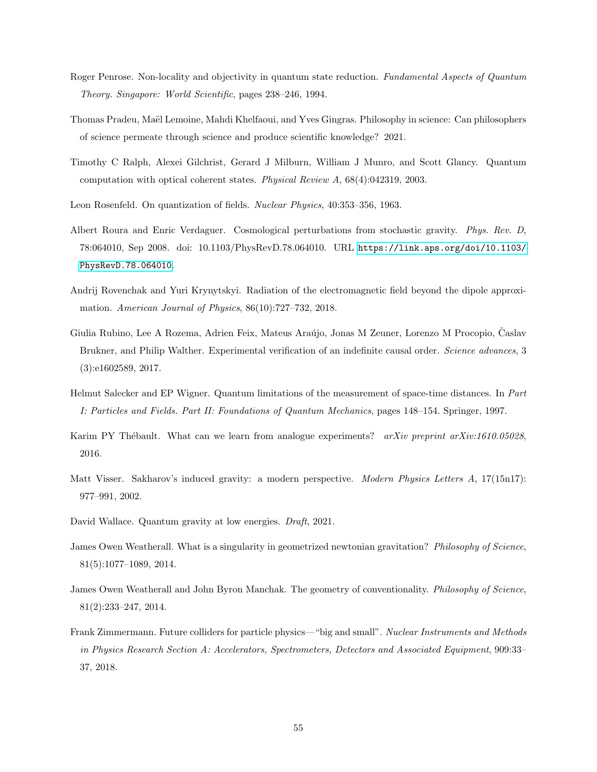- <span id="page-54-6"></span>Roger Penrose. Non-locality and objectivity in quantum state reduction. Fundamental Aspects of Quantum Theory. Singapore: World Scientific, pages 238–246, 1994.
- <span id="page-54-12"></span>Thomas Pradeu, Maël Lemoine, Mahdi Khelfaoui, and Yves Gingras. Philosophy in science: Can philosophers of science permeate through science and produce scientific knowledge? 2021.
- <span id="page-54-10"></span>Timothy C Ralph, Alexei Gilchrist, Gerard J Milburn, William J Munro, and Scott Glancy. Quantum computation with optical coherent states. Physical Review A, 68(4):042319, 2003.
- <span id="page-54-2"></span>Leon Rosenfeld. On quantization of fields. *Nuclear Physics*, 40:353–356, 1963.
- <span id="page-54-5"></span>Albert Roura and Enric Verdaguer. Cosmological perturbations from stochastic gravity. Phys. Rev. D, 78:064010, Sep 2008. doi: 10.1103/PhysRevD.78.064010. URL [https://link.aps.org/doi/10.1103/](https://link.aps.org/doi/10.1103/PhysRevD.78.064010) [PhysRevD.78.064010](https://link.aps.org/doi/10.1103/PhysRevD.78.064010).
- <span id="page-54-8"></span>Andrij Rovenchak and Yuri Krynytskyi. Radiation of the electromagnetic field beyond the dipole approximation. American Journal of Physics, 86(10):727–732, 2018.
- <span id="page-54-11"></span>Giulia Rubino, Lee A Rozema, Adrien Feix, Mateus Araújo, Jonas M Zeuner, Lorenzo M Procopio, Caslav Brukner, and Philip Walther. Experimental verification of an indefinite causal order. Science advances, 3 (3):e1602589, 2017.
- <span id="page-54-9"></span>Helmut Salecker and EP Wigner. Quantum limitations of the measurement of space-time distances. In Part I: Particles and Fields. Part II: Foundations of Quantum Mechanics, pages 148–154. Springer, 1997.
- <span id="page-54-1"></span>Karim PY Thébault. What can we learn from analogue experiments?  $arXiv$  preprint  $arXiv:1610.05028$ , 2016.
- <span id="page-54-4"></span>Matt Visser. Sakharov's induced gravity: a modern perspective. Modern Physics Letters A, 17(15n17): 977–991, 2002.
- <span id="page-54-3"></span>David Wallace. Quantum gravity at low energies. *Draft*, 2021.
- <span id="page-54-7"></span>James Owen Weatherall. What is a singularity in geometrized newtonian gravitation? Philosophy of Science, 81(5):1077–1089, 2014.
- <span id="page-54-13"></span>James Owen Weatherall and John Byron Manchak. The geometry of conventionality. Philosophy of Science, 81(2):233–247, 2014.
- <span id="page-54-0"></span>Frank Zimmermann. Future colliders for particle physics—"big and small". Nuclear Instruments and Methods in Physics Research Section A: Accelerators, Spectrometers, Detectors and Associated Equipment, 909:33– 37, 2018.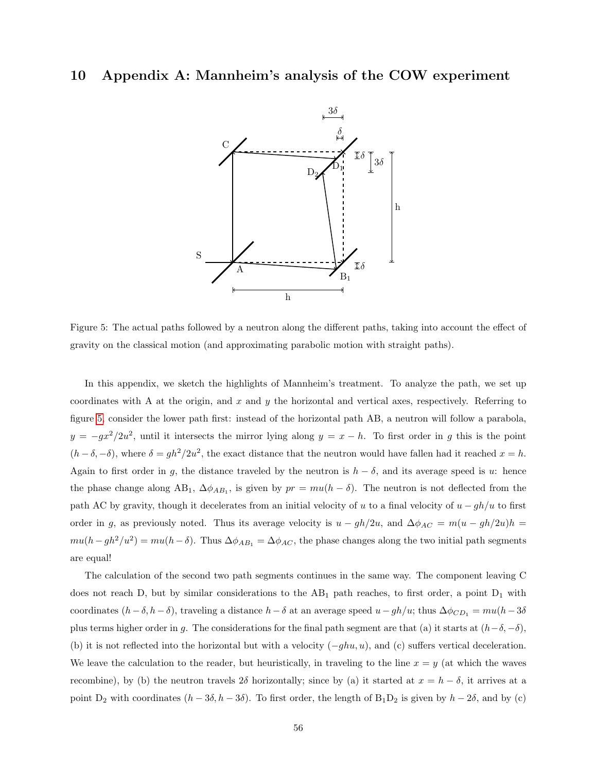## <span id="page-55-0"></span>10 Appendix A: Mannheim's analysis of the COW experiment



<span id="page-55-1"></span>Figure 5: The actual paths followed by a neutron along the different paths, taking into account the effect of gravity on the classical motion (and approximating parabolic motion with straight paths).

In this appendix, we sketch the highlights of Mannheim's treatment. To analyze the path, we set up coordinates with A at the origin, and  $x$  and  $y$  the horizontal and vertical axes, respectively. Referring to figure [5,](#page-55-1) consider the lower path first: instead of the horizontal path AB, a neutron will follow a parabola,  $y = -gx^2/2u^2$ , until it intersects the mirror lying along  $y = x - h$ . To first order in g this is the point  $(h - \delta, -\delta)$ , where  $\delta = gh^2/2u^2$ , the exact distance that the neutron would have fallen had it reached  $x = h$ . Again to first order in g, the distance traveled by the neutron is  $h - \delta$ , and its average speed is u: hence the phase change along  $AB_1$ ,  $\Delta \phi_{AB_1}$ , is given by  $pr = mu(h - \delta)$ . The neutron is not deflected from the path AC by gravity, though it decelerates from an initial velocity of u to a final velocity of  $u - gh/u$  to first order in g, as previously noted. Thus its average velocity is  $u - gh/2u$ , and  $\Delta\phi_{AC} = m(u - gh/2u)h$  $mu(h - gh^2/u^2) = mu(h - \delta)$ . Thus  $\Delta \phi_{AB_1} = \Delta \phi_{AC}$ , the phase changes along the two initial path segments are equal!

The calculation of the second two path segments continues in the same way. The component leaving C does not reach D, but by similar considerations to the  $AB_1$  path reaches, to first order, a point  $D_1$  with coordinates  $(h - \delta, h - \delta)$ , traveling a distance  $h - \delta$  at an average speed  $u - gh/u$ ; thus  $\Delta \phi_{CD_1} = mu(h - 3\delta)$ plus terms higher order in g. The considerations for the final path segment are that (a) it starts at  $(h-\delta, -\delta)$ , (b) it is not reflected into the horizontal but with a velocity  $(-ghu, u)$ , and (c) suffers vertical deceleration. We leave the calculation to the reader, but heuristically, in traveling to the line  $x = y$  (at which the waves recombine), by (b) the neutron travels  $2\delta$  horizontally; since by (a) it started at  $x = h - \delta$ , it arrives at a point  $D_2$  with coordinates  $(h - 3\delta, h - 3\delta)$ . To first order, the length of  $B_1D_2$  is given by  $h - 2\delta$ , and by (c)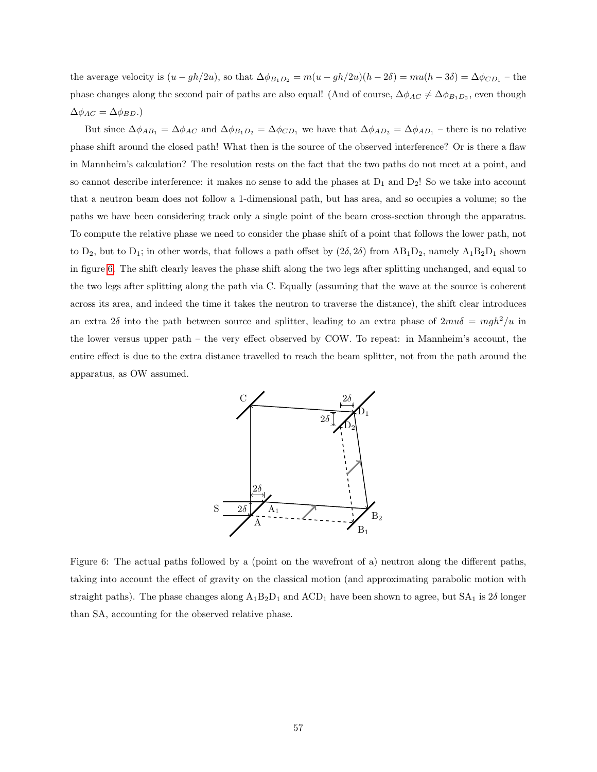the average velocity is  $(u - gh/2u)$ , so that  $\Delta \phi_{B_1D_2} = m(u - gh/2u)(h - 2\delta) = mu(h - 3\delta) = \Delta \phi_{CD_1}$  – the phase changes along the second pair of paths are also equal! (And of course,  $\Delta\phi_{AC} \neq \Delta\phi_{B_1D_2}$ , even though  $\Delta\phi_{AC} = \Delta\phi_{BD}$ .)

But since  $\Delta\phi_{AB_1} = \Delta\phi_{AC}$  and  $\Delta\phi_{B_1D_2} = \Delta\phi_{CD_1}$  we have that  $\Delta\phi_{AD_2} = \Delta\phi_{AD_1}$  – there is no relative phase shift around the closed path! What then is the source of the observed interference? Or is there a flaw in Mannheim's calculation? The resolution rests on the fact that the two paths do not meet at a point, and so cannot describe interference: it makes no sense to add the phases at  $D_1$  and  $D_2$ ! So we take into account that a neutron beam does not follow a 1-dimensional path, but has area, and so occupies a volume; so the paths we have been considering track only a single point of the beam cross-section through the apparatus. To compute the relative phase we need to consider the phase shift of a point that follows the lower path, not to  $D_2$ , but to  $D_1$ ; in other words, that follows a path offset by  $(2\delta, 2\delta)$  from  $AB_1D_2$ , namely  $A_1B_2D_1$  shown in figure [6.](#page-56-0) The shift clearly leaves the phase shift along the two legs after splitting unchanged, and equal to the two legs after splitting along the path via C. Equally (assuming that the wave at the source is coherent across its area, and indeed the time it takes the neutron to traverse the distance), the shift clear introduces an extra 2δ into the path between source and splitter, leading to an extra phase of  $2mu\delta = mgh^2/u$  in the lower versus upper path – the very effect observed by COW. To repeat: in Mannheim's account, the entire effect is due to the extra distance travelled to reach the beam splitter, not from the path around the apparatus, as OW assumed.



<span id="page-56-0"></span>Figure 6: The actual paths followed by a (point on the wavefront of a) neutron along the different paths, taking into account the effect of gravity on the classical motion (and approximating parabolic motion with straight paths). The phase changes along  $A_1B_2D_1$  and  $ACD_1$  have been shown to agree, but  $SA_1$  is  $2\delta$  longer than SA, accounting for the observed relative phase.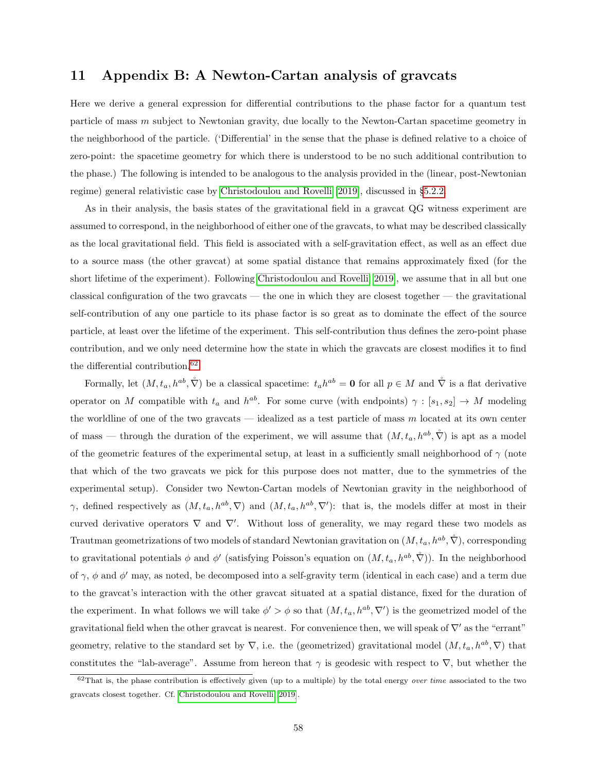## <span id="page-57-0"></span>11 Appendix B: A Newton-Cartan analysis of gravcats

Here we derive a general expression for differential contributions to the phase factor for a quantum test particle of mass m subject to Newtonian gravity, due locally to the Newton-Cartan spacetime geometry in the neighborhood of the particle. ('Differential' in the sense that the phase is defined relative to a choice of zero-point: the spacetime geometry for which there is understood to be no such additional contribution to the phase.) The following is intended to be analogous to the analysis provided in the (linear, post-Newtonian regime) general relativistic case by [Christodoulou and Rovelli](#page-51-1) [\[2019\]](#page-51-1), discussed in §[5.2.2.](#page-29-0)

As in their analysis, the basis states of the gravitational field in a gravcat QG witness experiment are assumed to correspond, in the neighborhood of either one of the gravcats, to what may be described classically as the local gravitational field. This field is associated with a self-gravitation effect, as well as an effect due to a source mass (the other gravcat) at some spatial distance that remains approximately fixed (for the short lifetime of the experiment). Following [Christodoulou and Rovelli](#page-51-1) [\[2019\]](#page-51-1), we assume that in all but one classical configuration of the two gravcats — the one in which they are closest together — the gravitational self-contribution of any one particle to its phase factor is so great as to dominate the effect of the source particle, at least over the lifetime of the experiment. This self-contribution thus defines the zero-point phase contribution, and we only need determine how the state in which the gravcats are closest modifies it to find the differential contribution.<sup>[62](#page-57-1)</sup>

Formally, let  $(M, t_a, h^{ab}, \mathring{\nabla})$  be a classical spacetime:  $t_a h^{ab} = \mathbf{0}$  for all  $p \in M$  and  $\mathring{\nabla}$  is a flat derivative operator on M compatible with  $t_a$  and  $h^{ab}$ . For some curve (with endpoints)  $\gamma : [s_1, s_2] \to M$  modeling the worldline of one of the two graveats  $-$  idealized as a test particle of mass  $m$  located at its own center of mass — through the duration of the experiment, we will assume that  $(M, t_a, h^{ab}, \mathring{\nabla})$  is apt as a model of the geometric features of the experimental setup, at least in a sufficiently small neighborhood of  $\gamma$  (note that which of the two gravcats we pick for this purpose does not matter, due to the symmetries of the experimental setup). Consider two Newton-Cartan models of Newtonian gravity in the neighborhood of  $\gamma$ , defined respectively as  $(M, t_a, h^{ab}, \nabla)$  and  $(M, t_a, h^{ab}, \nabla')$ : that is, the models differ at most in their curved derivative operators  $\nabla$  and  $\nabla'$ . Without loss of generality, we may regard these two models as Trautman geometrizations of two models of standard Newtonian gravitation on  $(M, t_a, h^{ab}, \mathring{\nabla})$ , corresponding to gravitational potentials  $\phi$  and  $\phi'$  (satisfying Poisson's equation on  $(M, t_a, h^{ab}, \mathring{\nabla})$ ). In the neighborhood of  $\gamma$ ,  $\phi$  and  $\phi'$  may, as noted, be decomposed into a self-gravity term (identical in each case) and a term due to the gravcat's interaction with the other gravcat situated at a spatial distance, fixed for the duration of the experiment. In what follows we will take  $\phi' > \phi$  so that  $(M, t_a, h^{ab}, \nabla')$  is the geometrized model of the gravitational field when the other gravcat is nearest. For convenience then, we will speak of  $\nabla'$  as the "errant" geometry, relative to the standard set by  $\nabla$ , i.e. the (geometrized) gravitational model  $(M, t_a, h^{ab}, \nabla)$  that constitutes the "lab-average". Assume from hereon that  $\gamma$  is geodesic with respect to  $\nabla$ , but whether the

<span id="page-57-1"></span> $62$ That is, the phase contribution is effectively given (up to a multiple) by the total energy *over time* associated to the two gravcats closest together. Cf. [Christodoulou and Rovelli](#page-51-1) [\[2019\]](#page-51-1).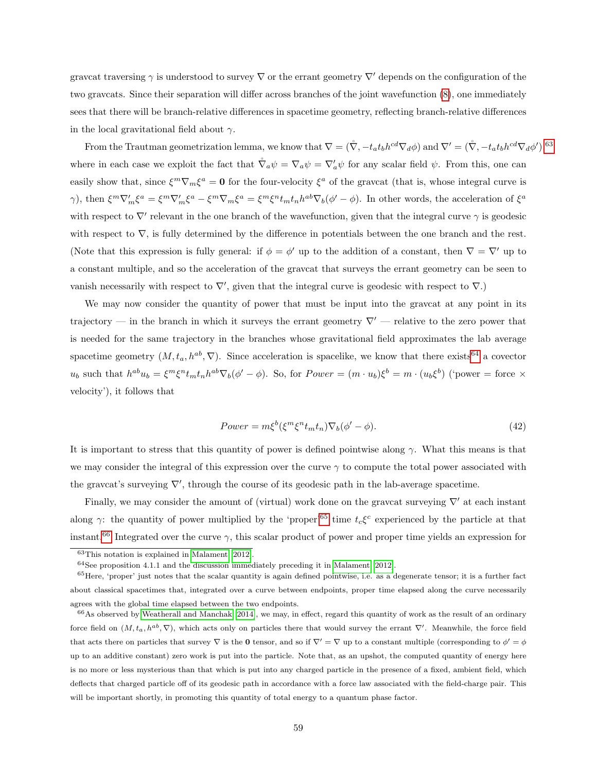gravcat traversing  $\gamma$  is understood to survey  $\nabla$  or the errant geometry  $\nabla'$  depends on the configuration of the two gravcats. Since their separation will differ across branches of the joint wavefunction [\(8\)](#page-18-1), one immediately sees that there will be branch-relative differences in spacetime geometry, reflecting branch-relative differences in the local gravitational field about  $\gamma$ .

From the Trautman geometrization lemma, we know that  $\nabla = (\mathring{\nabla}, -t_a t_b h^{cd} \nabla_d \phi)$  and  $\nabla' = (\mathring{\nabla}, -t_a t_b h^{cd} \nabla_d \phi')$ ,<sup>[63](#page-58-0)</sup> where in each case we exploit the fact that  $\mathring{\nabla}_a \psi = \nabla_a \psi = \nabla'_a \psi$  for any scalar field  $\psi$ . From this, one can easily show that, since  $\xi^m \nabla_m \xi^a = \mathbf{0}$  for the four-velocity  $\xi^a$  of the graveat (that is, whose integral curve is  $\gamma$ ), then  $\xi^m \nabla_m' \xi^a = \xi^m \nabla_m' \xi^a - \xi^m \nabla_m \xi^a = \xi^m \xi^n t_m t_n h^{ab} \nabla_b (\phi' - \phi)$ . In other words, the acceleration of  $\xi^a$ with respect to  $\nabla'$  relevant in the one branch of the wavefunction, given that the integral curve  $\gamma$  is geodesic with respect to  $\nabla$ , is fully determined by the difference in potentials between the one branch and the rest. (Note that this expression is fully general: if  $\phi = \phi'$  up to the addition of a constant, then  $\nabla = \nabla'$  up to a constant multiple, and so the acceleration of the gravcat that surveys the errant geometry can be seen to vanish necessarily with respect to  $\nabla'$ , given that the integral curve is geodesic with respect to  $\nabla$ .)

We may now consider the quantity of power that must be input into the graveat at any point in its trajectory — in the branch in which it surveys the errant geometry  $\nabla'$  — relative to the zero power that is needed for the same trajectory in the branches whose gravitational field approximates the lab average spacetime geometry  $(M, t_a, h^{ab}, \nabla)$ . Since acceleration is spacelike, we know that there exists <sup>[64](#page-58-1)</sup> a covector  $u_b$  such that  $h^{ab}u_b = \xi^m \xi^n t_m t_n h^{ab} \nabla_b(\phi' - \phi)$ . So, for  $Power = (m \cdot u_b) \xi^b = m \cdot (u_b \xi^b)$  ('power = force  $\times$ velocity'), it follows that

$$
Power = m\xi^{b}(\xi^{m}\xi^{n}t_{m}t_{n})\nabla_{b}(\phi'-\phi). \tag{42}
$$

It is important to stress that this quantity of power is defined pointwise along  $\gamma$ . What this means is that we may consider the integral of this expression over the curve  $\gamma$  to compute the total power associated with the graveat's surveying  $\nabla'$ , through the course of its geodesic path in the lab-average spacetime.

Finally, we may consider the amount of (virtual) work done on the graveat surveying  $\nabla'$  at each instant along  $\gamma$ : the quantity of power multiplied by the 'proper'<sup>[65](#page-58-2)</sup> time  $t_c \xi^c$  experienced by the particle at that instant.<sup>[66](#page-58-3)</sup> Integrated over the curve  $\gamma$ , this scalar product of power and proper time yields an expression for

<span id="page-58-1"></span><span id="page-58-0"></span><sup>63</sup>This notation is explained in [Malament](#page-53-11) [\[2012\]](#page-53-11).

<span id="page-58-2"></span> $64$ See proposition 4.1.1 and the discussion immediately preceding it in [Malament](#page-53-11) [\[2012\]](#page-53-11).

 ${}^{65}$ Here, 'proper' just notes that the scalar quantity is again defined pointwise, i.e. as a degenerate tensor; it is a further fact about classical spacetimes that, integrated over a curve between endpoints, proper time elapsed along the curve necessarily agrees with the global time elapsed between the two endpoints.

<span id="page-58-3"></span> $66$ As observed by [Weatherall and Manchak](#page-54-13) [\[2014\]](#page-54-13), we may, in effect, regard this quantity of work as the result of an ordinary force field on  $(M, t_a, h^{ab}, \nabla)$ , which acts only on particles there that would survey the errant  $\nabla'$ . Meanwhile, the force field that acts there on particles that survey  $\nabla$  is the 0 tensor, and so if  $\nabla' = \nabla$  up to a constant multiple (corresponding to  $\phi' = \phi$ up to an additive constant) zero work is put into the particle. Note that, as an upshot, the computed quantity of energy here is no more or less mysterious than that which is put into any charged particle in the presence of a fixed, ambient field, which deflects that charged particle off of its geodesic path in accordance with a force law associated with the field-charge pair. This will be important shortly, in promoting this quantity of total energy to a quantum phase factor.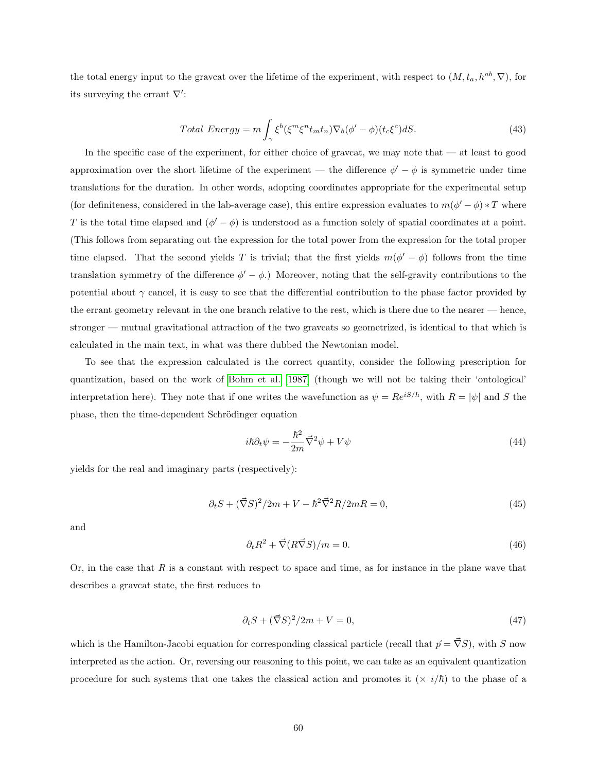the total energy input to the graveat over the lifetime of the experiment, with respect to  $(M, t_a, h^{ab}, \nabla)$ , for its surveying the errant  $\nabla$ :

$$
Total\ Energy = m \int_{\gamma} \xi^{b} (\xi^{m} \xi^{n} t_{m} t_{n}) \nabla_{b} (\phi' - \phi)(t_{c} \xi^{c}) dS. \tag{43}
$$

In the specific case of the experiment, for either choice of gravcat, we may note that — at least to good approximation over the short lifetime of the experiment — the difference  $\phi' - \phi$  is symmetric under time translations for the duration. In other words, adopting coordinates appropriate for the experimental setup (for definiteness, considered in the lab-average case), this entire expression evaluates to  $m(\phi' - \phi) * T$  where T is the total time elapsed and  $(\phi' - \phi)$  is understood as a function solely of spatial coordinates at a point. (This follows from separating out the expression for the total power from the expression for the total proper time elapsed. That the second yields T is trivial; that the first yields  $m(\phi' - \phi)$  follows from the time translation symmetry of the difference  $\phi' - \phi$ .) Moreover, noting that the self-gravity contributions to the potential about  $\gamma$  cancel, it is easy to see that the differential contribution to the phase factor provided by the errant geometry relevant in the one branch relative to the rest, which is there due to the nearer — hence, stronger — mutual gravitational attraction of the two gravcats so geometrized, is identical to that which is calculated in the main text, in what was there dubbed the Newtonian model.

To see that the expression calculated is the correct quantity, consider the following prescription for quantization, based on the work of [Bohm et al.](#page-51-14) [\[1987\]](#page-51-14) (though we will not be taking their 'ontological' interpretation here). They note that if one writes the wavefunction as  $\psi = Re^{iS/\hbar}$ , with  $R = |\psi|$  and S the phase, then the time-dependent Schrödinger equation

$$
i\hbar \partial_t \psi = -\frac{\hbar^2}{2m} \vec{\nabla}^2 \psi + V\psi \tag{44}
$$

yields for the real and imaginary parts (respectively):

<span id="page-59-1"></span>
$$
\partial_t S + (\vec{\nabla} S)^2 / 2m + V - \hbar^2 \vec{\nabla}^2 R / 2mR = 0,
$$
\n(45)

and

<span id="page-59-0"></span>
$$
\partial_t R^2 + \vec{\nabla}(R\vec{\nabla}S)/m = 0.
$$
\n(46)

Or, in the case that  $R$  is a constant with respect to space and time, as for instance in the plane wave that describes a gravcat state, the first reduces to

$$
\partial_t S + (\vec{\nabla} S)^2 / 2m + V = 0,\tag{47}
$$

which is the Hamilton-Jacobi equation for corresponding classical particle (recall that  $\vec{p} = \vec{\nabla}S$ ), with S now interpreted as the action. Or, reversing our reasoning to this point, we can take as an equivalent quantization procedure for such systems that one takes the classical action and promotes it  $(\times i/\hbar)$  to the phase of a